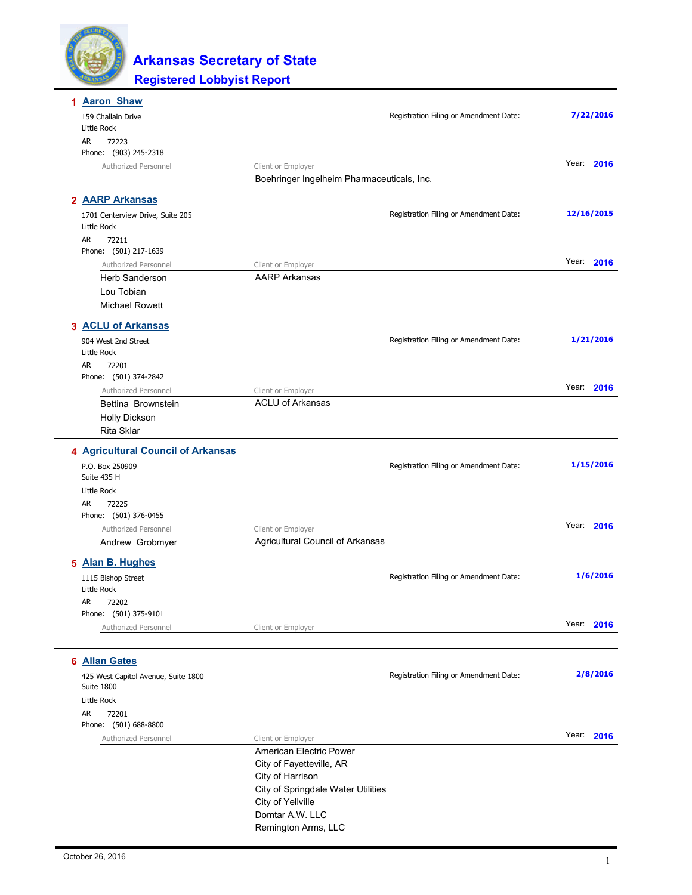

| <b>Aaron Shaw</b>                                 |                                                        |                                        |            |
|---------------------------------------------------|--------------------------------------------------------|----------------------------------------|------------|
| 159 Challain Drive<br>Little Rock                 |                                                        | Registration Filing or Amendment Date: | 7/22/2016  |
| AR<br>72223                                       |                                                        |                                        |            |
| Phone: (903) 245-2318                             |                                                        |                                        |            |
| Authorized Personnel                              | Client or Employer                                     |                                        | Year: 2016 |
|                                                   | Boehringer Ingelheim Pharmaceuticals, Inc.             |                                        |            |
| 2 AARP Arkansas                                   |                                                        |                                        |            |
| 1701 Centerview Drive, Suite 205<br>Little Rock   |                                                        | Registration Filing or Amendment Date: | 12/16/2015 |
| AR<br>72211<br>Phone: (501) 217-1639              |                                                        |                                        |            |
| Authorized Personnel                              | Client or Employer                                     |                                        | Year: 2016 |
| <b>Herb Sanderson</b>                             | <b>AARP Arkansas</b>                                   |                                        |            |
| Lou Tobian                                        |                                                        |                                        |            |
| <b>Michael Rowett</b>                             |                                                        |                                        |            |
| 3 ACLU of Arkansas                                |                                                        |                                        |            |
| 904 West 2nd Street                               |                                                        | Registration Filing or Amendment Date: | 1/21/2016  |
| Little Rock                                       |                                                        |                                        |            |
| AR<br>72201                                       |                                                        |                                        |            |
| Phone: (501) 374-2842                             |                                                        |                                        |            |
| Authorized Personnel                              | Client or Employer                                     |                                        | Year: 2016 |
| Bettina Brownstein                                | <b>ACLU of Arkansas</b>                                |                                        |            |
| Holly Dickson                                     |                                                        |                                        |            |
| Rita Sklar                                        |                                                        |                                        |            |
| 4 Agricultural Council of Arkansas                |                                                        |                                        |            |
| P.O. Box 250909                                   |                                                        | Registration Filing or Amendment Date: | 1/15/2016  |
| Suite 435 H                                       |                                                        |                                        |            |
| Little Rock                                       |                                                        |                                        |            |
| AR<br>72225<br>Phone: (501) 376-0455              |                                                        |                                        |            |
| Authorized Personnel                              | Client or Employer                                     |                                        | Year: 2016 |
| Andrew Grobmyer                                   | Agricultural Council of Arkansas                       |                                        |            |
| 5 Alan B. Hughes                                  |                                                        |                                        |            |
| 1115 Bishop Street                                |                                                        | Registration Filing or Amendment Date: | 1/6/2016   |
| Little Rock                                       |                                                        |                                        |            |
| AR 72202                                          |                                                        |                                        |            |
| Phone: (501) 375-9101                             |                                                        |                                        |            |
| Authorized Personnel                              | Client or Employer                                     |                                        | Year: 2016 |
|                                                   |                                                        |                                        |            |
| 6 Allan Gates                                     |                                                        |                                        |            |
| 425 West Capitol Avenue, Suite 1800<br>Suite 1800 |                                                        | Registration Filing or Amendment Date: | 2/8/2016   |
| Little Rock                                       |                                                        |                                        |            |
| AR.<br>72201                                      |                                                        |                                        |            |
| Phone: (501) 688-8800                             |                                                        |                                        |            |
| Authorized Personnel                              | Client or Employer                                     |                                        | Year: 2016 |
|                                                   | American Electric Power                                |                                        |            |
|                                                   | City of Fayetteville, AR                               |                                        |            |
|                                                   | City of Harrison<br>City of Springdale Water Utilities |                                        |            |
|                                                   | City of Yellville                                      |                                        |            |
|                                                   | Domtar A.W. LLC                                        |                                        |            |
|                                                   | Remington Arms, LLC                                    |                                        |            |
|                                                   |                                                        |                                        |            |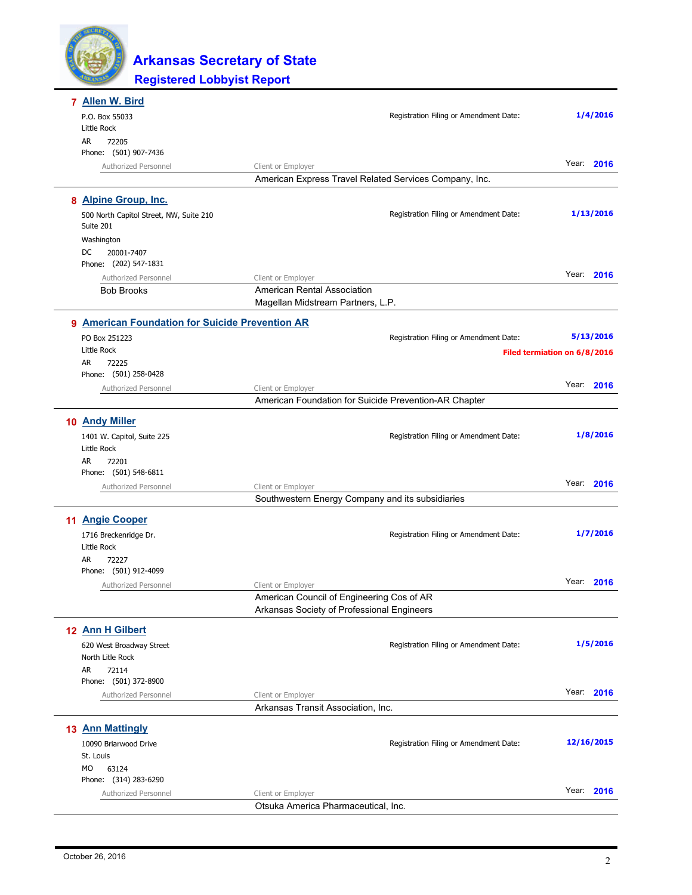

|           | <b>Allen W. Bird</b>                                 |                                                                                         |                                        |                              |
|-----------|------------------------------------------------------|-----------------------------------------------------------------------------------------|----------------------------------------|------------------------------|
|           | P.O. Box 55033                                       |                                                                                         | Registration Filing or Amendment Date: | 1/4/2016                     |
| AR.       | Little Rock<br>72205                                 |                                                                                         |                                        |                              |
|           | Phone: (501) 907-7436                                |                                                                                         |                                        |                              |
|           | Authorized Personnel                                 | Client or Employer                                                                      |                                        | Year: 2016                   |
|           |                                                      | American Express Travel Related Services Company, Inc.                                  |                                        |                              |
|           | 8 Alpine Group, Inc.                                 |                                                                                         |                                        |                              |
|           | 500 North Capitol Street, NW, Suite 210<br>Suite 201 |                                                                                         | Registration Filing or Amendment Date: | 1/13/2016                    |
|           | Washington                                           |                                                                                         |                                        |                              |
| DC        | 20001-7407<br>Phone: (202) 547-1831                  |                                                                                         |                                        |                              |
|           | Authorized Personnel                                 | Client or Employer                                                                      |                                        | Year: 2016                   |
|           | <b>Bob Brooks</b>                                    | American Rental Association                                                             |                                        |                              |
|           |                                                      | Magellan Midstream Partners, L.P.                                                       |                                        |                              |
|           | 9 American Foundation for Suicide Prevention AR      |                                                                                         |                                        |                              |
|           | PO Box 251223                                        |                                                                                         | Registration Filing or Amendment Date: | 5/13/2016                    |
|           | Little Rock                                          |                                                                                         |                                        | Filed termiation on 6/8/2016 |
| <b>AR</b> | 72225                                                |                                                                                         |                                        |                              |
|           | Phone: (501) 258-0428                                |                                                                                         |                                        | Year: 2016                   |
|           | Authorized Personnel                                 | Client or Employer<br>American Foundation for Suicide Prevention-AR Chapter             |                                        |                              |
|           |                                                      |                                                                                         |                                        |                              |
|           | 10 Andy Miller                                       |                                                                                         |                                        |                              |
|           | 1401 W. Capitol, Suite 225                           |                                                                                         | Registration Filing or Amendment Date: | 1/8/2016                     |
| AR        | Little Rock                                          |                                                                                         |                                        |                              |
|           | 72201<br>Phone: (501) 548-6811                       |                                                                                         |                                        |                              |
|           | Authorized Personnel                                 | Client or Employer                                                                      |                                        | Year: 2016                   |
|           |                                                      | Southwestern Energy Company and its subsidiaries                                        |                                        |                              |
|           | 11 Angie Cooper                                      |                                                                                         |                                        |                              |
|           | 1716 Breckenridge Dr.                                |                                                                                         | Registration Filing or Amendment Date: | 1/7/2016                     |
|           | Little Rock                                          |                                                                                         |                                        |                              |
| AR        | 72227                                                |                                                                                         |                                        |                              |
|           | Phone: (501) 912-4099                                |                                                                                         |                                        |                              |
|           | Authorized Personnel                                 | Client or Employer                                                                      |                                        | Year: 2016                   |
|           |                                                      | American Council of Engineering Cos of AR<br>Arkansas Society of Professional Engineers |                                        |                              |
|           |                                                      |                                                                                         |                                        |                              |
|           | 12 Ann H Gilbert                                     |                                                                                         |                                        |                              |
|           | 620 West Broadway Street                             |                                                                                         | Registration Filing or Amendment Date: | 1/5/2016                     |
| AR        | North Litle Rock<br>72114                            |                                                                                         |                                        |                              |
|           | Phone: (501) 372-8900                                |                                                                                         |                                        |                              |
|           | Authorized Personnel                                 | Client or Employer                                                                      |                                        | Year: 2016                   |
|           |                                                      | Arkansas Transit Association, Inc.                                                      |                                        |                              |
|           | <b>13 Ann Mattingly</b>                              |                                                                                         |                                        |                              |
|           | 10090 Briarwood Drive                                |                                                                                         | Registration Filing or Amendment Date: | 12/16/2015                   |
|           | St. Louis                                            |                                                                                         |                                        |                              |
| МO        | 63124                                                |                                                                                         |                                        |                              |
|           | Phone: (314) 283-6290                                |                                                                                         |                                        |                              |
|           | Authorized Personnel                                 | Client or Employer                                                                      |                                        | Year: 2016                   |
|           |                                                      | Otsuka America Pharmaceutical, Inc.                                                     |                                        |                              |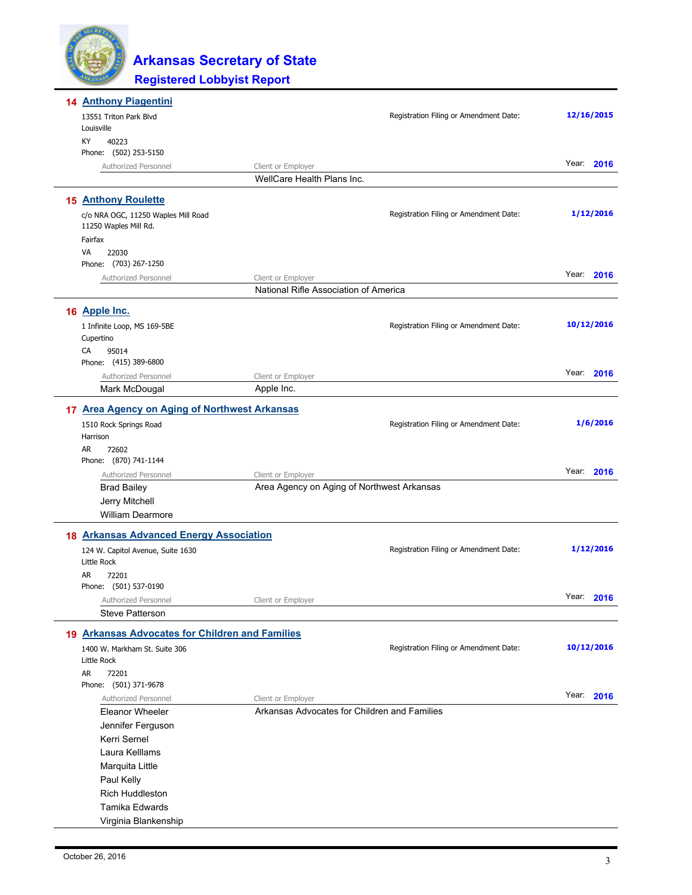| <b>14 Anthony Piagentini</b>                                 |                                              |                                        |               |
|--------------------------------------------------------------|----------------------------------------------|----------------------------------------|---------------|
| 13551 Triton Park Blvd                                       |                                              | Registration Filing or Amendment Date: | 12/16/2015    |
| Louisville                                                   |                                              |                                        |               |
| КY<br>40223                                                  |                                              |                                        |               |
| Phone: (502) 253-5150<br>Authorized Personnel                | Client or Employer                           |                                        | Year:<br>2016 |
|                                                              | WellCare Health Plans Inc.                   |                                        |               |
|                                                              |                                              |                                        |               |
| <b>15 Anthony Roulette</b>                                   |                                              |                                        |               |
| c/o NRA OGC, 11250 Waples Mill Road<br>11250 Waples Mill Rd. |                                              | Registration Filing or Amendment Date: | 1/12/2016     |
| Fairfax                                                      |                                              |                                        |               |
| VA<br>22030<br>Phone: (703) 267-1250                         |                                              |                                        |               |
| Authorized Personnel                                         | Client or Employer                           |                                        | Year: 2016    |
|                                                              | National Rifle Association of America        |                                        |               |
| 16 Apple Inc.                                                |                                              |                                        |               |
|                                                              |                                              | Registration Filing or Amendment Date: | 10/12/2016    |
| 1 Infinite Loop, MS 169-5BE<br>Cupertino                     |                                              |                                        |               |
| CA<br>95014                                                  |                                              |                                        |               |
| Phone: (415) 389-6800                                        |                                              |                                        |               |
| Authorized Personnel                                         | Client or Employer                           |                                        | Year: 2016    |
| Mark McDougal                                                | Apple Inc.                                   |                                        |               |
| 17 Area Agency on Aging of Northwest Arkansas                |                                              |                                        |               |
| 1510 Rock Springs Road                                       |                                              | Registration Filing or Amendment Date: | 1/6/2016      |
| Harrison                                                     |                                              |                                        |               |
| AR<br>72602<br>Phone: (870) 741-1144                         |                                              |                                        |               |
| Authorized Personnel                                         | Client or Employer                           |                                        | Year: 2016    |
| <b>Brad Bailey</b>                                           | Area Agency on Aging of Northwest Arkansas   |                                        |               |
| Jerry Mitchell                                               |                                              |                                        |               |
| <b>William Dearmore</b>                                      |                                              |                                        |               |
| 18 Arkansas Advanced Energy Association                      |                                              |                                        |               |
| 124 W. Capitol Avenue, Suite 1630<br><b>Little Rock</b>      |                                              | Registration Filing or Amendment Date: | 1/12/2016     |
| AR<br>72201                                                  |                                              |                                        |               |
| Phone: (501) 537-0190                                        |                                              |                                        |               |
| Authorized Personnel                                         | Client or Employer                           |                                        | Year: 2016    |
| <b>Steve Patterson</b>                                       |                                              |                                        |               |
| 19 Arkansas Advocates for Children and Families              |                                              |                                        |               |
| 1400 W. Markham St. Suite 306                                |                                              | Registration Filing or Amendment Date: | 10/12/2016    |
| Little Rock                                                  |                                              |                                        |               |
| AR<br>72201                                                  |                                              |                                        |               |
| Phone: (501) 371-9678<br>Authorized Personnel                | Client or Employer                           |                                        | Year: 2016    |
| <b>Eleanor Wheeler</b>                                       | Arkansas Advocates for Children and Families |                                        |               |
| Jennifer Ferguson                                            |                                              |                                        |               |
| Kerri Sernel                                                 |                                              |                                        |               |
| Laura Kelllams                                               |                                              |                                        |               |
| Marquita Little                                              |                                              |                                        |               |
| Paul Kelly                                                   |                                              |                                        |               |
| Rich Huddleston                                              |                                              |                                        |               |
| Tamika Edwards                                               |                                              |                                        |               |
| Virginia Blankenship                                         |                                              |                                        |               |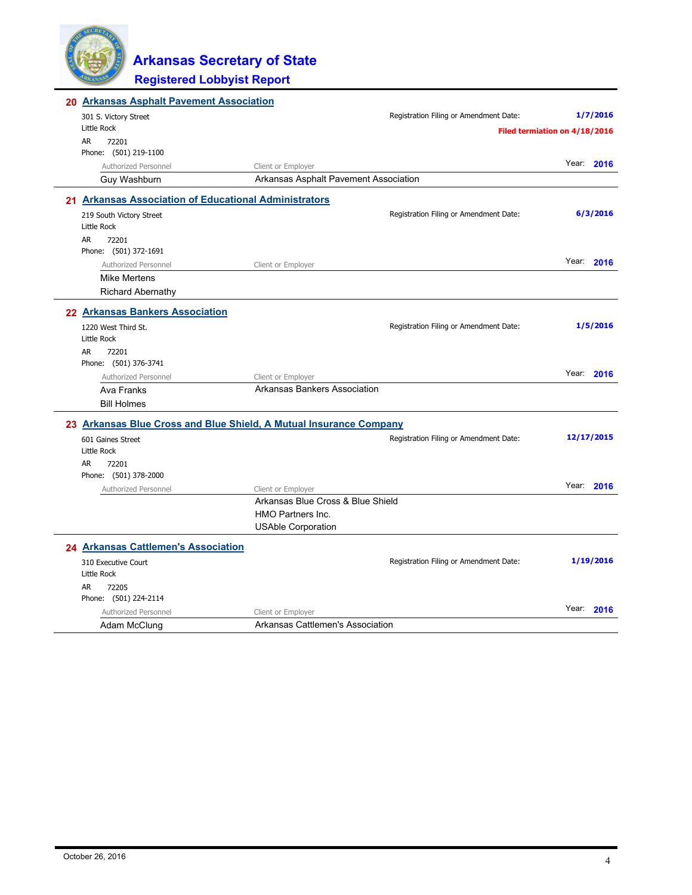

| 20 Arkansas Asphalt Pavement Association                           |                                       |                                        |            |           |
|--------------------------------------------------------------------|---------------------------------------|----------------------------------------|------------|-----------|
| 301 S. Victory Street                                              |                                       | Registration Filing or Amendment Date: |            | 1/7/2016  |
| <b>Little Rock</b>                                                 |                                       | Filed termiation on 4/18/2016          |            |           |
| AR.<br>72201                                                       |                                       |                                        |            |           |
| Phone: (501) 219-1100                                              |                                       |                                        |            |           |
| Authorized Personnel                                               | Client or Employer                    |                                        | Year: 2016 |           |
| Guy Washburn                                                       | Arkansas Asphalt Pavement Association |                                        |            |           |
| 21 Arkansas Association of Educational Administrators              |                                       |                                        |            |           |
| 219 South Victory Street                                           |                                       | Registration Filing or Amendment Date: |            | 6/3/2016  |
| Little Rock                                                        |                                       |                                        |            |           |
| AR<br>72201                                                        |                                       |                                        |            |           |
| Phone: (501) 372-1691                                              |                                       |                                        |            |           |
| Authorized Personnel                                               | Client or Employer                    |                                        | Year:      | 2016      |
| <b>Mike Mertens</b>                                                |                                       |                                        |            |           |
| <b>Richard Abernathy</b>                                           |                                       |                                        |            |           |
| 22 Arkansas Bankers Association                                    |                                       |                                        |            |           |
| 1220 West Third St.                                                |                                       | Registration Filing or Amendment Date: |            | 1/5/2016  |
| Little Rock                                                        |                                       |                                        |            |           |
| AR<br>72201                                                        |                                       |                                        |            |           |
| Phone: (501) 376-3741                                              |                                       |                                        |            |           |
| Authorized Personnel                                               | Client or Employer                    |                                        | Year:      | 2016      |
| Ava Franks                                                         | Arkansas Bankers Association          |                                        |            |           |
| <b>Bill Holmes</b>                                                 |                                       |                                        |            |           |
| 23 Arkansas Blue Cross and Blue Shield, A Mutual Insurance Company |                                       |                                        |            |           |
| 601 Gaines Street                                                  |                                       | Registration Filing or Amendment Date: | 12/17/2015 |           |
| Little Rock                                                        |                                       |                                        |            |           |
| AR<br>72201                                                        |                                       |                                        |            |           |
| Phone: (501) 378-2000                                              |                                       |                                        |            |           |
| Authorized Personnel                                               | Client or Employer                    |                                        | Year: 2016 |           |
|                                                                    | Arkansas Blue Cross & Blue Shield     |                                        |            |           |
|                                                                    | <b>HMO Partners Inc.</b>              |                                        |            |           |
|                                                                    | <b>USAble Corporation</b>             |                                        |            |           |
| 24 Arkansas Cattlemen's Association                                |                                       |                                        |            |           |
| 310 Executive Court                                                |                                       | Registration Filing or Amendment Date: |            | 1/19/2016 |
| Little Rock                                                        |                                       |                                        |            |           |
| AR<br>72205                                                        |                                       |                                        |            |           |
| Phone: (501) 224-2114                                              |                                       |                                        |            |           |
| Authorized Personnel                                               | Client or Employer                    |                                        | Year:      | 2016      |
| Adam McClung                                                       | Arkansas Cattlemen's Association      |                                        |            |           |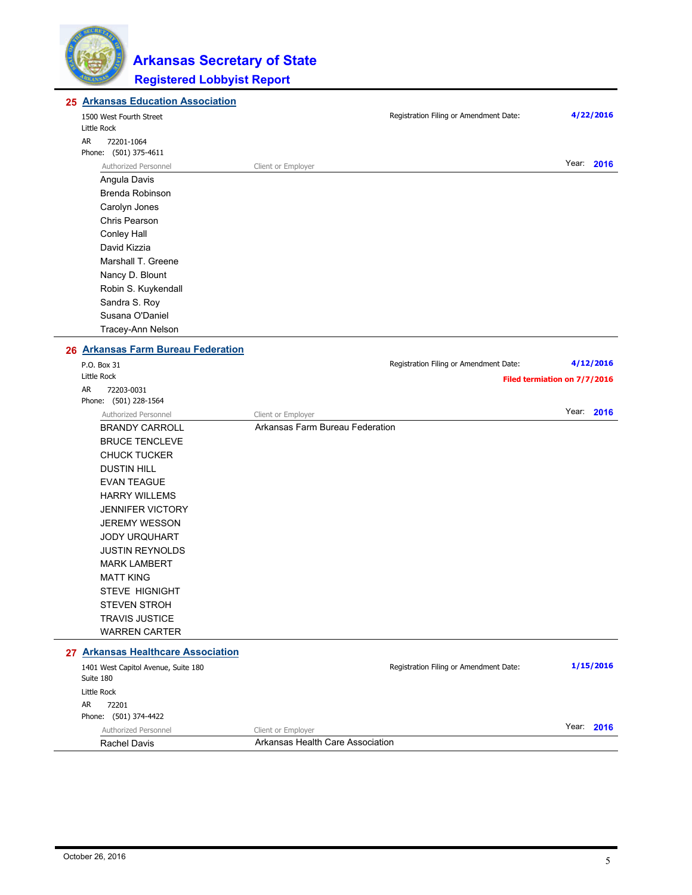

| 25 Arkansas Education Association                |                                  |                                        |                              |
|--------------------------------------------------|----------------------------------|----------------------------------------|------------------------------|
| 1500 West Fourth Street                          |                                  | Registration Filing or Amendment Date: | 4/22/2016                    |
| Little Rock                                      |                                  |                                        |                              |
| AR<br>72201-1064                                 |                                  |                                        |                              |
| Phone: (501) 375-4611                            |                                  |                                        |                              |
| Authorized Personnel                             | Client or Employer               |                                        | Year: 2016                   |
| Angula Davis                                     |                                  |                                        |                              |
| Brenda Robinson                                  |                                  |                                        |                              |
| Carolyn Jones                                    |                                  |                                        |                              |
| <b>Chris Pearson</b>                             |                                  |                                        |                              |
| <b>Conley Hall</b>                               |                                  |                                        |                              |
| David Kizzia                                     |                                  |                                        |                              |
| Marshall T. Greene                               |                                  |                                        |                              |
| Nancy D. Blount                                  |                                  |                                        |                              |
| Robin S. Kuykendall                              |                                  |                                        |                              |
| Sandra S. Roy                                    |                                  |                                        |                              |
| Susana O'Daniel                                  |                                  |                                        |                              |
| Tracey-Ann Nelson                                |                                  |                                        |                              |
| 26 Arkansas Farm Bureau Federation               |                                  |                                        |                              |
| P.O. Box 31                                      |                                  | Registration Filing or Amendment Date: | 4/12/2016                    |
| Little Rock                                      |                                  |                                        | Filed termiation on 7/7/2016 |
| AR<br>72203-0031                                 |                                  |                                        |                              |
| Phone: (501) 228-1564                            |                                  |                                        |                              |
| Authorized Personnel                             | Client or Employer               |                                        | Year: 2016                   |
| <b>BRANDY CARROLL</b>                            | Arkansas Farm Bureau Federation  |                                        |                              |
| <b>BRUCE TENCLEVE</b>                            |                                  |                                        |                              |
| <b>CHUCK TUCKER</b>                              |                                  |                                        |                              |
| <b>DUSTIN HILL</b>                               |                                  |                                        |                              |
| <b>EVAN TEAGUE</b>                               |                                  |                                        |                              |
| <b>HARRY WILLEMS</b>                             |                                  |                                        |                              |
| <b>JENNIFER VICTORY</b>                          |                                  |                                        |                              |
| <b>JEREMY WESSON</b>                             |                                  |                                        |                              |
| <b>JODY URQUHART</b>                             |                                  |                                        |                              |
| <b>JUSTIN REYNOLDS</b>                           |                                  |                                        |                              |
| <b>MARK LAMBERT</b>                              |                                  |                                        |                              |
| <b>MATT KING</b>                                 |                                  |                                        |                              |
| <b>STEVE HIGNIGHT</b>                            |                                  |                                        |                              |
| <b>STEVEN STROH</b>                              |                                  |                                        |                              |
| <b>TRAVIS JUSTICE</b>                            |                                  |                                        |                              |
| <b>WARREN CARTER</b>                             |                                  |                                        |                              |
| 27 Arkansas Healthcare Association               |                                  |                                        |                              |
| 1401 West Capitol Avenue, Suite 180<br>Suite 180 |                                  | Registration Filing or Amendment Date: | 1/15/2016                    |
| Little Rock                                      |                                  |                                        |                              |
| AR<br>72201                                      |                                  |                                        |                              |
| Phone: (501) 374-4422                            |                                  |                                        |                              |
| Authorized Personnel                             | Client or Employer               |                                        | Year: 2016                   |
| <b>Rachel Davis</b>                              | Arkansas Health Care Association |                                        |                              |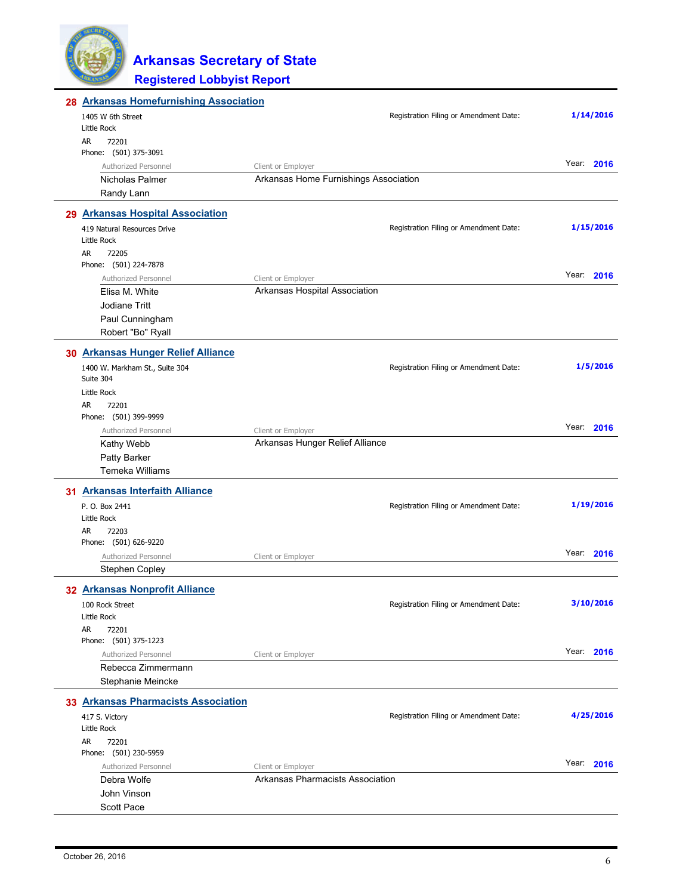

| 28 Arkansas Homefurnishing Association      |                                                             |                                        |               |
|---------------------------------------------|-------------------------------------------------------------|----------------------------------------|---------------|
| 1405 W 6th Street                           |                                                             | Registration Filing or Amendment Date: | 1/14/2016     |
| Little Rock                                 |                                                             |                                        |               |
| AR<br>72201                                 |                                                             |                                        |               |
| Phone: (501) 375-3091                       |                                                             |                                        | Year: 2016    |
| Authorized Personnel<br>Nicholas Palmer     | Client or Employer<br>Arkansas Home Furnishings Association |                                        |               |
| Randy Lann                                  |                                                             |                                        |               |
|                                             |                                                             |                                        |               |
| 29 Arkansas Hospital Association            |                                                             |                                        | 1/15/2016     |
| 419 Natural Resources Drive<br>Little Rock  |                                                             | Registration Filing or Amendment Date: |               |
| AR<br>72205<br>Phone: (501) 224-7878        |                                                             |                                        |               |
| Authorized Personnel                        | Client or Employer                                          |                                        | Year:<br>2016 |
| Elisa M. White                              | Arkansas Hospital Association                               |                                        |               |
| <b>Jodiane Tritt</b>                        |                                                             |                                        |               |
| Paul Cunningham                             |                                                             |                                        |               |
| Robert "Bo" Ryall                           |                                                             |                                        |               |
| 30 Arkansas Hunger Relief Alliance          |                                                             |                                        |               |
| 1400 W. Markham St., Suite 304<br>Suite 304 |                                                             | Registration Filing or Amendment Date: | 1/5/2016      |
| Little Rock                                 |                                                             |                                        |               |
| AR<br>72201                                 |                                                             |                                        |               |
| Phone: (501) 399-9999                       |                                                             |                                        |               |
| Authorized Personnel                        | Client or Employer                                          |                                        | Year:<br>2016 |
| Kathy Webb                                  | Arkansas Hunger Relief Alliance                             |                                        |               |
| Patty Barker                                |                                                             |                                        |               |
| Temeka Williams                             |                                                             |                                        |               |
| 31 Arkansas Interfaith Alliance             |                                                             |                                        |               |
| P. O. Box 2441<br>Little Rock               |                                                             | Registration Filing or Amendment Date: | 1/19/2016     |
| AR<br>72203                                 |                                                             |                                        |               |
| Phone: (501) 626-9220                       |                                                             |                                        |               |
| Authorized Personnel                        | Client or Employer                                          |                                        | Year:<br>2016 |
| Stephen Copley                              |                                                             |                                        |               |
| 32 Arkansas Nonprofit Alliance              |                                                             |                                        |               |
| 100 Rock Street                             |                                                             | Registration Filing or Amendment Date: | 3/10/2016     |
| Little Rock                                 |                                                             |                                        |               |
| AR<br>72201                                 |                                                             |                                        |               |
| Phone: (501) 375-1223                       |                                                             |                                        | Year: 2016    |
| Authorized Personnel                        | Client or Employer                                          |                                        |               |
| Rebecca Zimmermann                          |                                                             |                                        |               |
| Stephanie Meincke                           |                                                             |                                        |               |
| 33 Arkansas Pharmacists Association         |                                                             |                                        |               |
| 417 S. Victory                              |                                                             | Registration Filing or Amendment Date: | 4/25/2016     |
| Little Rock                                 |                                                             |                                        |               |
| AR<br>72201                                 |                                                             |                                        |               |
| Phone: (501) 230-5959                       |                                                             |                                        | Year: 2016    |
| Authorized Personnel<br>Debra Wolfe         | Client or Employer<br>Arkansas Pharmacists Association      |                                        |               |
| John Vinson                                 |                                                             |                                        |               |
| Scott Pace                                  |                                                             |                                        |               |
|                                             |                                                             |                                        |               |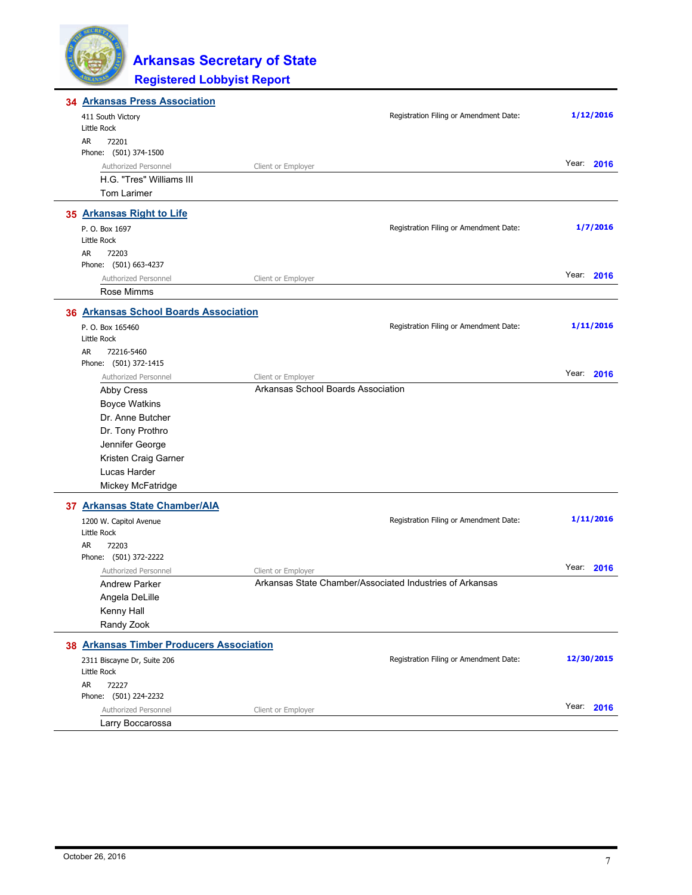| 34 Arkansas Press Association              |                                                          |            |
|--------------------------------------------|----------------------------------------------------------|------------|
| 411 South Victory                          | Registration Filing or Amendment Date:                   | 1/12/2016  |
| Little Rock                                |                                                          |            |
| AR<br>72201                                |                                                          |            |
| Phone: (501) 374-1500                      |                                                          |            |
| Authorized Personnel                       | Client or Employer                                       | Year: 2016 |
| H.G. "Tres" Williams III                   |                                                          |            |
| <b>Tom Larimer</b>                         |                                                          |            |
| 35 Arkansas Right to Life                  |                                                          |            |
| P. O. Box 1697                             | Registration Filing or Amendment Date:                   | 1/7/2016   |
| Little Rock                                |                                                          |            |
| AR<br>72203                                |                                                          |            |
| Phone: (501) 663-4237                      |                                                          |            |
| Authorized Personnel                       | Client or Employer                                       | Year: 2016 |
| Rose Mimms                                 |                                                          |            |
| 36 Arkansas School Boards Association      |                                                          |            |
| P. O. Box 165460                           | Registration Filing or Amendment Date:                   | 1/11/2016  |
| Little Rock                                |                                                          |            |
| AR<br>72216-5460                           |                                                          |            |
| Phone: (501) 372-1415                      |                                                          |            |
| Authorized Personnel                       | Client or Employer                                       | Year: 2016 |
| Abby Cress                                 | Arkansas School Boards Association                       |            |
| <b>Boyce Watkins</b>                       |                                                          |            |
| Dr. Anne Butcher                           |                                                          |            |
| Dr. Tony Prothro                           |                                                          |            |
| Jennifer George                            |                                                          |            |
| Kristen Craig Garner                       |                                                          |            |
| Lucas Harder                               |                                                          |            |
| Mickey McFatridge                          |                                                          |            |
| 37 Arkansas State Chamber/AIA              |                                                          |            |
| 1200 W. Capitol Avenue                     | Registration Filing or Amendment Date:                   | 1/11/2016  |
| Little Rock                                |                                                          |            |
| AR<br>72203                                |                                                          |            |
| Phone: (501) 372-2222                      |                                                          |            |
| Authorized Personnel                       | Client or Employer                                       | Year: 2016 |
| <b>Andrew Parker</b>                       | Arkansas State Chamber/Associated Industries of Arkansas |            |
| Angela DeLille                             |                                                          |            |
| Kenny Hall                                 |                                                          |            |
| Randy Zook                                 |                                                          |            |
| 38 Arkansas Timber Producers Association   |                                                          |            |
|                                            | Registration Filing or Amendment Date:                   | 12/30/2015 |
| 2311 Biscayne Dr, Suite 206<br>Little Rock |                                                          |            |
| AR<br>72227                                |                                                          |            |
| Phone: (501) 224-2232                      |                                                          |            |
| Authorized Personnel                       | Client or Employer                                       | Year: 2016 |
| Larry Boccarossa                           |                                                          |            |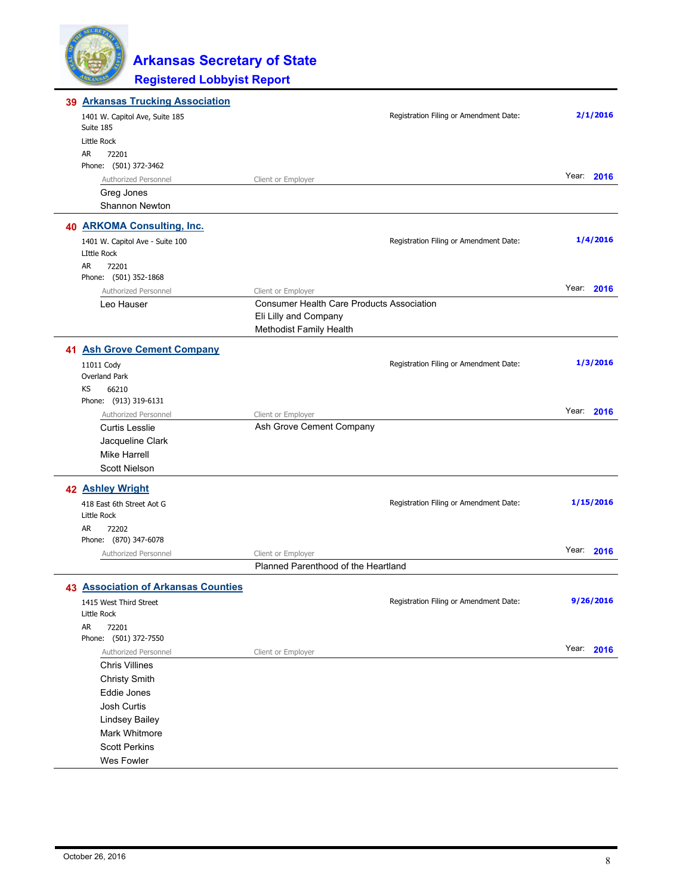| 39 | <b>Arkansas Trucking Association</b>        |                                                  |                                        |            |
|----|---------------------------------------------|--------------------------------------------------|----------------------------------------|------------|
|    | 1401 W. Capitol Ave, Suite 185<br>Suite 185 |                                                  | Registration Filing or Amendment Date: | 2/1/2016   |
|    | Little Rock                                 |                                                  |                                        |            |
|    | AR<br>72201                                 |                                                  |                                        |            |
|    | Phone: (501) 372-3462                       |                                                  |                                        |            |
|    | Authorized Personnel                        | Client or Employer                               |                                        | Year: 2016 |
|    | Greg Jones                                  |                                                  |                                        |            |
|    | Shannon Newton                              |                                                  |                                        |            |
|    | 40 ARKOMA Consulting, Inc.                  |                                                  |                                        |            |
|    | 1401 W. Capitol Ave - Suite 100             |                                                  | Registration Filing or Amendment Date: | 1/4/2016   |
|    | <b>LIttle Rock</b>                          |                                                  |                                        |            |
|    | AR.<br>72201<br>Phone: (501) 352-1868       |                                                  |                                        |            |
|    | Authorized Personnel                        | Client or Employer                               |                                        | Year: 2016 |
|    | Leo Hauser                                  | <b>Consumer Health Care Products Association</b> |                                        |            |
|    |                                             | Eli Lilly and Company                            |                                        |            |
|    |                                             | Methodist Family Health                          |                                        |            |
|    | 41 Ash Grove Cement Company                 |                                                  |                                        |            |
|    | 11011 Cody                                  |                                                  | Registration Filing or Amendment Date: | 1/3/2016   |
|    | Overland Park                               |                                                  |                                        |            |
|    | 66210<br>KS                                 |                                                  |                                        |            |
|    | Phone: (913) 319-6131                       |                                                  |                                        |            |
|    | Authorized Personnel                        | Client or Employer                               |                                        | Year: 2016 |
|    | <b>Curtis Lesslie</b>                       | Ash Grove Cement Company                         |                                        |            |
|    | Jacqueline Clark                            |                                                  |                                        |            |
|    | <b>Mike Harrell</b>                         |                                                  |                                        |            |
|    | <b>Scott Nielson</b>                        |                                                  |                                        |            |
|    | 42 Ashley Wright                            |                                                  |                                        |            |
|    | 418 East 6th Street Aot G                   |                                                  | Registration Filing or Amendment Date: | 1/15/2016  |
|    | Little Rock                                 |                                                  |                                        |            |
|    | AR<br>72202<br>Phone: (870) 347-6078        |                                                  |                                        |            |
|    | Authorized Personnel                        | Client or Employer                               |                                        | Year: 2016 |
|    |                                             | Planned Parenthood of the Heartland              |                                        |            |
|    |                                             |                                                  |                                        |            |
|    | <b>43 Association of Arkansas Counties</b>  |                                                  |                                        |            |
|    | 1415 West Third Street                      |                                                  | Registration Filing or Amendment Date: | 9/26/2016  |
|    | Little Rock<br>AR.<br>72201                 |                                                  |                                        |            |
|    | Phone: (501) 372-7550                       |                                                  |                                        |            |
|    | Authorized Personnel                        | Client or Employer                               |                                        | Year: 2016 |
|    | <b>Chris Villines</b>                       |                                                  |                                        |            |
|    | <b>Christy Smith</b>                        |                                                  |                                        |            |
|    | Eddie Jones                                 |                                                  |                                        |            |
|    | Josh Curtis                                 |                                                  |                                        |            |
|    | <b>Lindsey Bailey</b>                       |                                                  |                                        |            |
|    | Mark Whitmore                               |                                                  |                                        |            |
|    | <b>Scott Perkins</b>                        |                                                  |                                        |            |
|    | Wes Fowler                                  |                                                  |                                        |            |
|    |                                             |                                                  |                                        |            |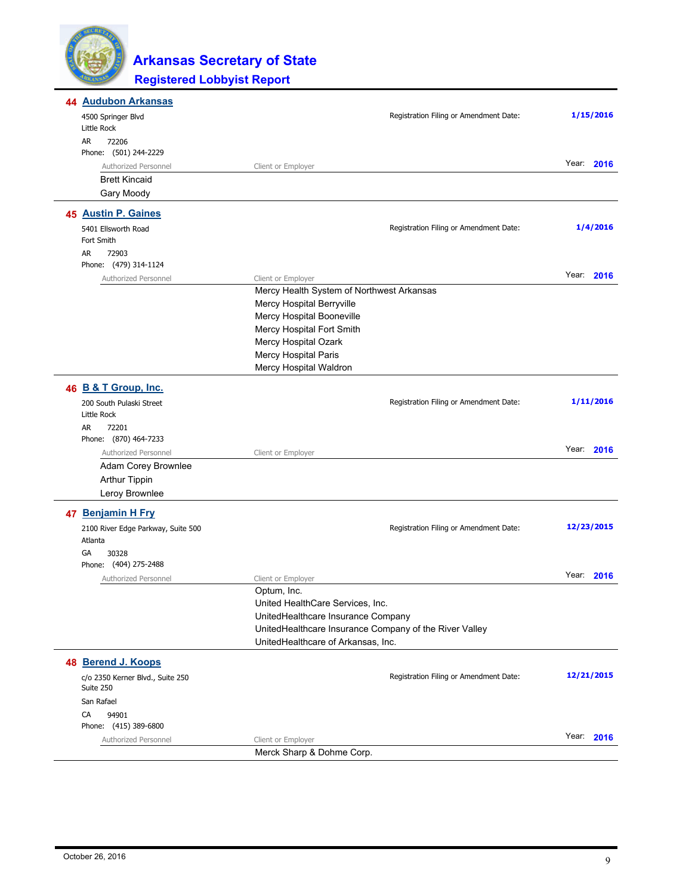

| 44 Audubon Arkansas                           |                                                        |               |
|-----------------------------------------------|--------------------------------------------------------|---------------|
| 4500 Springer Blvd                            | Registration Filing or Amendment Date:                 | 1/15/2016     |
| Little Rock                                   |                                                        |               |
| AR<br>72206                                   |                                                        |               |
| Phone: (501) 244-2229                         |                                                        | Year:<br>2016 |
| Authorized Personnel<br><b>Brett Kincaid</b>  | Client or Employer                                     |               |
|                                               |                                                        |               |
| Gary Moody                                    |                                                        |               |
| 45 Austin P. Gaines                           |                                                        |               |
| 5401 Ellsworth Road<br>Fort Smith             | Registration Filing or Amendment Date:                 | 1/4/2016      |
| AR<br>72903                                   |                                                        |               |
| Phone: (479) 314-1124                         |                                                        |               |
| Authorized Personnel                          | Client or Employer                                     | Year:<br>2016 |
|                                               | Mercy Health System of Northwest Arkansas              |               |
|                                               | Mercy Hospital Berryville                              |               |
|                                               | Mercy Hospital Booneville                              |               |
|                                               | Mercy Hospital Fort Smith                              |               |
|                                               | Mercy Hospital Ozark                                   |               |
|                                               | Mercy Hospital Paris                                   |               |
|                                               | Mercy Hospital Waldron                                 |               |
| 46 B & T Group, Inc.                          |                                                        |               |
| 200 South Pulaski Street                      | Registration Filing or Amendment Date:                 | 1/11/2016     |
| Little Rock                                   |                                                        |               |
| AR<br>72201                                   |                                                        |               |
| Phone: (870) 464-7233                         |                                                        |               |
| Authorized Personnel                          | Client or Employer                                     | Year: 2016    |
| Adam Corey Brownlee                           |                                                        |               |
| <b>Arthur Tippin</b>                          |                                                        |               |
| Leroy Brownlee                                |                                                        |               |
| 47 Benjamin H Fry                             |                                                        |               |
| 2100 River Edge Parkway, Suite 500            | Registration Filing or Amendment Date:                 | 12/23/2015    |
| Atlanta                                       |                                                        |               |
| GА<br>30328                                   |                                                        |               |
| Phone: (404) 275-2488                         |                                                        |               |
| Authorized Personnel                          | Client or Employer                                     | Year:<br>2016 |
|                                               | Optum, Inc.                                            |               |
|                                               | United HealthCare Services, Inc.                       |               |
|                                               | UnitedHealthcare Insurance Company                     |               |
|                                               | UnitedHealthcare Insurance Company of the River Valley |               |
|                                               | UnitedHealthcare of Arkansas, Inc.                     |               |
| 48 Berend J. Koops                            |                                                        |               |
| c/o 2350 Kerner Blvd., Suite 250<br>Suite 250 | Registration Filing or Amendment Date:                 | 12/21/2015    |
| San Rafael                                    |                                                        |               |
| CA<br>94901                                   |                                                        |               |
| Phone: (415) 389-6800                         |                                                        |               |
| Authorized Personnel                          | Client or Employer                                     | Year: 2016    |
|                                               | Merck Sharp & Dohme Corp.                              |               |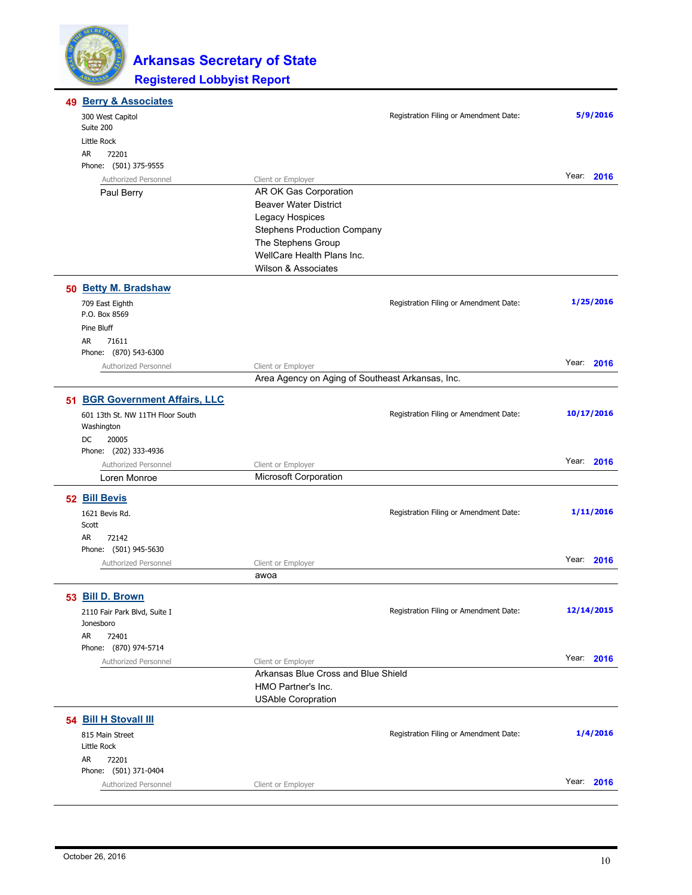

| 49 | <b>Berry &amp; Associates</b>        |                                                          |                                        |            |
|----|--------------------------------------|----------------------------------------------------------|----------------------------------------|------------|
|    | 300 West Capitol<br>Suite 200        |                                                          | Registration Filing or Amendment Date: | 5/9/2016   |
|    | Little Rock                          |                                                          |                                        |            |
|    | AR<br>72201                          |                                                          |                                        |            |
|    | Phone: (501) 375-9555                |                                                          |                                        |            |
|    | Authorized Personnel                 | Client or Employer                                       |                                        | Year: 2016 |
|    | Paul Berry                           | AR OK Gas Corporation                                    |                                        |            |
|    |                                      | <b>Beaver Water District</b>                             |                                        |            |
|    |                                      | Legacy Hospices                                          |                                        |            |
|    |                                      | <b>Stephens Production Company</b><br>The Stephens Group |                                        |            |
|    |                                      | WellCare Health Plans Inc.                               |                                        |            |
|    |                                      | <b>Wilson &amp; Associates</b>                           |                                        |            |
|    | 50 Betty M. Bradshaw                 |                                                          |                                        |            |
|    | 709 East Eighth                      |                                                          | Registration Filing or Amendment Date: | 1/25/2016  |
|    | P.O. Box 8569                        |                                                          |                                        |            |
|    | Pine Bluff                           |                                                          |                                        |            |
|    | AR<br>71611<br>Phone: (870) 543-6300 |                                                          |                                        |            |
|    | Authorized Personnel                 | Client or Employer                                       |                                        | Year: 2016 |
|    |                                      | Area Agency on Aging of Southeast Arkansas, Inc.         |                                        |            |
|    | 51 BGR Government Affairs, LLC       |                                                          |                                        |            |
|    | 601 13th St. NW 11TH Floor South     |                                                          | Registration Filing or Amendment Date: | 10/17/2016 |
|    | Washington                           |                                                          |                                        |            |
|    | DC<br>20005                          |                                                          |                                        |            |
|    | Phone: (202) 333-4936                |                                                          |                                        |            |
|    | Authorized Personnel                 | Client or Employer                                       |                                        | Year: 2016 |
|    | Loren Monroe                         | <b>Microsoft Corporation</b>                             |                                        |            |
|    | 52 Bill Bevis                        |                                                          |                                        |            |
|    | 1621 Bevis Rd.                       |                                                          | Registration Filing or Amendment Date: | 1/11/2016  |
|    | Scott                                |                                                          |                                        |            |
|    | AR<br>72142<br>Phone: (501) 945-5630 |                                                          |                                        |            |
|    | Authorized Personnel                 | Client or Employer                                       |                                        | Year: 2016 |
|    |                                      | awoa                                                     |                                        |            |
|    | 53 Bill D. Brown                     |                                                          |                                        |            |
|    | 2110 Fair Park Blvd, Suite I         |                                                          | Registration Filing or Amendment Date: | 12/14/2015 |
|    | Jonesboro                            |                                                          |                                        |            |
|    | AR<br>72401                          |                                                          |                                        |            |
|    | Phone: (870) 974-5714                |                                                          |                                        |            |
|    | Authorized Personnel                 | Client or Employer                                       |                                        | Year: 2016 |
|    |                                      | Arkansas Blue Cross and Blue Shield                      |                                        |            |
|    |                                      | HMO Partner's Inc.                                       |                                        |            |
|    |                                      | <b>USAble Coropration</b>                                |                                        |            |
|    | 54 Bill H Stovall III                |                                                          |                                        |            |
|    | 815 Main Street                      |                                                          | Registration Filing or Amendment Date: | 1/4/2016   |
|    | Little Rock                          |                                                          |                                        |            |
|    | AR<br>72201<br>Phone: (501) 371-0404 |                                                          |                                        |            |
|    | Authorized Personnel                 | Client or Employer                                       |                                        | Year: 2016 |
|    |                                      |                                                          |                                        |            |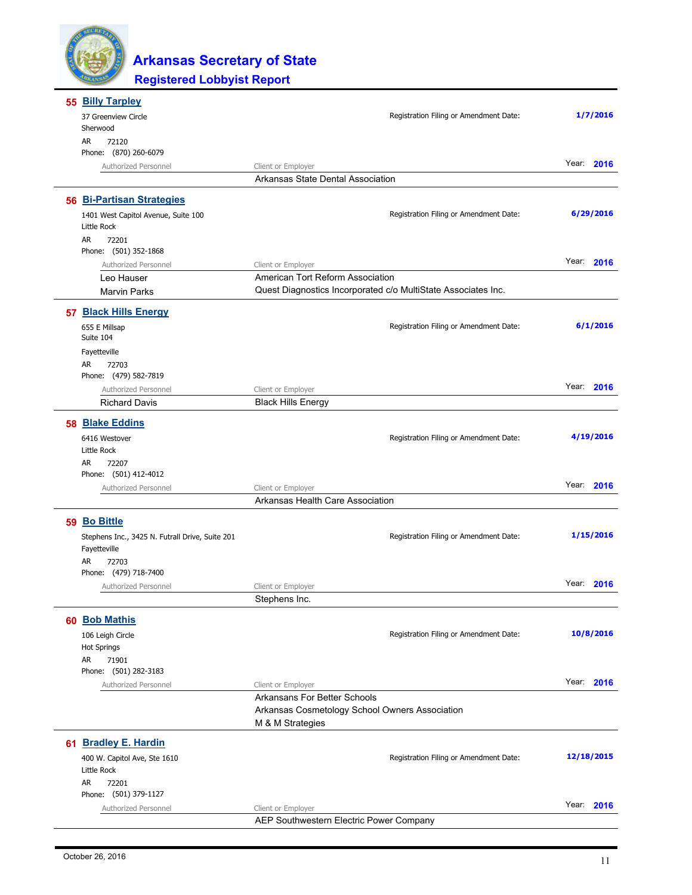

|    | 55 Billy Tarpley                                                |                                                               |               |
|----|-----------------------------------------------------------------|---------------------------------------------------------------|---------------|
|    | 37 Greenview Circle<br>Sherwood                                 | Registration Filing or Amendment Date:                        | 1/7/2016      |
|    | <b>AR</b><br>72120<br>Phone: (870) 260-6079                     |                                                               |               |
|    | Authorized Personnel                                            | Client or Employer                                            | Year: 2016    |
|    |                                                                 | Arkansas State Dental Association                             |               |
|    | 56 Bi-Partisan Strategies                                       |                                                               |               |
|    | 1401 West Capitol Avenue, Suite 100<br>Little Rock              | Registration Filing or Amendment Date:                        | 6/29/2016     |
|    | AR<br>72201                                                     |                                                               |               |
|    | Phone: (501) 352-1868                                           |                                                               |               |
|    | Authorized Personnel                                            | Client or Employer                                            | Year: 2016    |
|    | Leo Hauser                                                      | American Tort Reform Association                              |               |
|    | <b>Marvin Parks</b>                                             | Quest Diagnostics Incorporated c/o MultiState Associates Inc. |               |
|    | 57 Black Hills Energy                                           |                                                               |               |
|    | 655 E Millsap                                                   | Registration Filing or Amendment Date:                        | 6/1/2016      |
|    | Suite 104                                                       |                                                               |               |
|    | Fayetteville                                                    |                                                               |               |
|    | AR<br>72703<br>Phone: (479) 582-7819                            |                                                               |               |
|    | Authorized Personnel                                            | Client or Employer                                            | Year: 2016    |
|    | <b>Richard Davis</b>                                            | <b>Black Hills Energy</b>                                     |               |
|    | 58 Blake Eddins                                                 |                                                               |               |
|    |                                                                 | Registration Filing or Amendment Date:                        | 4/19/2016     |
|    | 6416 Westover<br>Little Rock                                    |                                                               |               |
|    | AR<br>72207                                                     |                                                               |               |
|    | Phone: (501) 412-4012                                           |                                                               |               |
|    | Authorized Personnel                                            | Client or Employer                                            | Year: 2016    |
|    |                                                                 | Arkansas Health Care Association                              |               |
|    | 59 Bo Bittle                                                    |                                                               |               |
|    | Stephens Inc., 3425 N. Futrall Drive, Suite 201<br>Fayetteville | Registration Filing or Amendment Date:                        | 1/15/2016     |
|    | AR<br>72703                                                     |                                                               |               |
|    | Phone: (479) 718-7400                                           |                                                               | Year: 2016    |
|    | Authorized Personnel                                            | Client or Employer<br>Stephens Inc.                           |               |
|    |                                                                 |                                                               |               |
|    | 60 Bob Mathis                                                   |                                                               |               |
|    | 106 Leigh Circle                                                | Registration Filing or Amendment Date:                        | 10/8/2016     |
|    | <b>Hot Springs</b><br>AR                                        |                                                               |               |
|    | 71901<br>Phone: (501) 282-3183                                  |                                                               |               |
|    | Authorized Personnel                                            | Client or Employer                                            | Year: 2016    |
|    |                                                                 | Arkansans For Better Schools                                  |               |
|    |                                                                 | Arkansas Cosmetology School Owners Association                |               |
|    |                                                                 | M & M Strategies                                              |               |
| 61 | <b>Bradley E. Hardin</b>                                        |                                                               |               |
|    | 400 W. Capitol Ave, Ste 1610                                    | Registration Filing or Amendment Date:                        | 12/18/2015    |
|    | Little Rock                                                     |                                                               |               |
|    | AR<br>72201                                                     |                                                               |               |
|    | Phone: (501) 379-1127<br>Authorized Personnel                   | Client or Employer                                            | Year:<br>2016 |
|    |                                                                 | AEP Southwestern Electric Power Company                       |               |
|    |                                                                 |                                                               |               |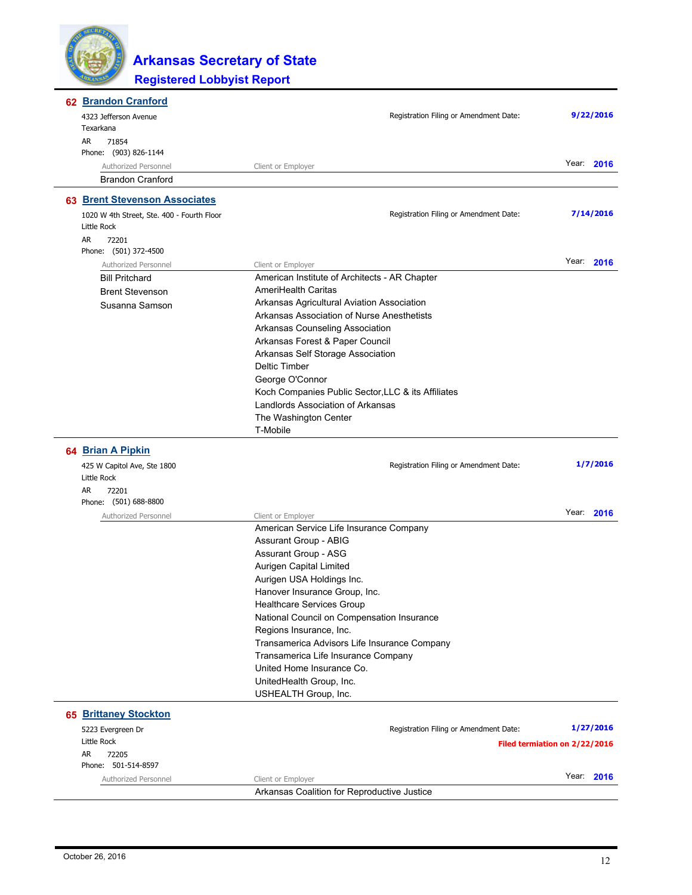

| 62 Brandon Cranford                        |                                                                                         |                               |
|--------------------------------------------|-----------------------------------------------------------------------------------------|-------------------------------|
| 4323 Jefferson Avenue                      | Registration Filing or Amendment Date:                                                  | 9/22/2016                     |
| Texarkana                                  |                                                                                         |                               |
| 71854<br>AR                                |                                                                                         |                               |
| Phone: (903) 826-1144                      |                                                                                         |                               |
| Authorized Personnel                       | Client or Employer                                                                      | Year:<br>2016                 |
| <b>Brandon Cranford</b>                    |                                                                                         |                               |
| 63 Brent Stevenson Associates              |                                                                                         |                               |
| 1020 W 4th Street, Ste. 400 - Fourth Floor | Registration Filing or Amendment Date:                                                  | 7/14/2016                     |
| Little Rock                                |                                                                                         |                               |
| AR<br>72201                                |                                                                                         |                               |
| Phone: (501) 372-4500                      |                                                                                         |                               |
| Authorized Personnel                       | Client or Employer                                                                      | Year:<br>2016                 |
| <b>Bill Pritchard</b>                      | American Institute of Architects - AR Chapter                                           |                               |
| <b>Brent Stevenson</b>                     | AmeriHealth Caritas                                                                     |                               |
| Susanna Samson                             | Arkansas Agricultural Aviation Association                                              |                               |
|                                            | Arkansas Association of Nurse Anesthetists                                              |                               |
|                                            | Arkansas Counseling Association                                                         |                               |
|                                            | Arkansas Forest & Paper Council                                                         |                               |
|                                            | Arkansas Self Storage Association                                                       |                               |
|                                            | <b>Deltic Timber</b>                                                                    |                               |
|                                            | George O'Connor                                                                         |                               |
|                                            | Koch Companies Public Sector, LLC & its Affiliates<br>Landlords Association of Arkansas |                               |
|                                            | The Washington Center                                                                   |                               |
|                                            | T-Mobile                                                                                |                               |
|                                            |                                                                                         |                               |
| 64 Brian A Pipkin                          |                                                                                         |                               |
| 425 W Capitol Ave, Ste 1800                | Registration Filing or Amendment Date:                                                  | 1/7/2016                      |
| Little Rock                                |                                                                                         |                               |
|                                            |                                                                                         |                               |
| AR<br>72201                                |                                                                                         |                               |
| Phone: (501) 688-8800                      |                                                                                         |                               |
| Authorized Personnel                       | Client or Employer                                                                      | Year: 2016                    |
|                                            | American Service Life Insurance Company                                                 |                               |
|                                            | Assurant Group - ABIG                                                                   |                               |
|                                            | <b>Assurant Group - ASG</b>                                                             |                               |
|                                            | Aurigen Capital Limited                                                                 |                               |
|                                            | Aurigen USA Holdings Inc.                                                               |                               |
|                                            | Hanover Insurance Group, Inc.                                                           |                               |
|                                            | Healthcare Services Group                                                               |                               |
|                                            | National Council on Compensation Insurance                                              |                               |
|                                            | Regions Insurance, Inc.<br>Transamerica Advisors Life Insurance Company                 |                               |
|                                            | Transamerica Life Insurance Company                                                     |                               |
|                                            | United Home Insurance Co.                                                               |                               |
|                                            | UnitedHealth Group, Inc.                                                                |                               |
|                                            | USHEALTH Group, Inc.                                                                    |                               |
| <b>65 Brittaney Stockton</b>               |                                                                                         |                               |
|                                            | Registration Filing or Amendment Date:                                                  | 1/27/2016                     |
| 5223 Evergreen Dr<br>Little Rock           |                                                                                         |                               |
| AR<br>72205                                |                                                                                         | Filed termiation on 2/22/2016 |
| Phone: 501-514-8597                        |                                                                                         |                               |
| Authorized Personnel                       | Client or Employer                                                                      | Year: 2016                    |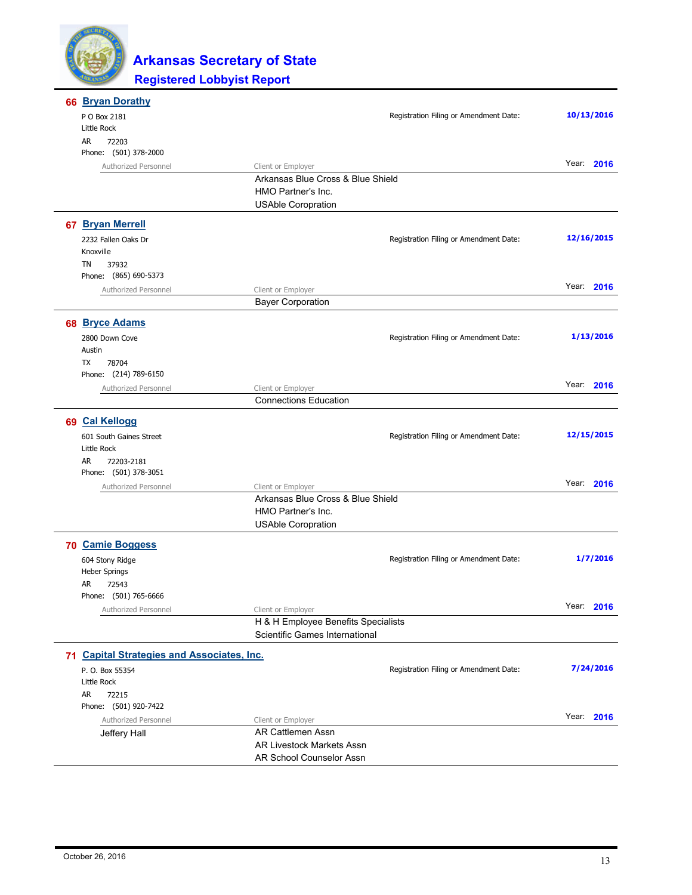

| 66 Bryan Dorathy                           |                                                              |                                        |               |
|--------------------------------------------|--------------------------------------------------------------|----------------------------------------|---------------|
| P O Box 2181                               |                                                              | Registration Filing or Amendment Date: | 10/13/2016    |
| Little Rock                                |                                                              |                                        |               |
| AR<br>72203                                |                                                              |                                        |               |
| Phone: (501) 378-2000                      |                                                              |                                        | Year:<br>2016 |
| Authorized Personnel                       | Client or Employer<br>Arkansas Blue Cross & Blue Shield      |                                        |               |
|                                            | HMO Partner's Inc.                                           |                                        |               |
|                                            | <b>USAble Coropration</b>                                    |                                        |               |
| 67 Bryan Merrell                           |                                                              |                                        |               |
| 2232 Fallen Oaks Dr                        |                                                              | Registration Filing or Amendment Date: | 12/16/2015    |
| Knoxville                                  |                                                              |                                        |               |
| <b>TN</b><br>37932                         |                                                              |                                        |               |
| Phone: (865) 690-5373                      |                                                              |                                        |               |
| Authorized Personnel                       | Client or Employer                                           |                                        | Year: 2016    |
|                                            | <b>Bayer Corporation</b>                                     |                                        |               |
| 68 Bryce Adams                             |                                                              |                                        |               |
| 2800 Down Cove                             |                                                              | Registration Filing or Amendment Date: | 1/13/2016     |
| Austin                                     |                                                              |                                        |               |
| TX<br>78704                                |                                                              |                                        |               |
| Phone: (214) 789-6150                      |                                                              |                                        |               |
| Authorized Personnel                       | Client or Employer                                           |                                        | Year: 2016    |
|                                            | <b>Connections Education</b>                                 |                                        |               |
| 69 Cal Kellogg                             |                                                              |                                        |               |
| 601 South Gaines Street                    |                                                              | Registration Filing or Amendment Date: | 12/15/2015    |
| Little Rock                                |                                                              |                                        |               |
| AR<br>72203-2181                           |                                                              |                                        |               |
| Phone: (501) 378-3051                      |                                                              |                                        |               |
| Authorized Personnel                       | Client or Employer                                           |                                        | Year: 2016    |
|                                            | Arkansas Blue Cross & Blue Shield                            |                                        |               |
|                                            | HMO Partner's Inc.                                           |                                        |               |
|                                            | <b>USAble Coropration</b>                                    |                                        |               |
| 70 Camie Boggess                           |                                                              |                                        |               |
| 604 Stony Ridge                            |                                                              | Registration Filing or Amendment Date: | 1/7/2016      |
| Heber Springs                              |                                                              |                                        |               |
| AR<br>72543                                |                                                              |                                        |               |
| Phone: (501) 765-6666                      |                                                              |                                        |               |
| Authorized Personnel                       | Client or Employer                                           |                                        | Year: 2016    |
|                                            | H & H Employee Benefits Specialists                          |                                        |               |
|                                            | Scientific Games International                               |                                        |               |
| 71 Capital Strategies and Associates, Inc. |                                                              |                                        |               |
| P. O. Box 55354                            |                                                              | Registration Filing or Amendment Date: | 7/24/2016     |
| Little Rock                                |                                                              |                                        |               |
| AR<br>72215                                |                                                              |                                        |               |
| Phone: (501) 920-7422                      |                                                              |                                        | Year: 2016    |
| Authorized Personnel                       | Client or Employer                                           |                                        |               |
| Jeffery Hall                               | <b>AR Cattlemen Assn</b>                                     |                                        |               |
|                                            | <b>AR Livestock Markets Assn</b><br>AR School Counselor Assn |                                        |               |
|                                            |                                                              |                                        |               |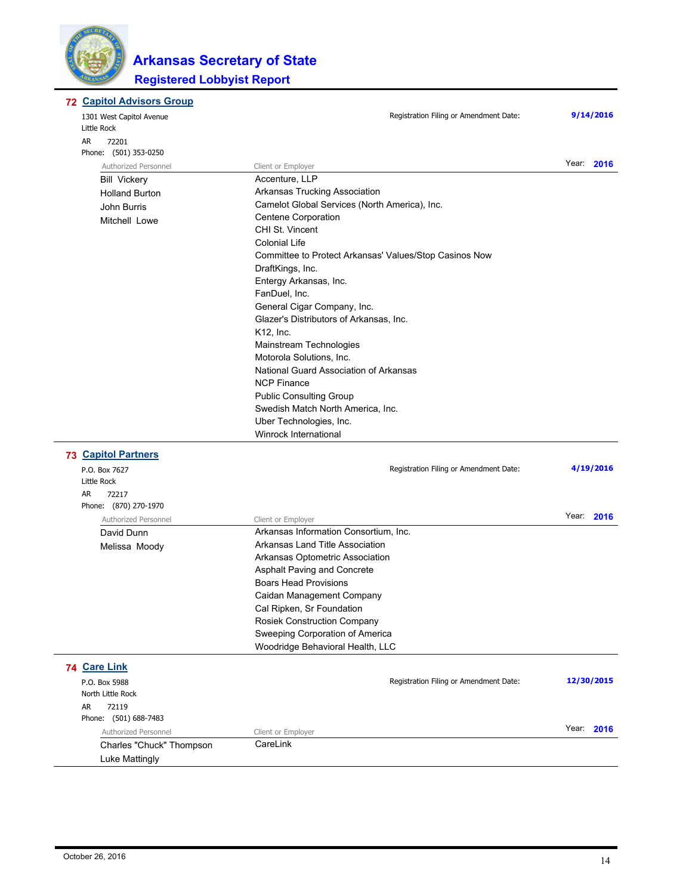

| 9/14/2016<br>Registration Filing or Amendment Date:<br>1301 West Capitol Avenue<br>Little Rock<br>AR<br>72201<br>Phone: (501) 353-0250<br>Year: 2016<br>Authorized Personnel<br>Client or Employer<br>Accenture, LLP<br><b>Bill Vickery</b><br>Arkansas Trucking Association<br><b>Holland Burton</b><br>Camelot Global Services (North America), Inc.<br>John Burris<br><b>Centene Corporation</b><br>Mitchell Lowe<br>CHI St. Vincent<br><b>Colonial Life</b><br>Committee to Protect Arkansas' Values/Stop Casinos Now<br>DraftKings, Inc.<br>Entergy Arkansas, Inc.<br>FanDuel, Inc.<br>General Cigar Company, Inc.<br>Glazer's Distributors of Arkansas, Inc.<br>K12, Inc.<br>Mainstream Technologies<br>Motorola Solutions, Inc.<br>National Guard Association of Arkansas<br><b>NCP Finance</b><br><b>Public Consulting Group</b><br>Swedish Match North America, Inc.<br>Uber Technologies, Inc.<br>Winrock International<br><b>73 Capitol Partners</b><br>4/19/2016<br>Registration Filing or Amendment Date:<br>P.O. Box 7627<br>Little Rock<br>AR<br>72217<br>Phone: (870) 270-1970<br>Year: 2016<br>Authorized Personnel<br>Client or Employer<br>Arkansas Information Consortium, Inc.<br>David Dunn<br>Arkansas Land Title Association<br>Melissa Moody<br>Arkansas Optometric Association<br>Asphalt Paving and Concrete<br><b>Boars Head Provisions</b><br>Caidan Management Company<br>Cal Ripken, Sr Foundation<br><b>Rosiek Construction Company</b><br>Sweeping Corporation of America<br>Woodridge Behavioral Health, LLC<br>74 Care Link<br>12/30/2015<br>Registration Filing or Amendment Date:<br>P.O. Box 5988<br>North Little Rock<br>AR<br>72119<br>Phone: (501) 688-7483<br>Year:<br>2016<br>Authorized Personnel<br>Client or Employer<br>CareLink<br>Charles "Chuck" Thompson<br>Luke Mattingly | <b>72 Capitol Advisors Group</b> |  |
|-------------------------------------------------------------------------------------------------------------------------------------------------------------------------------------------------------------------------------------------------------------------------------------------------------------------------------------------------------------------------------------------------------------------------------------------------------------------------------------------------------------------------------------------------------------------------------------------------------------------------------------------------------------------------------------------------------------------------------------------------------------------------------------------------------------------------------------------------------------------------------------------------------------------------------------------------------------------------------------------------------------------------------------------------------------------------------------------------------------------------------------------------------------------------------------------------------------------------------------------------------------------------------------------------------------------------------------------------------------------------------------------------------------------------------------------------------------------------------------------------------------------------------------------------------------------------------------------------------------------------------------------------------------------------------------------------------------------------------------------------------------------------------------------------------------------------------|----------------------------------|--|
|                                                                                                                                                                                                                                                                                                                                                                                                                                                                                                                                                                                                                                                                                                                                                                                                                                                                                                                                                                                                                                                                                                                                                                                                                                                                                                                                                                                                                                                                                                                                                                                                                                                                                                                                                                                                                               |                                  |  |
|                                                                                                                                                                                                                                                                                                                                                                                                                                                                                                                                                                                                                                                                                                                                                                                                                                                                                                                                                                                                                                                                                                                                                                                                                                                                                                                                                                                                                                                                                                                                                                                                                                                                                                                                                                                                                               |                                  |  |
|                                                                                                                                                                                                                                                                                                                                                                                                                                                                                                                                                                                                                                                                                                                                                                                                                                                                                                                                                                                                                                                                                                                                                                                                                                                                                                                                                                                                                                                                                                                                                                                                                                                                                                                                                                                                                               |                                  |  |
|                                                                                                                                                                                                                                                                                                                                                                                                                                                                                                                                                                                                                                                                                                                                                                                                                                                                                                                                                                                                                                                                                                                                                                                                                                                                                                                                                                                                                                                                                                                                                                                                                                                                                                                                                                                                                               |                                  |  |
|                                                                                                                                                                                                                                                                                                                                                                                                                                                                                                                                                                                                                                                                                                                                                                                                                                                                                                                                                                                                                                                                                                                                                                                                                                                                                                                                                                                                                                                                                                                                                                                                                                                                                                                                                                                                                               |                                  |  |
|                                                                                                                                                                                                                                                                                                                                                                                                                                                                                                                                                                                                                                                                                                                                                                                                                                                                                                                                                                                                                                                                                                                                                                                                                                                                                                                                                                                                                                                                                                                                                                                                                                                                                                                                                                                                                               |                                  |  |
|                                                                                                                                                                                                                                                                                                                                                                                                                                                                                                                                                                                                                                                                                                                                                                                                                                                                                                                                                                                                                                                                                                                                                                                                                                                                                                                                                                                                                                                                                                                                                                                                                                                                                                                                                                                                                               |                                  |  |
|                                                                                                                                                                                                                                                                                                                                                                                                                                                                                                                                                                                                                                                                                                                                                                                                                                                                                                                                                                                                                                                                                                                                                                                                                                                                                                                                                                                                                                                                                                                                                                                                                                                                                                                                                                                                                               |                                  |  |
|                                                                                                                                                                                                                                                                                                                                                                                                                                                                                                                                                                                                                                                                                                                                                                                                                                                                                                                                                                                                                                                                                                                                                                                                                                                                                                                                                                                                                                                                                                                                                                                                                                                                                                                                                                                                                               |                                  |  |
|                                                                                                                                                                                                                                                                                                                                                                                                                                                                                                                                                                                                                                                                                                                                                                                                                                                                                                                                                                                                                                                                                                                                                                                                                                                                                                                                                                                                                                                                                                                                                                                                                                                                                                                                                                                                                               |                                  |  |
|                                                                                                                                                                                                                                                                                                                                                                                                                                                                                                                                                                                                                                                                                                                                                                                                                                                                                                                                                                                                                                                                                                                                                                                                                                                                                                                                                                                                                                                                                                                                                                                                                                                                                                                                                                                                                               |                                  |  |
|                                                                                                                                                                                                                                                                                                                                                                                                                                                                                                                                                                                                                                                                                                                                                                                                                                                                                                                                                                                                                                                                                                                                                                                                                                                                                                                                                                                                                                                                                                                                                                                                                                                                                                                                                                                                                               |                                  |  |
|                                                                                                                                                                                                                                                                                                                                                                                                                                                                                                                                                                                                                                                                                                                                                                                                                                                                                                                                                                                                                                                                                                                                                                                                                                                                                                                                                                                                                                                                                                                                                                                                                                                                                                                                                                                                                               |                                  |  |
|                                                                                                                                                                                                                                                                                                                                                                                                                                                                                                                                                                                                                                                                                                                                                                                                                                                                                                                                                                                                                                                                                                                                                                                                                                                                                                                                                                                                                                                                                                                                                                                                                                                                                                                                                                                                                               |                                  |  |
|                                                                                                                                                                                                                                                                                                                                                                                                                                                                                                                                                                                                                                                                                                                                                                                                                                                                                                                                                                                                                                                                                                                                                                                                                                                                                                                                                                                                                                                                                                                                                                                                                                                                                                                                                                                                                               |                                  |  |
|                                                                                                                                                                                                                                                                                                                                                                                                                                                                                                                                                                                                                                                                                                                                                                                                                                                                                                                                                                                                                                                                                                                                                                                                                                                                                                                                                                                                                                                                                                                                                                                                                                                                                                                                                                                                                               |                                  |  |
|                                                                                                                                                                                                                                                                                                                                                                                                                                                                                                                                                                                                                                                                                                                                                                                                                                                                                                                                                                                                                                                                                                                                                                                                                                                                                                                                                                                                                                                                                                                                                                                                                                                                                                                                                                                                                               |                                  |  |
|                                                                                                                                                                                                                                                                                                                                                                                                                                                                                                                                                                                                                                                                                                                                                                                                                                                                                                                                                                                                                                                                                                                                                                                                                                                                                                                                                                                                                                                                                                                                                                                                                                                                                                                                                                                                                               |                                  |  |
|                                                                                                                                                                                                                                                                                                                                                                                                                                                                                                                                                                                                                                                                                                                                                                                                                                                                                                                                                                                                                                                                                                                                                                                                                                                                                                                                                                                                                                                                                                                                                                                                                                                                                                                                                                                                                               |                                  |  |
|                                                                                                                                                                                                                                                                                                                                                                                                                                                                                                                                                                                                                                                                                                                                                                                                                                                                                                                                                                                                                                                                                                                                                                                                                                                                                                                                                                                                                                                                                                                                                                                                                                                                                                                                                                                                                               |                                  |  |
|                                                                                                                                                                                                                                                                                                                                                                                                                                                                                                                                                                                                                                                                                                                                                                                                                                                                                                                                                                                                                                                                                                                                                                                                                                                                                                                                                                                                                                                                                                                                                                                                                                                                                                                                                                                                                               |                                  |  |
|                                                                                                                                                                                                                                                                                                                                                                                                                                                                                                                                                                                                                                                                                                                                                                                                                                                                                                                                                                                                                                                                                                                                                                                                                                                                                                                                                                                                                                                                                                                                                                                                                                                                                                                                                                                                                               |                                  |  |
|                                                                                                                                                                                                                                                                                                                                                                                                                                                                                                                                                                                                                                                                                                                                                                                                                                                                                                                                                                                                                                                                                                                                                                                                                                                                                                                                                                                                                                                                                                                                                                                                                                                                                                                                                                                                                               |                                  |  |
|                                                                                                                                                                                                                                                                                                                                                                                                                                                                                                                                                                                                                                                                                                                                                                                                                                                                                                                                                                                                                                                                                                                                                                                                                                                                                                                                                                                                                                                                                                                                                                                                                                                                                                                                                                                                                               |                                  |  |
|                                                                                                                                                                                                                                                                                                                                                                                                                                                                                                                                                                                                                                                                                                                                                                                                                                                                                                                                                                                                                                                                                                                                                                                                                                                                                                                                                                                                                                                                                                                                                                                                                                                                                                                                                                                                                               |                                  |  |
|                                                                                                                                                                                                                                                                                                                                                                                                                                                                                                                                                                                                                                                                                                                                                                                                                                                                                                                                                                                                                                                                                                                                                                                                                                                                                                                                                                                                                                                                                                                                                                                                                                                                                                                                                                                                                               |                                  |  |
|                                                                                                                                                                                                                                                                                                                                                                                                                                                                                                                                                                                                                                                                                                                                                                                                                                                                                                                                                                                                                                                                                                                                                                                                                                                                                                                                                                                                                                                                                                                                                                                                                                                                                                                                                                                                                               |                                  |  |
|                                                                                                                                                                                                                                                                                                                                                                                                                                                                                                                                                                                                                                                                                                                                                                                                                                                                                                                                                                                                                                                                                                                                                                                                                                                                                                                                                                                                                                                                                                                                                                                                                                                                                                                                                                                                                               |                                  |  |
|                                                                                                                                                                                                                                                                                                                                                                                                                                                                                                                                                                                                                                                                                                                                                                                                                                                                                                                                                                                                                                                                                                                                                                                                                                                                                                                                                                                                                                                                                                                                                                                                                                                                                                                                                                                                                               |                                  |  |
|                                                                                                                                                                                                                                                                                                                                                                                                                                                                                                                                                                                                                                                                                                                                                                                                                                                                                                                                                                                                                                                                                                                                                                                                                                                                                                                                                                                                                                                                                                                                                                                                                                                                                                                                                                                                                               |                                  |  |
|                                                                                                                                                                                                                                                                                                                                                                                                                                                                                                                                                                                                                                                                                                                                                                                                                                                                                                                                                                                                                                                                                                                                                                                                                                                                                                                                                                                                                                                                                                                                                                                                                                                                                                                                                                                                                               |                                  |  |
|                                                                                                                                                                                                                                                                                                                                                                                                                                                                                                                                                                                                                                                                                                                                                                                                                                                                                                                                                                                                                                                                                                                                                                                                                                                                                                                                                                                                                                                                                                                                                                                                                                                                                                                                                                                                                               |                                  |  |
|                                                                                                                                                                                                                                                                                                                                                                                                                                                                                                                                                                                                                                                                                                                                                                                                                                                                                                                                                                                                                                                                                                                                                                                                                                                                                                                                                                                                                                                                                                                                                                                                                                                                                                                                                                                                                               |                                  |  |
|                                                                                                                                                                                                                                                                                                                                                                                                                                                                                                                                                                                                                                                                                                                                                                                                                                                                                                                                                                                                                                                                                                                                                                                                                                                                                                                                                                                                                                                                                                                                                                                                                                                                                                                                                                                                                               |                                  |  |
|                                                                                                                                                                                                                                                                                                                                                                                                                                                                                                                                                                                                                                                                                                                                                                                                                                                                                                                                                                                                                                                                                                                                                                                                                                                                                                                                                                                                                                                                                                                                                                                                                                                                                                                                                                                                                               |                                  |  |
|                                                                                                                                                                                                                                                                                                                                                                                                                                                                                                                                                                                                                                                                                                                                                                                                                                                                                                                                                                                                                                                                                                                                                                                                                                                                                                                                                                                                                                                                                                                                                                                                                                                                                                                                                                                                                               |                                  |  |
|                                                                                                                                                                                                                                                                                                                                                                                                                                                                                                                                                                                                                                                                                                                                                                                                                                                                                                                                                                                                                                                                                                                                                                                                                                                                                                                                                                                                                                                                                                                                                                                                                                                                                                                                                                                                                               |                                  |  |
|                                                                                                                                                                                                                                                                                                                                                                                                                                                                                                                                                                                                                                                                                                                                                                                                                                                                                                                                                                                                                                                                                                                                                                                                                                                                                                                                                                                                                                                                                                                                                                                                                                                                                                                                                                                                                               |                                  |  |
|                                                                                                                                                                                                                                                                                                                                                                                                                                                                                                                                                                                                                                                                                                                                                                                                                                                                                                                                                                                                                                                                                                                                                                                                                                                                                                                                                                                                                                                                                                                                                                                                                                                                                                                                                                                                                               |                                  |  |
|                                                                                                                                                                                                                                                                                                                                                                                                                                                                                                                                                                                                                                                                                                                                                                                                                                                                                                                                                                                                                                                                                                                                                                                                                                                                                                                                                                                                                                                                                                                                                                                                                                                                                                                                                                                                                               |                                  |  |
|                                                                                                                                                                                                                                                                                                                                                                                                                                                                                                                                                                                                                                                                                                                                                                                                                                                                                                                                                                                                                                                                                                                                                                                                                                                                                                                                                                                                                                                                                                                                                                                                                                                                                                                                                                                                                               |                                  |  |
|                                                                                                                                                                                                                                                                                                                                                                                                                                                                                                                                                                                                                                                                                                                                                                                                                                                                                                                                                                                                                                                                                                                                                                                                                                                                                                                                                                                                                                                                                                                                                                                                                                                                                                                                                                                                                               |                                  |  |
|                                                                                                                                                                                                                                                                                                                                                                                                                                                                                                                                                                                                                                                                                                                                                                                                                                                                                                                                                                                                                                                                                                                                                                                                                                                                                                                                                                                                                                                                                                                                                                                                                                                                                                                                                                                                                               |                                  |  |
|                                                                                                                                                                                                                                                                                                                                                                                                                                                                                                                                                                                                                                                                                                                                                                                                                                                                                                                                                                                                                                                                                                                                                                                                                                                                                                                                                                                                                                                                                                                                                                                                                                                                                                                                                                                                                               |                                  |  |
|                                                                                                                                                                                                                                                                                                                                                                                                                                                                                                                                                                                                                                                                                                                                                                                                                                                                                                                                                                                                                                                                                                                                                                                                                                                                                                                                                                                                                                                                                                                                                                                                                                                                                                                                                                                                                               |                                  |  |
|                                                                                                                                                                                                                                                                                                                                                                                                                                                                                                                                                                                                                                                                                                                                                                                                                                                                                                                                                                                                                                                                                                                                                                                                                                                                                                                                                                                                                                                                                                                                                                                                                                                                                                                                                                                                                               |                                  |  |
|                                                                                                                                                                                                                                                                                                                                                                                                                                                                                                                                                                                                                                                                                                                                                                                                                                                                                                                                                                                                                                                                                                                                                                                                                                                                                                                                                                                                                                                                                                                                                                                                                                                                                                                                                                                                                               |                                  |  |
|                                                                                                                                                                                                                                                                                                                                                                                                                                                                                                                                                                                                                                                                                                                                                                                                                                                                                                                                                                                                                                                                                                                                                                                                                                                                                                                                                                                                                                                                                                                                                                                                                                                                                                                                                                                                                               |                                  |  |
|                                                                                                                                                                                                                                                                                                                                                                                                                                                                                                                                                                                                                                                                                                                                                                                                                                                                                                                                                                                                                                                                                                                                                                                                                                                                                                                                                                                                                                                                                                                                                                                                                                                                                                                                                                                                                               |                                  |  |
|                                                                                                                                                                                                                                                                                                                                                                                                                                                                                                                                                                                                                                                                                                                                                                                                                                                                                                                                                                                                                                                                                                                                                                                                                                                                                                                                                                                                                                                                                                                                                                                                                                                                                                                                                                                                                               |                                  |  |
|                                                                                                                                                                                                                                                                                                                                                                                                                                                                                                                                                                                                                                                                                                                                                                                                                                                                                                                                                                                                                                                                                                                                                                                                                                                                                                                                                                                                                                                                                                                                                                                                                                                                                                                                                                                                                               |                                  |  |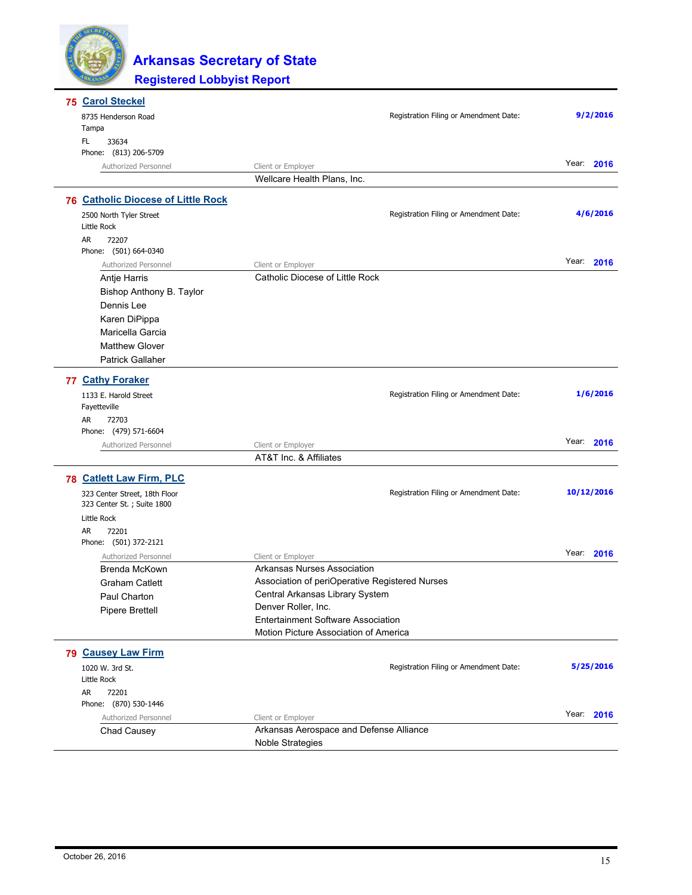

| 75 Carol Steckel                          |                                                |            |
|-------------------------------------------|------------------------------------------------|------------|
| 8735 Henderson Road                       | Registration Filing or Amendment Date:         | 9/2/2016   |
| Tampa                                     |                                                |            |
| FL<br>33634                               |                                                |            |
| Phone: (813) 206-5709                     |                                                |            |
| Authorized Personnel                      | Client or Employer                             | Year: 2016 |
|                                           | Wellcare Health Plans, Inc.                    |            |
| <b>76 Catholic Diocese of Little Rock</b> |                                                |            |
| 2500 North Tyler Street                   | Registration Filing or Amendment Date:         | 4/6/2016   |
| Little Rock                               |                                                |            |
| AR<br>72207                               |                                                |            |
| Phone: (501) 664-0340                     |                                                |            |
| Authorized Personnel                      | Client or Employer                             | Year: 2016 |
| Antje Harris                              | Catholic Diocese of Little Rock                |            |
| Bishop Anthony B. Taylor                  |                                                |            |
| Dennis Lee                                |                                                |            |
| Karen DiPippa                             |                                                |            |
| Maricella Garcia                          |                                                |            |
| <b>Matthew Glover</b>                     |                                                |            |
| <b>Patrick Gallaher</b>                   |                                                |            |
| 77 Cathy Foraker                          |                                                |            |
| 1133 E. Harold Street                     | Registration Filing or Amendment Date:         | 1/6/2016   |
| Fayetteville                              |                                                |            |
| AR<br>72703                               |                                                |            |
| Phone: (479) 571-6604                     |                                                |            |
| Authorized Personnel                      | Client or Employer                             | Year: 2016 |
|                                           | AT&T Inc. & Affiliates                         |            |
| 78 Catlett Law Firm, PLC                  |                                                |            |
| 323 Center Street, 18th Floor             | Registration Filing or Amendment Date:         | 10/12/2016 |
| 323 Center St. ; Suite 1800               |                                                |            |
| Little Rock                               |                                                |            |
| AR<br>72201                               |                                                |            |
| Phone: (501) 372-2121                     |                                                |            |
| Authorized Personnel                      | Client or Employer                             | Year: 2016 |
| Brenda McKown                             | Arkansas Nurses Association                    |            |
| <b>Graham Catlett</b>                     | Association of periOperative Registered Nurses |            |
| Paul Charton                              | Central Arkansas Library System                |            |
| <b>Pipere Brettell</b>                    | Denver Roller, Inc.                            |            |
|                                           | <b>Entertainment Software Association</b>      |            |
|                                           | Motion Picture Association of America          |            |
| 79 Causey Law Firm                        |                                                |            |
| 1020 W. 3rd St.                           | Registration Filing or Amendment Date:         | 5/25/2016  |
| Little Rock                               |                                                |            |
| AR<br>72201                               |                                                |            |
| Phone: (870) 530-1446                     |                                                |            |
| Authorized Personnel                      | Client or Employer                             | Year: 2016 |
| Chad Causey                               | Arkansas Aerospace and Defense Alliance        |            |
|                                           | Noble Strategies                               |            |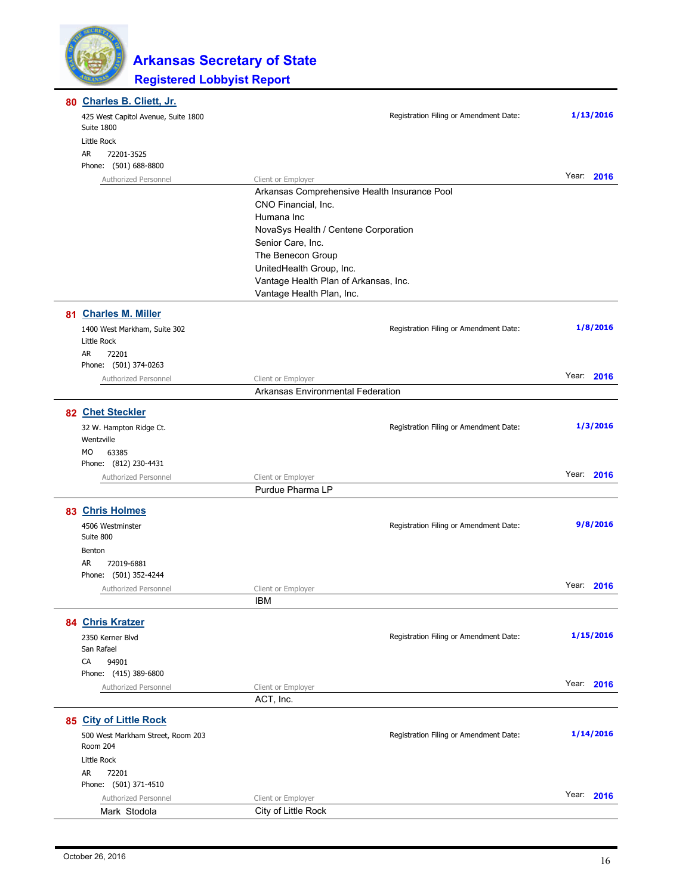| 80 Charles B. Cliett, Jr.                         |                                        |               |
|---------------------------------------------------|----------------------------------------|---------------|
| 425 West Capitol Avenue, Suite 1800<br>Suite 1800 | Registration Filing or Amendment Date: | 1/13/2016     |
| Little Rock                                       |                                        |               |
| AR.<br>72201-3525                                 |                                        |               |
| Phone: (501) 688-8800                             |                                        |               |
| Authorized Personnel                              | Client or Employer                     | Year: 2016    |
|                                                   |                                        |               |
|                                                   | CNO Financial, Inc.                    |               |
|                                                   | Humana Inc                             |               |
|                                                   | NovaSys Health / Centene Corporation   |               |
|                                                   | Senior Care, Inc.                      |               |
|                                                   | The Benecon Group                      |               |
|                                                   | UnitedHealth Group, Inc.               |               |
|                                                   | Vantage Health Plan of Arkansas, Inc.  |               |
|                                                   | Vantage Health Plan, Inc.              |               |
| 81 Charles M. Miller                              |                                        |               |
| 1400 West Markham, Suite 302                      | Registration Filing or Amendment Date: | 1/8/2016      |
| Little Rock                                       |                                        |               |
| AR<br>72201                                       |                                        |               |
| Phone: (501) 374-0263                             |                                        |               |
| Authorized Personnel                              | Client or Employer                     | Year: 2016    |
|                                                   | Arkansas Environmental Federation      |               |
| 82 Chet Steckler                                  |                                        |               |
| 32 W. Hampton Ridge Ct.                           | Registration Filing or Amendment Date: | 1/3/2016      |
| Wentzville                                        |                                        |               |
| MO<br>63385                                       |                                        |               |
| Phone: (812) 230-4431                             |                                        | Year: 2016    |
| Authorized Personnel                              | Client or Employer<br>Purdue Pharma LP |               |
|                                                   |                                        |               |
| 83 Chris Holmes                                   |                                        |               |
| 4506 Westminster                                  | Registration Filing or Amendment Date: | 9/8/2016      |
| Suite 800                                         |                                        |               |
| Benton                                            |                                        |               |
| AR<br>72019-6881                                  |                                        |               |
| Phone: (501) 352-4244                             |                                        |               |
| Authorized Personnel                              | Client or Employer                     | Year:<br>2016 |
|                                                   | <b>IBM</b>                             |               |
| 84 Chris Kratzer                                  |                                        |               |
| 2350 Kerner Blvd                                  | Registration Filing or Amendment Date: | 1/15/2016     |
| San Rafael                                        |                                        |               |
| CA<br>94901                                       |                                        |               |
| Phone: (415) 389-6800                             |                                        | Year:<br>2016 |
| Authorized Personnel                              | Client or Employer                     |               |
|                                                   | ACT, Inc.                              |               |
| 85 City of Little Rock                            |                                        |               |
| 500 West Markham Street, Room 203<br>Room 204     | Registration Filing or Amendment Date: | 1/14/2016     |
| Little Rock                                       |                                        |               |
| AR<br>72201                                       |                                        |               |
| Phone: (501) 371-4510                             |                                        |               |
| Authorized Personnel                              | Client or Employer                     | Year: 2016    |
| Mark Stodola                                      | City of Little Rock                    |               |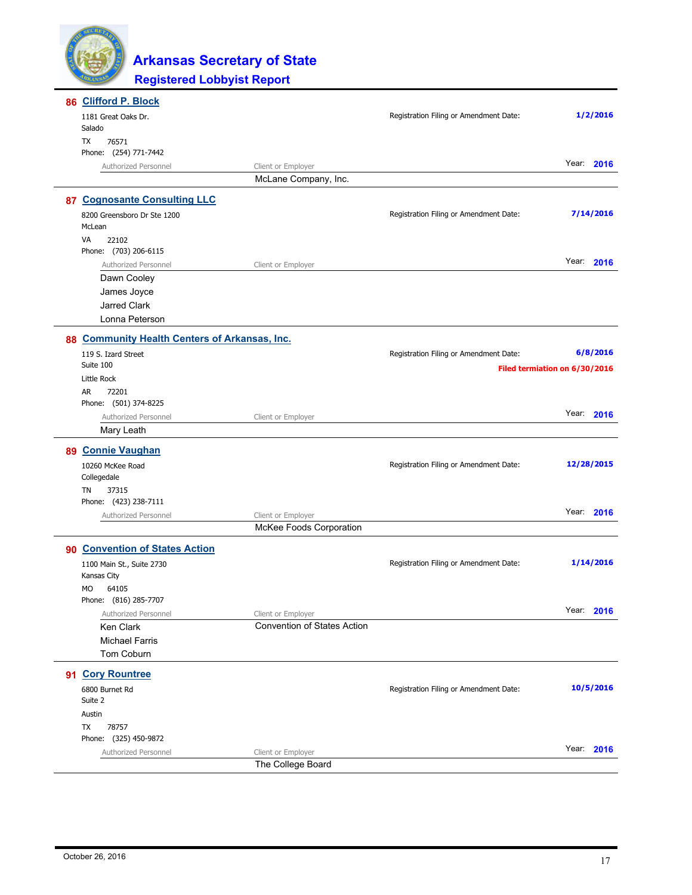

| 86 Clifford P. Block                          |                                    |                                        |                               |
|-----------------------------------------------|------------------------------------|----------------------------------------|-------------------------------|
| 1181 Great Oaks Dr.                           |                                    | Registration Filing or Amendment Date: | 1/2/2016                      |
| Salado                                        |                                    |                                        |                               |
| 76571<br>TX                                   |                                    |                                        |                               |
| Phone: (254) 771-7442                         |                                    |                                        | Year: 2016                    |
| Authorized Personnel                          | Client or Employer                 |                                        |                               |
|                                               | McLane Company, Inc.               |                                        |                               |
| 87 Cognosante Consulting LLC                  |                                    |                                        |                               |
| 8200 Greensboro Dr Ste 1200                   |                                    | Registration Filing or Amendment Date: | 7/14/2016                     |
| McLean                                        |                                    |                                        |                               |
| VA<br>22102                                   |                                    |                                        |                               |
| Phone: (703) 206-6115                         |                                    |                                        |                               |
| Authorized Personnel                          | Client or Employer                 |                                        | Year: 2016                    |
| Dawn Cooley                                   |                                    |                                        |                               |
| James Joyce                                   |                                    |                                        |                               |
| <b>Jarred Clark</b>                           |                                    |                                        |                               |
| Lonna Peterson                                |                                    |                                        |                               |
| 88 Community Health Centers of Arkansas, Inc. |                                    |                                        |                               |
| 119 S. Izard Street                           |                                    | Registration Filing or Amendment Date: | 6/8/2016                      |
| Suite 100                                     |                                    |                                        | Filed termiation on 6/30/2016 |
| Little Rock                                   |                                    |                                        |                               |
| AR<br>72201                                   |                                    |                                        |                               |
| Phone: (501) 374-8225                         |                                    |                                        |                               |
| Authorized Personnel                          | Client or Employer                 |                                        | Year:<br>2016                 |
| Mary Leath                                    |                                    |                                        |                               |
| 89 Connie Vaughan                             |                                    |                                        |                               |
| 10260 McKee Road                              |                                    | Registration Filing or Amendment Date: | 12/28/2015                    |
| Collegedale                                   |                                    |                                        |                               |
| TN<br>37315                                   |                                    |                                        |                               |
| Phone: (423) 238-7111                         |                                    |                                        | Year: 2016                    |
| Authorized Personnel                          | Client or Employer                 |                                        |                               |
|                                               | McKee Foods Corporation            |                                        |                               |
| 90 Convention of States Action                |                                    |                                        |                               |
| 1100 Main St., Suite 2730                     |                                    | Registration Filing or Amendment Date: | 1/14/2016                     |
| Kansas City                                   |                                    |                                        |                               |
| MO<br>64105                                   |                                    |                                        |                               |
| Phone: (816) 285-7707                         |                                    |                                        |                               |
| Authorized Personnel                          | Client or Employer                 |                                        | Year: 2016                    |
| Ken Clark                                     | <b>Convention of States Action</b> |                                        |                               |
| <b>Michael Farris</b>                         |                                    |                                        |                               |
| Tom Coburn                                    |                                    |                                        |                               |
| 91 Cory Rountree                              |                                    |                                        |                               |
| 6800 Burnet Rd<br>Suite 2                     |                                    | Registration Filing or Amendment Date: | 10/5/2016                     |
| Austin                                        |                                    |                                        |                               |
| TX<br>78757                                   |                                    |                                        |                               |
| Phone: (325) 450-9872                         |                                    |                                        |                               |
| Authorized Personnel                          | Client or Employer                 |                                        | Year: 2016                    |
|                                               | The College Board                  |                                        |                               |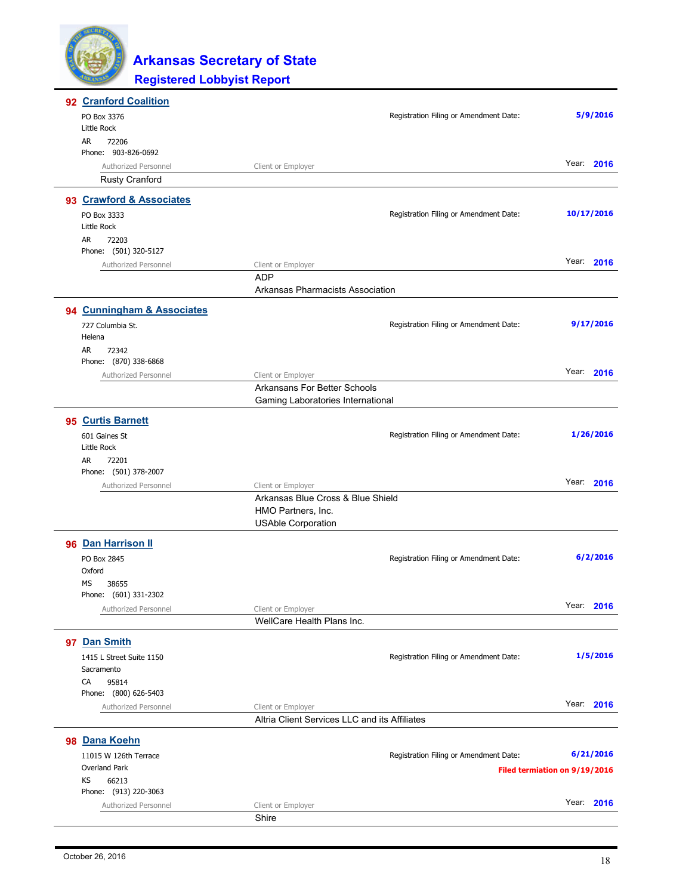| 92 Cranford Coalition      |                                               |                                        |                               |
|----------------------------|-----------------------------------------------|----------------------------------------|-------------------------------|
| PO Box 3376                |                                               | Registration Filing or Amendment Date: | 5/9/2016                      |
| Little Rock                |                                               |                                        |                               |
| AR<br>72206                |                                               |                                        |                               |
| Phone: 903-826-0692        |                                               |                                        | Year: 2016                    |
| Authorized Personnel       | Client or Employer                            |                                        |                               |
| <b>Rusty Cranford</b>      |                                               |                                        |                               |
| 93 Crawford & Associates   |                                               |                                        |                               |
| PO Box 3333                |                                               | Registration Filing or Amendment Date: | 10/17/2016                    |
| Little Rock                |                                               |                                        |                               |
| AR<br>72203                |                                               |                                        |                               |
| Phone: (501) 320-5127      |                                               |                                        |                               |
| Authorized Personnel       | Client or Employer                            |                                        | Year: 2016                    |
|                            | <b>ADP</b>                                    |                                        |                               |
|                            | Arkansas Pharmacists Association              |                                        |                               |
| 94 Cunningham & Associates |                                               |                                        |                               |
| 727 Columbia St.           |                                               | Registration Filing or Amendment Date: | 9/17/2016                     |
| Helena                     |                                               |                                        |                               |
| AR<br>72342                |                                               |                                        |                               |
| Phone: (870) 338-6868      |                                               |                                        |                               |
| Authorized Personnel       | Client or Employer                            |                                        | Year: 2016                    |
|                            | Arkansans For Better Schools                  |                                        |                               |
|                            | Gaming Laboratories International             |                                        |                               |
| 95 Curtis Barnett          |                                               |                                        |                               |
| 601 Gaines St              |                                               | Registration Filing or Amendment Date: | 1/26/2016                     |
| Little Rock                |                                               |                                        |                               |
| AR<br>72201                |                                               |                                        |                               |
| Phone: (501) 378-2007      |                                               |                                        |                               |
| Authorized Personnel       | Client or Employer                            |                                        | Year: 2016                    |
|                            | Arkansas Blue Cross & Blue Shield             |                                        |                               |
|                            | HMO Partners, Inc.                            |                                        |                               |
|                            | <b>USAble Corporation</b>                     |                                        |                               |
| 96 Dan Harrison II         |                                               |                                        |                               |
| PO Box 2845                |                                               | Registration Filing or Amendment Date: | 6/2/2016                      |
| Oxford                     |                                               |                                        |                               |
| MS<br>38655                |                                               |                                        |                               |
| Phone: (601) 331-2302      |                                               |                                        |                               |
| Authorized Personnel       | Client or Employer                            |                                        | Year: 2016                    |
|                            | WellCare Health Plans Inc.                    |                                        |                               |
| 97 Dan Smith               |                                               |                                        |                               |
| 1415 L Street Suite 1150   |                                               | Registration Filing or Amendment Date: | 1/5/2016                      |
| Sacramento                 |                                               |                                        |                               |
| 95814<br>CA                |                                               |                                        |                               |
| Phone: (800) 626-5403      |                                               |                                        |                               |
| Authorized Personnel       | Client or Employer                            |                                        | Year: 2016                    |
|                            | Altria Client Services LLC and its Affiliates |                                        |                               |
| 98 Dana Koehn              |                                               |                                        |                               |
| 11015 W 126th Terrace      |                                               | Registration Filing or Amendment Date: | 6/21/2016                     |
| Overland Park              |                                               |                                        | Filed termiation on 9/19/2016 |
| KS<br>66213                |                                               |                                        |                               |
| Phone: (913) 220-3063      |                                               |                                        |                               |
| Authorized Personnel       | Client or Employer                            |                                        | Year: 2016                    |
|                            | Shire                                         |                                        |                               |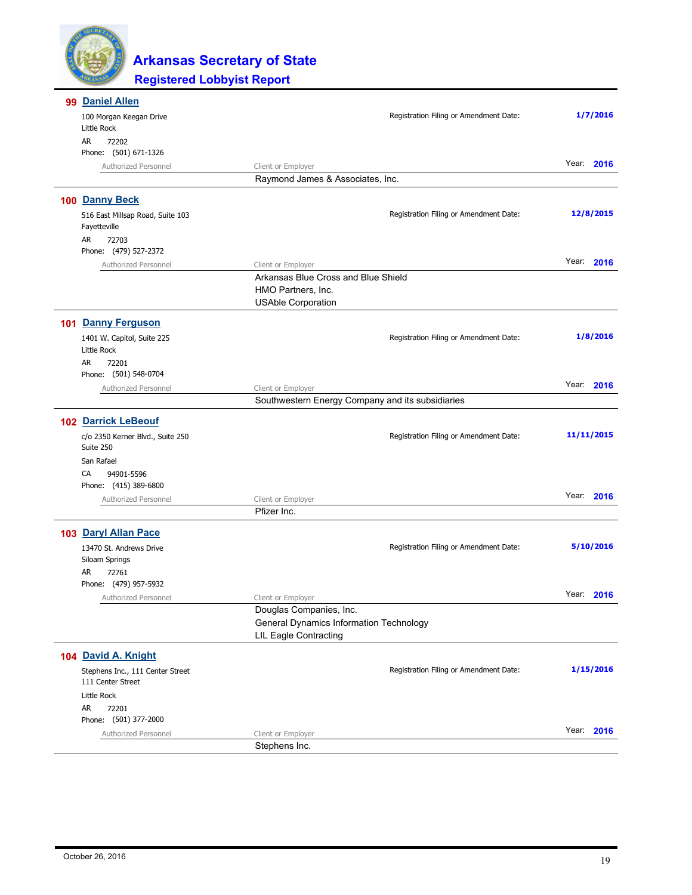

| 99 Daniel Allen                                       |                                                |                                                  |               |
|-------------------------------------------------------|------------------------------------------------|--------------------------------------------------|---------------|
| 100 Morgan Keegan Drive                               |                                                | Registration Filing or Amendment Date:           | 1/7/2016      |
| Little Rock                                           |                                                |                                                  |               |
| AR<br>72202                                           |                                                |                                                  |               |
| Phone: (501) 671-1326                                 |                                                |                                                  | Year:<br>2016 |
| Authorized Personnel                                  | Client or Employer                             |                                                  |               |
|                                                       | Raymond James & Associates, Inc.               |                                                  |               |
| 100 Danny Beck                                        |                                                |                                                  |               |
| 516 East Millsap Road, Suite 103                      |                                                | Registration Filing or Amendment Date:           | 12/8/2015     |
| Fayetteville                                          |                                                |                                                  |               |
| AR<br>72703                                           |                                                |                                                  |               |
| Phone: (479) 527-2372                                 |                                                |                                                  |               |
| Authorized Personnel                                  | Client or Employer                             |                                                  | Year:<br>2016 |
|                                                       | Arkansas Blue Cross and Blue Shield            |                                                  |               |
|                                                       | HMO Partners, Inc.                             |                                                  |               |
|                                                       | <b>USAble Corporation</b>                      |                                                  |               |
| 101 Danny Ferguson                                    |                                                |                                                  |               |
| 1401 W. Capitol, Suite 225                            |                                                | Registration Filing or Amendment Date:           | 1/8/2016      |
| Little Rock                                           |                                                |                                                  |               |
| AR<br>72201                                           |                                                |                                                  |               |
| Phone: (501) 548-0704                                 |                                                |                                                  |               |
| Authorized Personnel                                  | Client or Employer                             |                                                  | Year: 2016    |
|                                                       |                                                | Southwestern Energy Company and its subsidiaries |               |
| <b>102 Darrick LeBeouf</b>                            |                                                |                                                  |               |
| c/o 2350 Kerner Blvd., Suite 250                      |                                                | Registration Filing or Amendment Date:           | 11/11/2015    |
| Suite 250                                             |                                                |                                                  |               |
| San Rafael                                            |                                                |                                                  |               |
| CA<br>94901-5596                                      |                                                |                                                  |               |
| Phone: (415) 389-6800                                 |                                                |                                                  |               |
| Authorized Personnel                                  | Client or Employer                             |                                                  | Year: 2016    |
|                                                       | Pfizer Inc.                                    |                                                  |               |
| 103 Daryl Allan Pace                                  |                                                |                                                  |               |
|                                                       |                                                |                                                  | 5/10/2016     |
| 13470 St. Andrews Drive<br>Siloam Springs             |                                                | Registration Filing or Amendment Date:           |               |
| AR<br>72761                                           |                                                |                                                  |               |
| Phone: (479) 957-5932                                 |                                                |                                                  |               |
| Authorized Personnel                                  | Client or Employer                             |                                                  | Year: 2016    |
|                                                       | Douglas Companies, Inc.                        |                                                  |               |
|                                                       | <b>General Dynamics Information Technology</b> |                                                  |               |
|                                                       | <b>LIL Eagle Contracting</b>                   |                                                  |               |
| 104 David A. Knight                                   |                                                |                                                  |               |
|                                                       |                                                |                                                  | 1/15/2016     |
| Stephens Inc., 111 Center Street<br>111 Center Street |                                                | Registration Filing or Amendment Date:           |               |
| Little Rock                                           |                                                |                                                  |               |
| AR<br>72201                                           |                                                |                                                  |               |
| Phone: (501) 377-2000                                 |                                                |                                                  |               |
| Authorized Personnel                                  | Client or Employer                             |                                                  | Year: 2016    |
|                                                       | Stephens Inc.                                  |                                                  |               |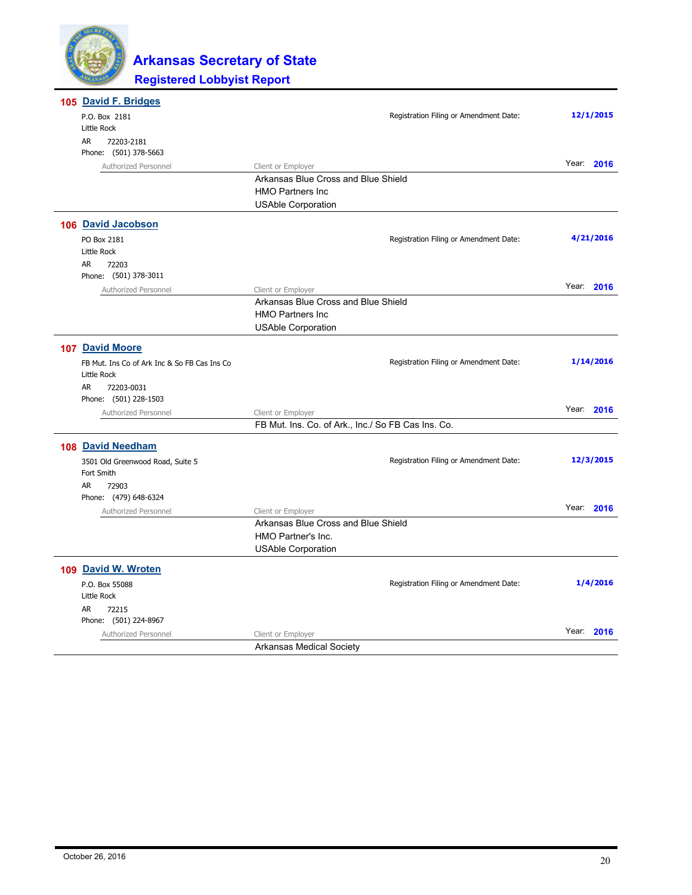

| 105 David F. Bridges                         |                                                    |                                        |            |
|----------------------------------------------|----------------------------------------------------|----------------------------------------|------------|
| P.O. Box 2181                                |                                                    | Registration Filing or Amendment Date: | 12/1/2015  |
| Little Rock                                  |                                                    |                                        |            |
| AR<br>72203-2181                             |                                                    |                                        |            |
| Phone: (501) 378-5663                        |                                                    |                                        |            |
| Authorized Personnel                         | Client or Employer                                 |                                        | Year: 2016 |
|                                              | Arkansas Blue Cross and Blue Shield                |                                        |            |
|                                              | <b>HMO Partners Inc</b>                            |                                        |            |
|                                              | <b>USAble Corporation</b>                          |                                        |            |
| 106 David Jacobson                           |                                                    |                                        |            |
| PO Box 2181                                  |                                                    | Registration Filing or Amendment Date: | 4/21/2016  |
| Little Rock                                  |                                                    |                                        |            |
| AR.<br>72203                                 |                                                    |                                        |            |
| Phone: (501) 378-3011                        |                                                    |                                        |            |
| Authorized Personnel                         | Client or Employer                                 |                                        | Year: 2016 |
|                                              | Arkansas Blue Cross and Blue Shield                |                                        |            |
|                                              | <b>HMO Partners Inc</b>                            |                                        |            |
|                                              | <b>USAble Corporation</b>                          |                                        |            |
| 107 David Moore                              |                                                    |                                        |            |
| FB Mut. Ins Co of Ark Inc & So FB Cas Ins Co |                                                    | Registration Filing or Amendment Date: | 1/14/2016  |
| Little Rock                                  |                                                    |                                        |            |
| AR<br>72203-0031                             |                                                    |                                        |            |
| Phone: (501) 228-1503                        |                                                    |                                        |            |
| Authorized Personnel                         | Client or Employer                                 |                                        | Year: 2016 |
|                                              | FB Mut. Ins. Co. of Ark., Inc./ So FB Cas Ins. Co. |                                        |            |
| 108 David Needham                            |                                                    |                                        |            |
| 3501 Old Greenwood Road, Suite 5             |                                                    | Registration Filing or Amendment Date: | 12/3/2015  |
| Fort Smith                                   |                                                    |                                        |            |
| <b>AR</b><br>72903                           |                                                    |                                        |            |
| Phone: (479) 648-6324                        |                                                    |                                        |            |
| Authorized Personnel                         | Client or Employer                                 |                                        | Year: 2016 |
|                                              | Arkansas Blue Cross and Blue Shield                |                                        |            |
|                                              | HMO Partner's Inc.                                 |                                        |            |
|                                              | <b>USAble Corporation</b>                          |                                        |            |
| 109 David W. Wroten                          |                                                    |                                        |            |
|                                              |                                                    |                                        | 1/4/2016   |
| P.O. Box 55088                               |                                                    | Registration Filing or Amendment Date: |            |
| Little Rock                                  |                                                    |                                        |            |
| AR<br>72215<br>Phone: (501) 224-8967         |                                                    |                                        |            |
| Authorized Personnel                         | Client or Employer                                 |                                        | Year: 2016 |
|                                              | <b>Arkansas Medical Society</b>                    |                                        |            |
|                                              |                                                    |                                        |            |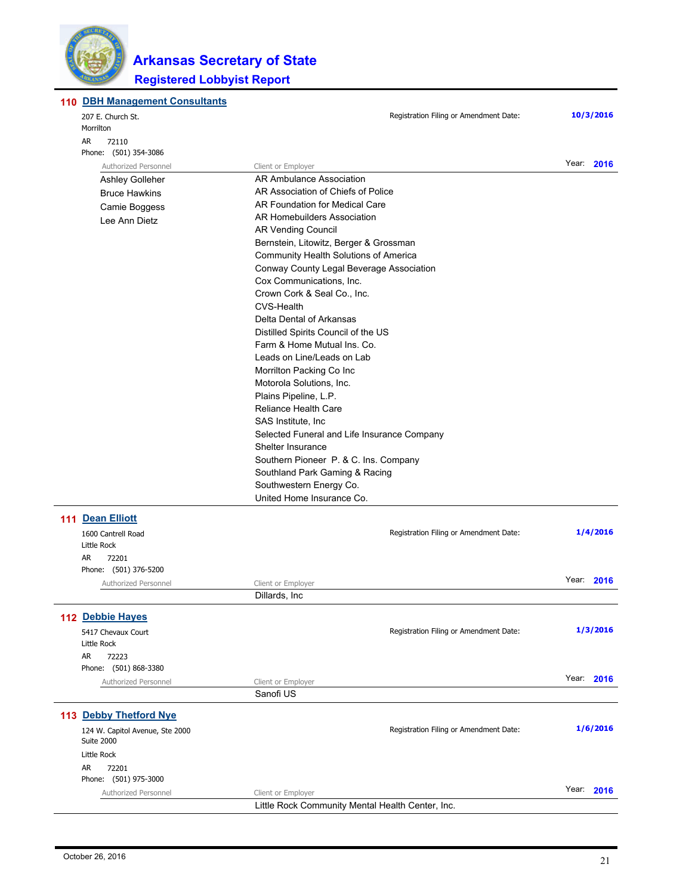

#### **110 DBH Management Consultants**

| 207 E. Church St.                                                                       | Registration Filing or Amendment Date:           | 10/3/2016     |
|-----------------------------------------------------------------------------------------|--------------------------------------------------|---------------|
| Morrilton                                                                               |                                                  |               |
| AR<br>72110                                                                             |                                                  |               |
| Phone: (501) 354-3086                                                                   |                                                  | Year:         |
| Authorized Personnel                                                                    | Client or Employer                               | 2016          |
| Ashley Golleher                                                                         | AR Ambulance Association                         |               |
| <b>Bruce Hawkins</b>                                                                    | AR Association of Chiefs of Police               |               |
| Camie Boggess                                                                           | AR Foundation for Medical Care                   |               |
| Lee Ann Dietz                                                                           | AR Homebuilders Association                      |               |
|                                                                                         | <b>AR Vending Council</b>                        |               |
|                                                                                         | Bernstein, Litowitz, Berger & Grossman           |               |
|                                                                                         | Community Health Solutions of America            |               |
|                                                                                         | Conway County Legal Beverage Association         |               |
|                                                                                         | Cox Communications, Inc.                         |               |
|                                                                                         | Crown Cork & Seal Co., Inc.                      |               |
|                                                                                         | <b>CVS-Health</b>                                |               |
|                                                                                         | Delta Dental of Arkansas                         |               |
|                                                                                         | Distilled Spirits Council of the US              |               |
|                                                                                         | Farm & Home Mutual Ins. Co.                      |               |
|                                                                                         | Leads on Line/Leads on Lab                       |               |
|                                                                                         | Morrilton Packing Co Inc                         |               |
|                                                                                         | Motorola Solutions, Inc.                         |               |
|                                                                                         | Plains Pipeline, L.P.                            |               |
|                                                                                         | <b>Reliance Health Care</b>                      |               |
| SAS Institute, Inc.<br>Selected Funeral and Life Insurance Company<br>Shelter Insurance |                                                  |               |
|                                                                                         |                                                  |               |
|                                                                                         |                                                  |               |
|                                                                                         | Southern Pioneer P. & C. Ins. Company            |               |
|                                                                                         | Southland Park Gaming & Racing                   |               |
|                                                                                         | Southwestern Energy Co.                          |               |
|                                                                                         | United Home Insurance Co.                        |               |
|                                                                                         |                                                  |               |
| 111 Dean Elliott                                                                        |                                                  |               |
| 1600 Cantrell Road                                                                      | Registration Filing or Amendment Date:           | 1/4/2016      |
| Little Rock                                                                             |                                                  |               |
| AR<br>72201                                                                             |                                                  |               |
| Phone: (501) 376-5200                                                                   |                                                  |               |
| Authorized Personnel                                                                    | Client or Employer                               | Year: 2016    |
|                                                                                         | Dillards, Inc.                                   |               |
|                                                                                         |                                                  |               |
| 112 Debbie Hayes                                                                        |                                                  |               |
| 5417 Chevaux Court                                                                      | Registration Filing or Amendment Date:           | 1/3/2016      |
| Little Rock                                                                             |                                                  |               |
| AR<br>72223                                                                             |                                                  |               |
| Phone: (501) 868-3380                                                                   |                                                  |               |
| Authorized Personnel                                                                    | Client or Employer                               | Year:<br>2016 |
|                                                                                         | Sanofi US                                        |               |
| 113 Debby Thetford Nye                                                                  |                                                  |               |
|                                                                                         | Registration Filing or Amendment Date:           | 1/6/2016      |
| 124 W. Capitol Avenue, Ste 2000<br>Suite 2000                                           |                                                  |               |
| Little Rock                                                                             |                                                  |               |
|                                                                                         |                                                  |               |
| AR<br>72201<br>Phone: (501) 975-3000                                                    |                                                  |               |
|                                                                                         |                                                  | Year: 2016    |
| Authorized Personnel                                                                    | Client or Employer                               |               |
|                                                                                         | Little Rock Community Mental Health Center, Inc. |               |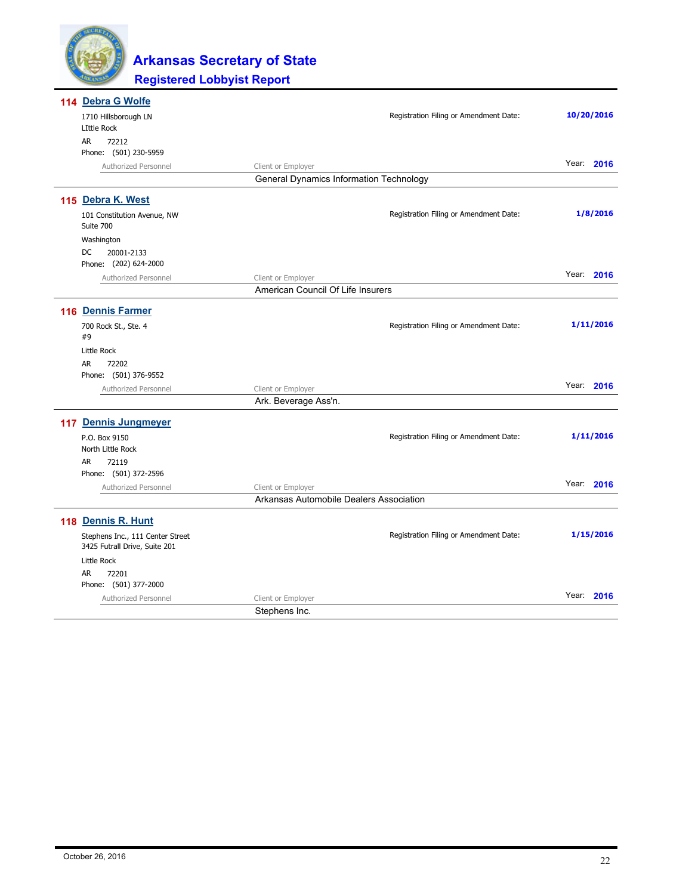

| 114 Debra G Wolfe                                                 |                                                |                                        |               |
|-------------------------------------------------------------------|------------------------------------------------|----------------------------------------|---------------|
| 1710 Hillsborough LN                                              |                                                | Registration Filing or Amendment Date: | 10/20/2016    |
| <b>LIttle Rock</b>                                                |                                                |                                        |               |
| AR.<br>72212                                                      |                                                |                                        |               |
| Phone: (501) 230-5959                                             |                                                |                                        |               |
| Authorized Personnel                                              | Client or Employer                             |                                        | Year: 2016    |
|                                                                   | <b>General Dynamics Information Technology</b> |                                        |               |
| 115 Debra K. West                                                 |                                                |                                        |               |
| 101 Constitution Avenue, NW<br>Suite 700                          |                                                | Registration Filing or Amendment Date: | 1/8/2016      |
| Washington                                                        |                                                |                                        |               |
| DC<br>20001-2133<br>Phone: (202) 624-2000                         |                                                |                                        |               |
| Authorized Personnel                                              | Client or Employer                             |                                        | Year: 2016    |
|                                                                   | American Council Of Life Insurers              |                                        |               |
|                                                                   |                                                |                                        |               |
| 116 Dennis Farmer                                                 |                                                |                                        |               |
| 700 Rock St., Ste. 4<br>#9                                        |                                                | Registration Filing or Amendment Date: | 1/11/2016     |
| <b>Little Rock</b>                                                |                                                |                                        |               |
| AR.<br>72202                                                      |                                                |                                        |               |
| Phone: (501) 376-9552                                             |                                                |                                        |               |
| Authorized Personnel                                              | Client or Employer                             |                                        | Year: 2016    |
|                                                                   | Ark. Beverage Ass'n.                           |                                        |               |
| 117 Dennis Jungmeyer                                              |                                                |                                        |               |
| P.O. Box 9150                                                     |                                                | Registration Filing or Amendment Date: | 1/11/2016     |
| North Little Rock                                                 |                                                |                                        |               |
| <b>AR</b><br>72119                                                |                                                |                                        |               |
| Phone: (501) 372-2596                                             |                                                |                                        |               |
| Authorized Personnel                                              | Client or Employer                             |                                        | Year:<br>2016 |
|                                                                   | Arkansas Automobile Dealers Association        |                                        |               |
| 118 Dennis R. Hunt                                                |                                                |                                        |               |
| Stephens Inc., 111 Center Street<br>3425 Futrall Drive, Suite 201 |                                                | Registration Filing or Amendment Date: | 1/15/2016     |
| Little Rock                                                       |                                                |                                        |               |
| AR<br>72201                                                       |                                                |                                        |               |
| Phone: (501) 377-2000                                             |                                                |                                        |               |
| Authorized Personnel                                              | Client or Employer                             |                                        | Year:<br>2016 |
|                                                                   | Stephens Inc.                                  |                                        |               |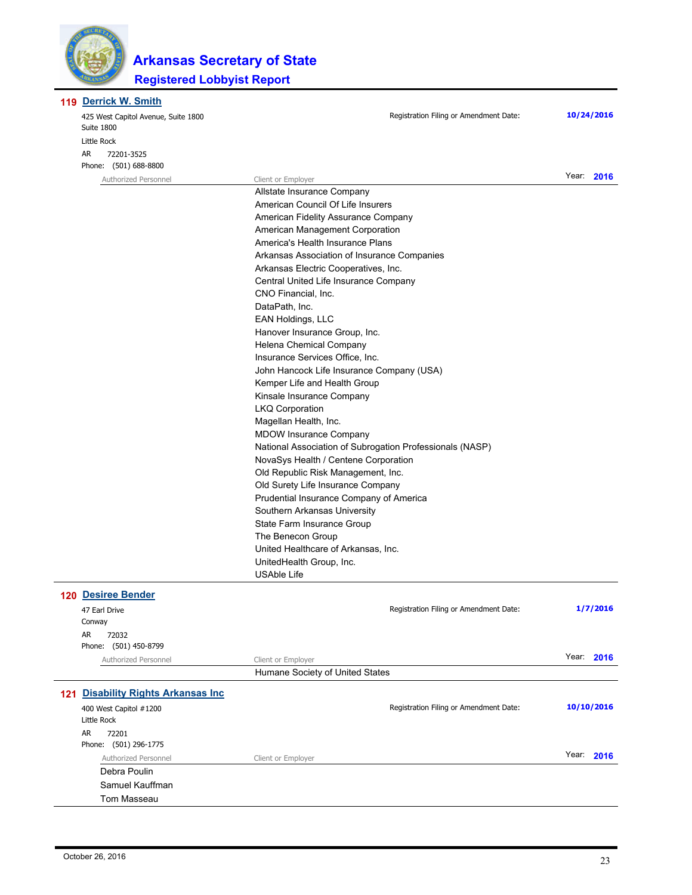

**119 Derrick W. Smith** 

|  | <b>CONTROLLATE CHILDREN</b><br>425 West Capitol Avenue, Suite 1800<br>Suite 1800 | Registration Filing or Amendment Date:                                       |  | 10/24/2016 |  |
|--|----------------------------------------------------------------------------------|------------------------------------------------------------------------------|--|------------|--|
|  | Little Rock                                                                      |                                                                              |  |            |  |
|  | AR<br>72201-3525<br>Phone: (501) 688-8800                                        |                                                                              |  |            |  |
|  | Authorized Personnel                                                             | Client or Employer                                                           |  | Year: 2016 |  |
|  |                                                                                  | Allstate Insurance Company                                                   |  |            |  |
|  |                                                                                  | American Council Of Life Insurers                                            |  |            |  |
|  |                                                                                  | American Fidelity Assurance Company                                          |  |            |  |
|  |                                                                                  | American Management Corporation                                              |  |            |  |
|  |                                                                                  | America's Health Insurance Plans                                             |  |            |  |
|  |                                                                                  | Arkansas Association of Insurance Companies                                  |  |            |  |
|  |                                                                                  | Arkansas Electric Cooperatives, Inc.                                         |  |            |  |
|  |                                                                                  | Central United Life Insurance Company                                        |  |            |  |
|  |                                                                                  | CNO Financial, Inc.                                                          |  |            |  |
|  |                                                                                  | DataPath, Inc.                                                               |  |            |  |
|  |                                                                                  | EAN Holdings, LLC                                                            |  |            |  |
|  |                                                                                  | Hanover Insurance Group, Inc.                                                |  |            |  |
|  |                                                                                  | Helena Chemical Company                                                      |  |            |  |
|  |                                                                                  | Insurance Services Office, Inc.                                              |  |            |  |
|  |                                                                                  | John Hancock Life Insurance Company (USA)                                    |  |            |  |
|  |                                                                                  | Kemper Life and Health Group                                                 |  |            |  |
|  |                                                                                  | Kinsale Insurance Company                                                    |  |            |  |
|  |                                                                                  | <b>LKQ Corporation</b>                                                       |  |            |  |
|  |                                                                                  | Magellan Health, Inc.                                                        |  |            |  |
|  |                                                                                  | <b>MDOW Insurance Company</b>                                                |  |            |  |
|  |                                                                                  | National Association of Subrogation Professionals (NASP)                     |  |            |  |
|  |                                                                                  | NovaSys Health / Centene Corporation                                         |  |            |  |
|  |                                                                                  |                                                                              |  |            |  |
|  |                                                                                  |                                                                              |  |            |  |
|  |                                                                                  | Old Surety Life Insurance Company<br>Prudential Insurance Company of America |  |            |  |
|  |                                                                                  | Southern Arkansas University                                                 |  |            |  |
|  |                                                                                  | State Farm Insurance Group                                                   |  |            |  |
|  |                                                                                  | The Benecon Group                                                            |  |            |  |
|  | United Healthcare of Arkansas, Inc.<br>UnitedHealth Group, Inc.                  |                                                                              |  |            |  |
|  |                                                                                  |                                                                              |  |            |  |
|  |                                                                                  | <b>USAble Life</b>                                                           |  |            |  |
|  | <b>120 Desiree Bender</b>                                                        |                                                                              |  |            |  |
|  |                                                                                  |                                                                              |  | 1/7/2016   |  |
|  | 47 Earl Drive<br>Conway                                                          | Registration Filing or Amendment Date:                                       |  |            |  |
|  | AR<br>72032                                                                      |                                                                              |  |            |  |
|  | Phone: (501) 450-8799                                                            |                                                                              |  |            |  |
|  | Authorized Personnel                                                             | Client or Employer                                                           |  | Year: 2016 |  |
|  |                                                                                  | Humane Society of United States                                              |  |            |  |
|  |                                                                                  |                                                                              |  |            |  |
|  | 121 Disability Rights Arkansas Inc                                               |                                                                              |  |            |  |
|  | 400 West Capitol #1200<br>Little Rock                                            | Registration Filing or Amendment Date:                                       |  | 10/10/2016 |  |
|  | AR<br>72201                                                                      |                                                                              |  |            |  |
|  | Phone: (501) 296-1775                                                            |                                                                              |  |            |  |
|  | Authorized Personnel                                                             | Client or Employer                                                           |  | Year: 2016 |  |
|  | Debra Poulin                                                                     |                                                                              |  |            |  |
|  | Samuel Kauffman                                                                  |                                                                              |  |            |  |
|  | Tom Masseau                                                                      |                                                                              |  |            |  |

 $\overline{a}$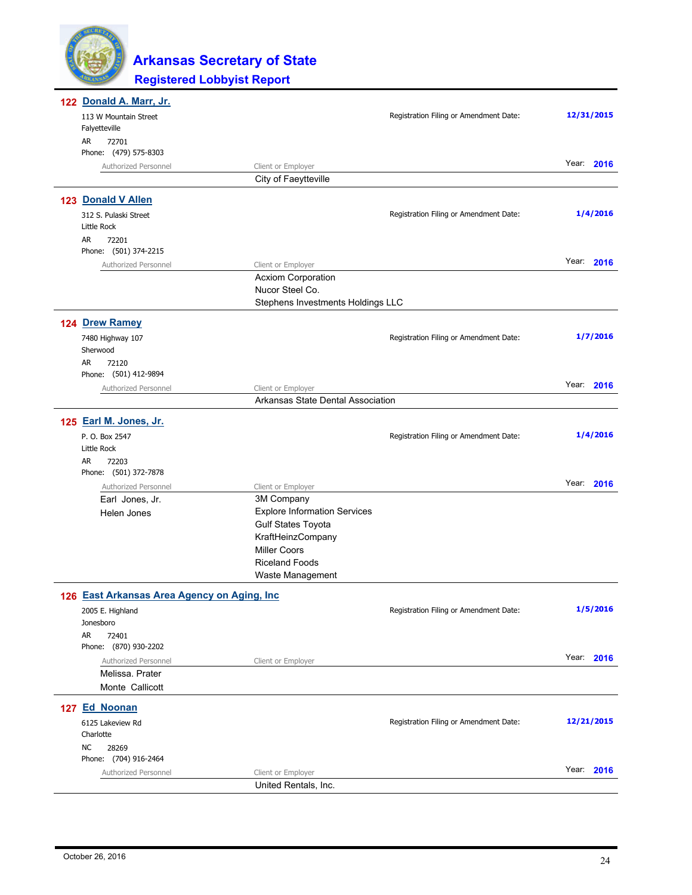

| 122 Donald A. Marr, Jr.                     |                                              |                                        |            |
|---------------------------------------------|----------------------------------------------|----------------------------------------|------------|
| 113 W Mountain Street<br>Falyetteville      |                                              | Registration Filing or Amendment Date: | 12/31/2015 |
| AR<br>72701                                 |                                              |                                        |            |
| Phone: (479) 575-8303                       |                                              |                                        | Year: 2016 |
| Authorized Personnel                        | Client or Employer<br>City of Faeytteville   |                                        |            |
| 123 Donald V Allen                          |                                              |                                        |            |
| 312 S. Pulaski Street                       |                                              | Registration Filing or Amendment Date: | 1/4/2016   |
| Little Rock                                 |                                              |                                        |            |
| AR<br>72201                                 |                                              |                                        |            |
| Phone: (501) 374-2215                       |                                              |                                        |            |
| Authorized Personnel                        | Client or Employer                           |                                        | Year: 2016 |
|                                             | <b>Acxiom Corporation</b><br>Nucor Steel Co. |                                        |            |
|                                             | Stephens Investments Holdings LLC            |                                        |            |
| 124 Drew Ramey                              |                                              |                                        |            |
| 7480 Highway 107                            |                                              | Registration Filing or Amendment Date: | 1/7/2016   |
| Sherwood                                    |                                              |                                        |            |
| AR<br>72120                                 |                                              |                                        |            |
| Phone: (501) 412-9894                       |                                              |                                        |            |
| Authorized Personnel                        | Client or Employer                           |                                        | Year: 2016 |
|                                             | Arkansas State Dental Association            |                                        |            |
| 125 Earl M. Jones, Jr.                      |                                              |                                        |            |
| P. O. Box 2547                              |                                              | Registration Filing or Amendment Date: | 1/4/2016   |
| Little Rock                                 |                                              |                                        |            |
| AR<br>72203<br>Phone: (501) 372-7878        |                                              |                                        |            |
| Authorized Personnel                        | Client or Employer                           |                                        | Year: 2016 |
| Earl Jones, Jr.                             | 3M Company                                   |                                        |            |
| Helen Jones                                 | <b>Explore Information Services</b>          |                                        |            |
|                                             | <b>Gulf States Toyota</b>                    |                                        |            |
|                                             | KraftHeinzCompany                            |                                        |            |
|                                             | <b>Miller Coors</b><br><b>Riceland Foods</b> |                                        |            |
|                                             | Waste Management                             |                                        |            |
|                                             |                                              |                                        |            |
| 126 East Arkansas Area Agency on Aging, Inc |                                              | Registration Filing or Amendment Date: | 1/5/2016   |
| 2005 E. Highland<br>Jonesboro               |                                              |                                        |            |
| AR<br>72401                                 |                                              |                                        |            |
| Phone: (870) 930-2202                       |                                              |                                        |            |
| Authorized Personnel                        | Client or Employer                           |                                        | Year: 2016 |
| Melissa, Prater                             |                                              |                                        |            |
| Monte Callicott                             |                                              |                                        |            |
| 127 Ed Noonan                               |                                              |                                        |            |
| 6125 Lakeview Rd                            |                                              | Registration Filing or Amendment Date: | 12/21/2015 |
| Charlotte                                   |                                              |                                        |            |
| <b>NC</b><br>28269<br>Phone: (704) 916-2464 |                                              |                                        |            |
| Authorized Personnel                        | Client or Employer                           |                                        | Year: 2016 |
|                                             | United Rentals, Inc.                         |                                        |            |
|                                             |                                              |                                        |            |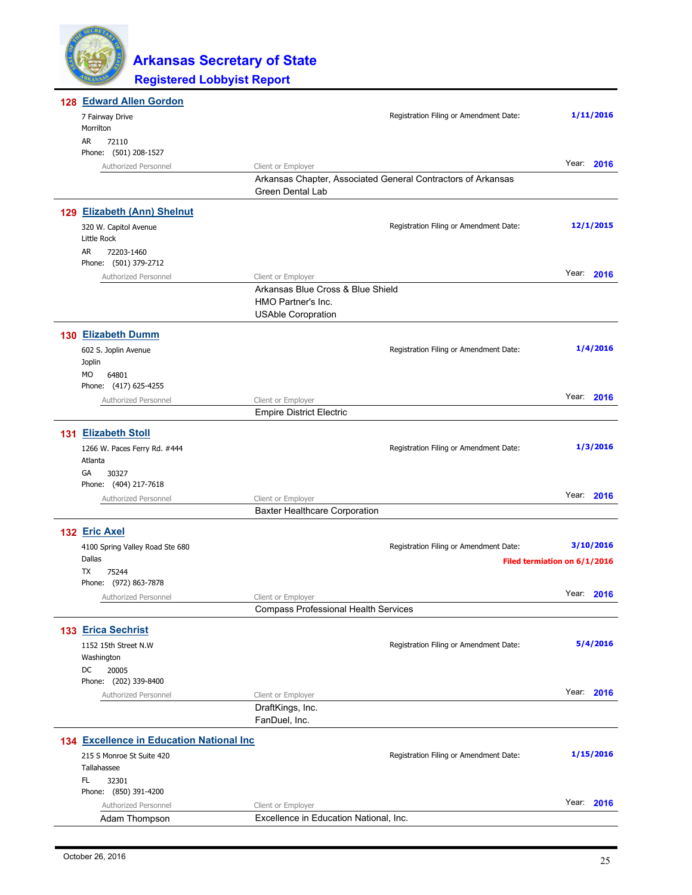| 128 Edward Allen Gordon                   |                                             |                                                              |                              |            |
|-------------------------------------------|---------------------------------------------|--------------------------------------------------------------|------------------------------|------------|
| 7 Fairway Drive                           |                                             | Registration Filing or Amendment Date:                       |                              | 1/11/2016  |
| Morrilton                                 |                                             |                                                              |                              |            |
| AR<br>72110                               |                                             |                                                              |                              |            |
| Phone: (501) 208-1527                     |                                             |                                                              |                              | Year: 2016 |
| Authorized Personnel                      | Client or Employer                          | Arkansas Chapter, Associated General Contractors of Arkansas |                              |            |
|                                           | Green Dental Lab                            |                                                              |                              |            |
|                                           |                                             |                                                              |                              |            |
| 129 Elizabeth (Ann) Shelnut               |                                             |                                                              |                              |            |
| 320 W. Capitol Avenue<br>Little Rock      |                                             | Registration Filing or Amendment Date:                       |                              | 12/1/2015  |
| AR<br>72203-1460<br>Phone: (501) 379-2712 |                                             |                                                              |                              |            |
| Authorized Personnel                      | Client or Employer                          |                                                              |                              | Year: 2016 |
|                                           | Arkansas Blue Cross & Blue Shield           |                                                              |                              |            |
|                                           | HMO Partner's Inc.                          |                                                              |                              |            |
|                                           | <b>USAble Coropration</b>                   |                                                              |                              |            |
| 130 Elizabeth Dumm                        |                                             |                                                              |                              |            |
| 602 S. Joplin Avenue                      |                                             | Registration Filing or Amendment Date:                       |                              | 1/4/2016   |
| Joplin                                    |                                             |                                                              |                              |            |
| MO<br>64801                               |                                             |                                                              |                              |            |
| Phone: (417) 625-4255                     |                                             |                                                              |                              |            |
| Authorized Personnel                      | Client or Employer                          |                                                              |                              | Year: 2016 |
|                                           | <b>Empire District Electric</b>             |                                                              |                              |            |
| 131 Elizabeth Stoll                       |                                             |                                                              |                              |            |
| 1266 W. Paces Ferry Rd. #444              |                                             | Registration Filing or Amendment Date:                       |                              | 1/3/2016   |
| Atlanta                                   |                                             |                                                              |                              |            |
| 30327<br>GА<br>Phone: (404) 217-7618      |                                             |                                                              |                              |            |
| Authorized Personnel                      | Client or Employer                          |                                                              | Year:                        | 2016       |
|                                           | <b>Baxter Healthcare Corporation</b>        |                                                              |                              |            |
|                                           |                                             |                                                              |                              |            |
| 132 Eric Axel                             |                                             |                                                              |                              |            |
| 4100 Spring Valley Road Ste 680<br>Dallas |                                             | Registration Filing or Amendment Date:                       |                              | 3/10/2016  |
| TX<br>75244                               |                                             |                                                              | Filed termiation on 6/1/2016 |            |
| Phone: (972) 863-7878                     |                                             |                                                              |                              |            |
| Authorized Personnel                      | Client or Employer                          |                                                              |                              | Year: 2016 |
|                                           | <b>Compass Professional Health Services</b> |                                                              |                              |            |
| 133 Erica Sechrist                        |                                             |                                                              |                              |            |
| 1152 15th Street N.W                      |                                             | Registration Filing or Amendment Date:                       |                              | 5/4/2016   |
| Washington                                |                                             |                                                              |                              |            |
| DC<br>20005                               |                                             |                                                              |                              |            |
| Phone: (202) 339-8400                     |                                             |                                                              |                              |            |
| Authorized Personnel                      | Client or Employer                          |                                                              | Year:                        | 2016       |
|                                           | DraftKings, Inc.                            |                                                              |                              |            |
|                                           | FanDuel, Inc.                               |                                                              |                              |            |
| 134 Excellence in Education National Inc  |                                             |                                                              |                              |            |
| 215 S Monroe St Suite 420                 |                                             | Registration Filing or Amendment Date:                       |                              | 1/15/2016  |
| Tallahassee                               |                                             |                                                              |                              |            |
| FL.<br>32301                              |                                             |                                                              |                              |            |
| Phone: (850) 391-4200                     |                                             |                                                              |                              | Year: 2016 |
| Authorized Personnel                      | Client or Employer                          |                                                              |                              |            |
| Adam Thompson                             | Excellence in Education National, Inc.      |                                                              |                              |            |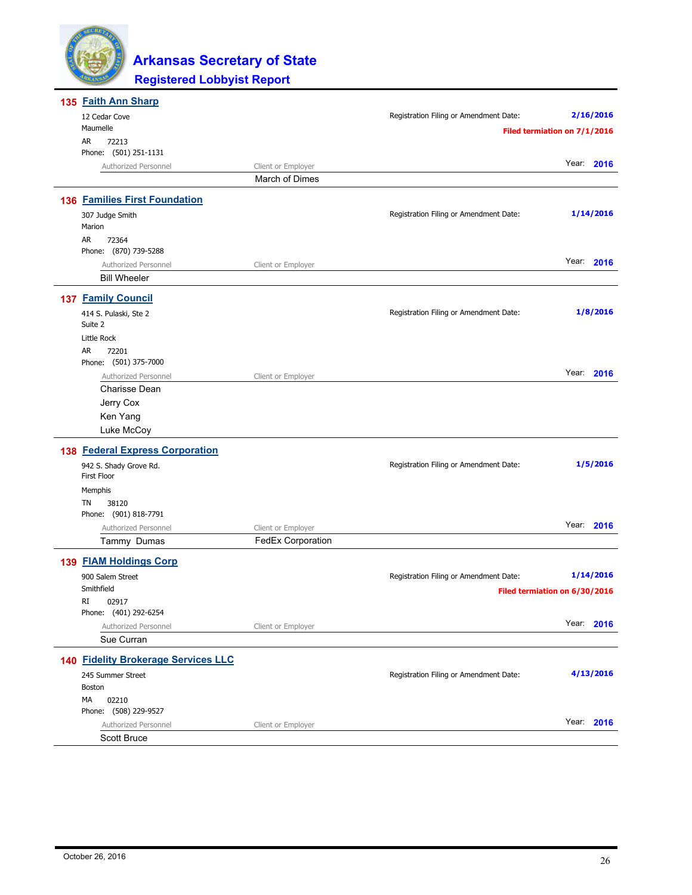

| 135 Faith Ann Sharp                    |                                      |                                        |                               |
|----------------------------------------|--------------------------------------|----------------------------------------|-------------------------------|
| 12 Cedar Cove                          |                                      | Registration Filing or Amendment Date: | 2/16/2016                     |
| Maumelle                               |                                      |                                        | Filed termiation on 7/1/2016  |
| AR<br>72213                            |                                      |                                        |                               |
| Phone: (501) 251-1131                  |                                      |                                        | Year: 2016                    |
| Authorized Personnel                   | Client or Employer<br>March of Dimes |                                        |                               |
|                                        |                                      |                                        |                               |
| <b>136 Families First Foundation</b>   |                                      |                                        |                               |
| 307 Judge Smith                        |                                      | Registration Filing or Amendment Date: | 1/14/2016                     |
| Marion                                 |                                      |                                        |                               |
| AR<br>72364<br>Phone: (870) 739-5288   |                                      |                                        |                               |
| Authorized Personnel                   | Client or Employer                   |                                        | Year: 2016                    |
| <b>Bill Wheeler</b>                    |                                      |                                        |                               |
|                                        |                                      |                                        |                               |
| <b>137 Family Council</b>              |                                      |                                        |                               |
| 414 S. Pulaski, Ste 2                  |                                      | Registration Filing or Amendment Date: | 1/8/2016                      |
| Suite 2                                |                                      |                                        |                               |
| Little Rock                            |                                      |                                        |                               |
| AR<br>72201<br>Phone: (501) 375-7000   |                                      |                                        |                               |
| Authorized Personnel                   | Client or Employer                   |                                        | Year: 2016                    |
| Charisse Dean                          |                                      |                                        |                               |
| Jerry Cox                              |                                      |                                        |                               |
| Ken Yang                               |                                      |                                        |                               |
| Luke McCoy                             |                                      |                                        |                               |
| <b>138 Federal Express Corporation</b> |                                      |                                        |                               |
|                                        |                                      | Registration Filing or Amendment Date: | 1/5/2016                      |
| 942 S. Shady Grove Rd.<br>First Floor  |                                      |                                        |                               |
| Memphis                                |                                      |                                        |                               |
| TN<br>38120                            |                                      |                                        |                               |
| Phone: (901) 818-7791                  |                                      |                                        |                               |
| Authorized Personnel                   | Client or Employer                   |                                        | Year: 2016                    |
| Tammy Dumas                            | <b>FedEx Corporation</b>             |                                        |                               |
| 139 FIAM Holdings Corp                 |                                      |                                        |                               |
| 900 Salem Street                       |                                      | Registration Filing or Amendment Date: | 1/14/2016                     |
| Smithfield                             |                                      |                                        | Filed termiation on 6/30/2016 |
| RI<br>02917                            |                                      |                                        |                               |
| Phone: (401) 292-6254                  |                                      |                                        |                               |
| Authorized Personnel                   | Client or Employer                   |                                        | Year: 2016                    |
| Sue Curran                             |                                      |                                        |                               |
| 140 Fidelity Brokerage Services LLC    |                                      |                                        |                               |
| 245 Summer Street                      |                                      | Registration Filing or Amendment Date: | 4/13/2016                     |
| <b>Boston</b>                          |                                      |                                        |                               |
| МA<br>02210                            |                                      |                                        |                               |
| Phone: (508) 229-9527                  |                                      |                                        | Year: 2016                    |
| Authorized Personnel                   | Client or Employer                   |                                        |                               |
| Scott Bruce                            |                                      |                                        |                               |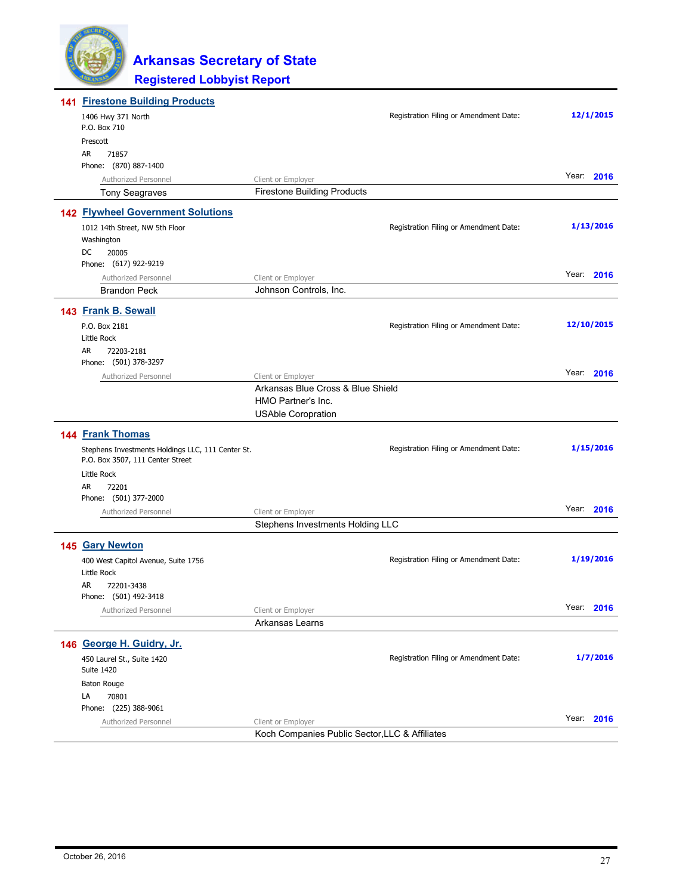

| <b>141 Firestone Building Products</b>                                                |                                                         |                                        |            |
|---------------------------------------------------------------------------------------|---------------------------------------------------------|----------------------------------------|------------|
| 1406 Hwy 371 North<br>P.O. Box 710                                                    |                                                         | Registration Filing or Amendment Date: | 12/1/2015  |
| Prescott                                                                              |                                                         |                                        |            |
| AR.<br>71857                                                                          |                                                         |                                        |            |
| Phone: (870) 887-1400                                                                 |                                                         |                                        |            |
| Authorized Personnel                                                                  | Client or Employer                                      |                                        | Year: 2016 |
| <b>Tony Seagraves</b>                                                                 | <b>Firestone Building Products</b>                      |                                        |            |
| <b>142 Flywheel Government Solutions</b>                                              |                                                         |                                        |            |
| 1012 14th Street, NW 5th Floor                                                        |                                                         | Registration Filing or Amendment Date: | 1/13/2016  |
| Washington                                                                            |                                                         |                                        |            |
| DC<br>20005                                                                           |                                                         |                                        |            |
| Phone: (617) 922-9219                                                                 |                                                         |                                        | Year: 2016 |
| Authorized Personnel                                                                  | Client or Employer                                      |                                        |            |
| <b>Brandon Peck</b>                                                                   | Johnson Controls, Inc.                                  |                                        |            |
| 143 Frank B. Sewall                                                                   |                                                         |                                        |            |
| P.O. Box 2181                                                                         |                                                         | Registration Filing or Amendment Date: | 12/10/2015 |
| Little Rock                                                                           |                                                         |                                        |            |
| AR<br>72203-2181                                                                      |                                                         |                                        |            |
| Phone: (501) 378-3297                                                                 |                                                         |                                        | Year: 2016 |
| Authorized Personnel                                                                  | Client or Employer<br>Arkansas Blue Cross & Blue Shield |                                        |            |
|                                                                                       | HMO Partner's Inc.                                      |                                        |            |
|                                                                                       | <b>USAble Coropration</b>                               |                                        |            |
| 144 Frank Thomas                                                                      |                                                         |                                        |            |
|                                                                                       |                                                         |                                        | 1/15/2016  |
| Stephens Investments Holdings LLC, 111 Center St.<br>P.O. Box 3507, 111 Center Street |                                                         | Registration Filing or Amendment Date: |            |
| Little Rock                                                                           |                                                         |                                        |            |
| AR<br>72201                                                                           |                                                         |                                        |            |
| Phone: (501) 377-2000                                                                 |                                                         |                                        |            |
| Authorized Personnel                                                                  | Client or Employer                                      |                                        | Year: 2016 |
|                                                                                       | Stephens Investments Holding LLC                        |                                        |            |
| 145 Gary Newton                                                                       |                                                         |                                        |            |
| 400 West Capitol Avenue, Suite 1756                                                   |                                                         | Registration Filing or Amendment Date: | 1/19/2016  |
| Little Rock                                                                           |                                                         |                                        |            |
| AR<br>72201-3438                                                                      |                                                         |                                        |            |
| Phone: (501) 492-3418                                                                 |                                                         |                                        |            |
| Authorized Personnel                                                                  | Client or Employer                                      |                                        | Year: 2016 |
|                                                                                       | Arkansas Learns                                         |                                        |            |
| 146 George H. Guidry, Jr.                                                             |                                                         |                                        |            |
| 450 Laurel St., Suite 1420                                                            |                                                         | Registration Filing or Amendment Date: | 1/7/2016   |
| <b>Suite 1420</b>                                                                     |                                                         |                                        |            |
| Baton Rouge                                                                           |                                                         |                                        |            |
| 70801<br>LA                                                                           |                                                         |                                        |            |
| Phone: (225) 388-9061                                                                 |                                                         |                                        |            |
| Authorized Personnel                                                                  | Client or Employer                                      |                                        | Year: 2016 |
|                                                                                       | Koch Companies Public Sector, LLC & Affiliates          |                                        |            |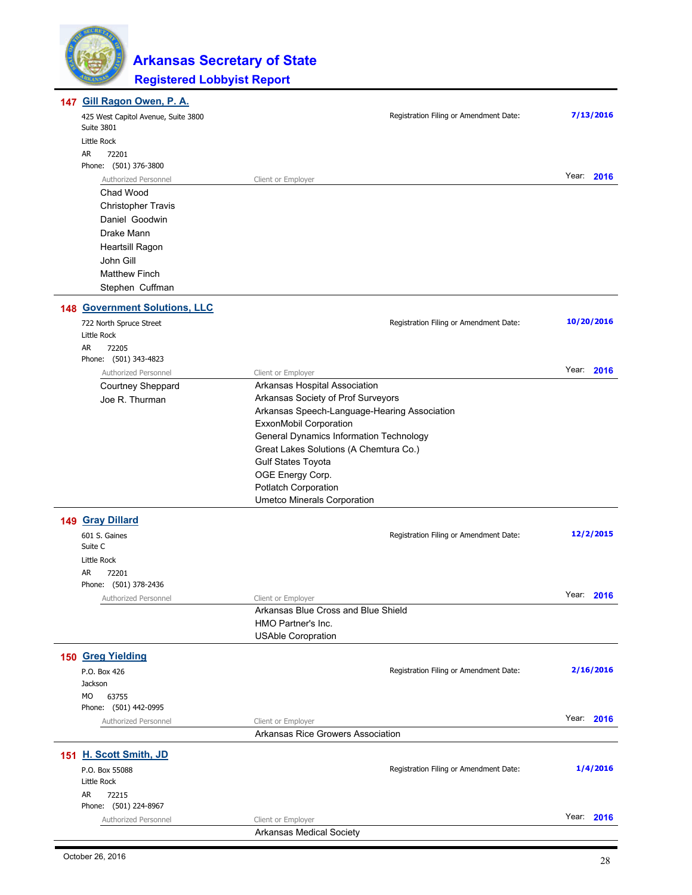

| 147 Gill Ragon Owen, P. A.           |                                                                     |            |
|--------------------------------------|---------------------------------------------------------------------|------------|
| 425 West Capitol Avenue, Suite 3800  | Registration Filing or Amendment Date:                              | 7/13/2016  |
| <b>Suite 3801</b>                    |                                                                     |            |
| Little Rock<br>AR<br>72201           |                                                                     |            |
| Phone: (501) 376-3800                |                                                                     |            |
| Authorized Personnel                 | Client or Employer                                                  | Year: 2016 |
| Chad Wood                            |                                                                     |            |
| <b>Christopher Travis</b>            |                                                                     |            |
| Daniel Goodwin                       |                                                                     |            |
| Drake Mann                           |                                                                     |            |
| Heartsill Ragon                      |                                                                     |            |
| John Gill                            |                                                                     |            |
| <b>Matthew Finch</b>                 |                                                                     |            |
| Stephen Cuffman                      |                                                                     |            |
| <b>148 Government Solutions, LLC</b> |                                                                     |            |
| 722 North Spruce Street              | Registration Filing or Amendment Date:                              | 10/20/2016 |
| Little Rock                          |                                                                     |            |
| AR<br>72205                          |                                                                     |            |
| Phone: (501) 343-4823                |                                                                     | Year:      |
| Authorized Personnel                 | Client or Employer                                                  | 2016       |
| Courtney Sheppard                    | Arkansas Hospital Association<br>Arkansas Society of Prof Surveyors |            |
| Joe R. Thurman                       | Arkansas Speech-Language-Hearing Association                        |            |
|                                      | ExxonMobil Corporation                                              |            |
|                                      | General Dynamics Information Technology                             |            |
|                                      | Great Lakes Solutions (A Chemtura Co.)                              |            |
|                                      | <b>Gulf States Toyota</b>                                           |            |
|                                      | OGE Energy Corp.                                                    |            |
|                                      | Potlatch Corporation                                                |            |
|                                      | <b>Umetco Minerals Corporation</b>                                  |            |
| 149 Gray Dillard                     |                                                                     |            |
| 601 S. Gaines                        | Registration Filing or Amendment Date:                              | 12/2/2015  |
| Suite C                              |                                                                     |            |
| Little Rock                          |                                                                     |            |
| AR<br>72201                          |                                                                     |            |
| Phone: (501) 378-2436                |                                                                     | Year: 2016 |
| Authorized Personnel                 | Client or Employer<br>Arkansas Blue Cross and Blue Shield           |            |
|                                      | HMO Partner's Inc.                                                  |            |
|                                      | <b>USAble Coropration</b>                                           |            |
| 150 Greg Yielding                    |                                                                     |            |
|                                      | Registration Filing or Amendment Date:                              | 2/16/2016  |
| P.O. Box 426<br>Jackson              |                                                                     |            |
| MO<br>63755                          |                                                                     |            |
| Phone: (501) 442-0995                |                                                                     |            |
| Authorized Personnel                 | Client or Employer                                                  | Year: 2016 |
|                                      | Arkansas Rice Growers Association                                   |            |
| 151 H. Scott Smith, JD               |                                                                     |            |
| P.O. Box 55088                       | Registration Filing or Amendment Date:                              | 1/4/2016   |
| Little Rock                          |                                                                     |            |
| AR<br>72215                          |                                                                     |            |
| Phone: (501) 224-8967                |                                                                     |            |
| Authorized Personnel                 | Client or Employer                                                  | Year: 2016 |
|                                      | Arkansas Medical Society                                            |            |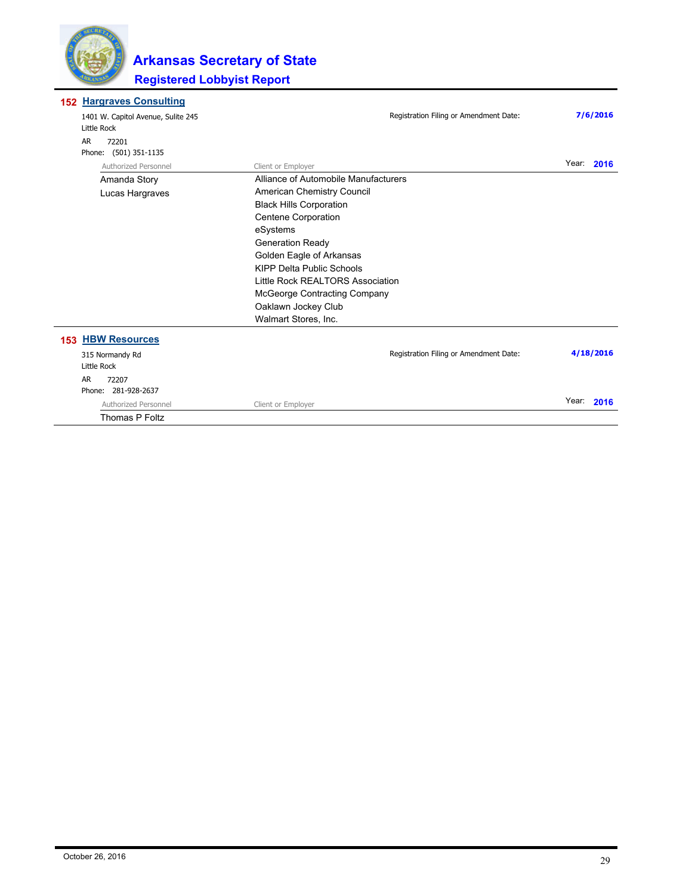

#### **Hargraves Consulting 152**

| 1401 W. Capitol Avenue, Sulite 245<br>Little Rock | Registration Filing or Amendment Date: | 7/6/2016   |
|---------------------------------------------------|----------------------------------------|------------|
| AR.<br>72201<br>(501) 351-1135<br>Phone:          |                                        |            |
| Authorized Personnel                              | Client or Employer                     | Year: 2016 |
| Amanda Story                                      | Alliance of Automobile Manufacturers   |            |
| Lucas Hargraves                                   | American Chemistry Council             |            |
|                                                   | <b>Black Hills Corporation</b>         |            |
|                                                   | Centene Corporation                    |            |
|                                                   | eSystems                               |            |
|                                                   | <b>Generation Ready</b>                |            |
|                                                   | Golden Eagle of Arkansas               |            |
|                                                   | <b>KIPP Delta Public Schools</b>       |            |
|                                                   | Little Rock REALTORS Association       |            |
|                                                   | <b>McGeorge Contracting Company</b>    |            |
|                                                   | Oaklawn Jockey Club                    |            |
|                                                   | Walmart Stores, Inc.                   |            |
| <b>153 HBW Resources</b>                          |                                        |            |
| 315 Normandy Rd                                   | Registration Filing or Amendment Date: | 4/18/2016  |
| Little Rock                                       |                                        |            |
| AR.<br>72207                                      |                                        |            |
| Phone: 281-928-2637                               |                                        |            |
| Authorized Personnel                              | Client or Employer                     | Year: 2016 |
| <b>Thomas P Foltz</b>                             |                                        |            |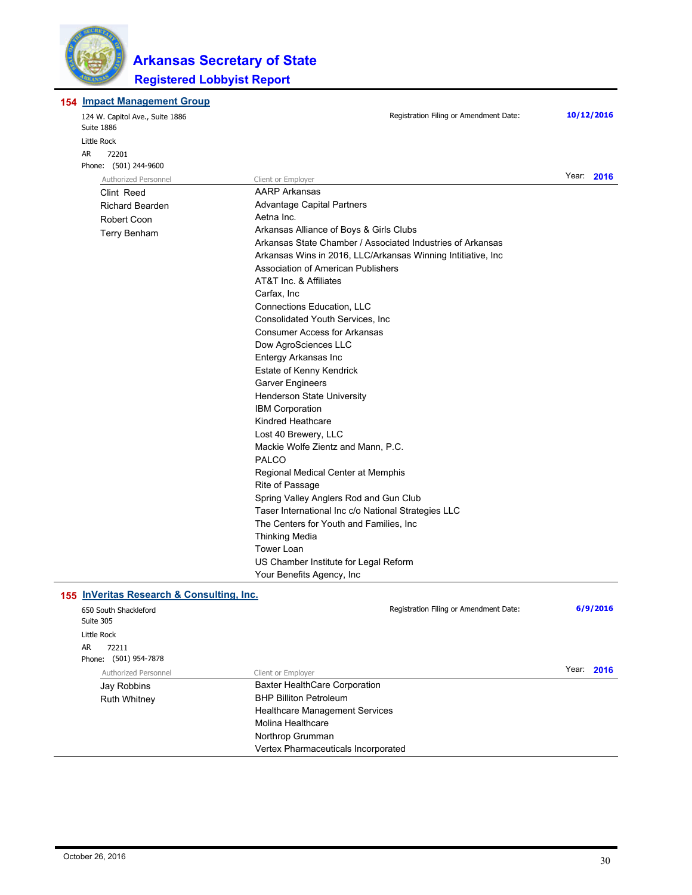

#### **154 Impact Management Group**

| 124 W. Capitol Ave., Suite 1886<br>Suite 1886 | Registration Filing or Amendment Date:                       | 10/12/2016 |  |
|-----------------------------------------------|--------------------------------------------------------------|------------|--|
| Little Rock                                   |                                                              |            |  |
| AR<br>72201                                   |                                                              |            |  |
| Phone: (501) 244-9600                         |                                                              |            |  |
| Authorized Personnel                          | Client or Employer                                           | Year: 2016 |  |
| Clint Reed                                    | <b>AARP Arkansas</b>                                         |            |  |
| <b>Richard Bearden</b>                        | <b>Advantage Capital Partners</b>                            |            |  |
| Robert Coon                                   | Aetna Inc.                                                   |            |  |
| <b>Terry Benham</b>                           | Arkansas Alliance of Boys & Girls Clubs                      |            |  |
|                                               | Arkansas State Chamber / Associated Industries of Arkansas   |            |  |
|                                               | Arkansas Wins in 2016, LLC/Arkansas Winning Intitiative, Inc |            |  |
|                                               | Association of American Publishers                           |            |  |
|                                               | AT&T Inc. & Affiliates                                       |            |  |
|                                               | Carfax, Inc                                                  |            |  |
|                                               | Connections Education, LLC                                   |            |  |
|                                               | Consolidated Youth Services, Inc.                            |            |  |
|                                               | <b>Consumer Access for Arkansas</b>                          |            |  |
|                                               | Dow AgroSciences LLC                                         |            |  |
|                                               | Entergy Arkansas Inc                                         |            |  |
|                                               | Estate of Kenny Kendrick                                     |            |  |
|                                               | <b>Garver Engineers</b>                                      |            |  |
|                                               | <b>Henderson State University</b>                            |            |  |
|                                               | <b>IBM Corporation</b>                                       |            |  |
|                                               | Kindred Heathcare                                            |            |  |
|                                               | Lost 40 Brewery, LLC                                         |            |  |
|                                               | Mackie Wolfe Zientz and Mann, P.C.                           |            |  |
|                                               | <b>PALCO</b>                                                 |            |  |
|                                               | Regional Medical Center at Memphis                           |            |  |
|                                               | Rite of Passage                                              |            |  |
|                                               | Spring Valley Anglers Rod and Gun Club                       |            |  |
|                                               | Taser International Inc c/o National Strategies LLC          |            |  |
|                                               | The Centers for Youth and Families, Inc                      |            |  |
|                                               | <b>Thinking Media</b>                                        |            |  |
|                                               | <b>Tower Loan</b>                                            |            |  |
|                                               | US Chamber Institute for Legal Reform                        |            |  |
|                                               | Your Benefits Agency, Inc.                                   |            |  |
| 155 InVeritas Research & Consulting, Inc.     |                                                              |            |  |
| 650 South Shackleford<br>Suite 305            | Registration Filing or Amendment Date:                       | 6/9/2016   |  |
| Little Rock                                   |                                                              |            |  |
| AR<br>72211                                   |                                                              |            |  |
| Phone: (501) 954-7878                         |                                                              |            |  |
| Authorized Personnel                          | Client or Employer                                           | Year: 2016 |  |
| Jay Robbins                                   | <b>Baxter HealthCare Corporation</b>                         |            |  |
| <b>Ruth Whitney</b>                           | <b>BHP Billiton Petroleum</b>                                |            |  |
|                                               | <b>Healthcare Management Services</b>                        |            |  |
|                                               | Molina Healthcare                                            |            |  |
|                                               | Northrop Grumman                                             |            |  |
|                                               | Vertex Pharmaceuticals Incorporated                          |            |  |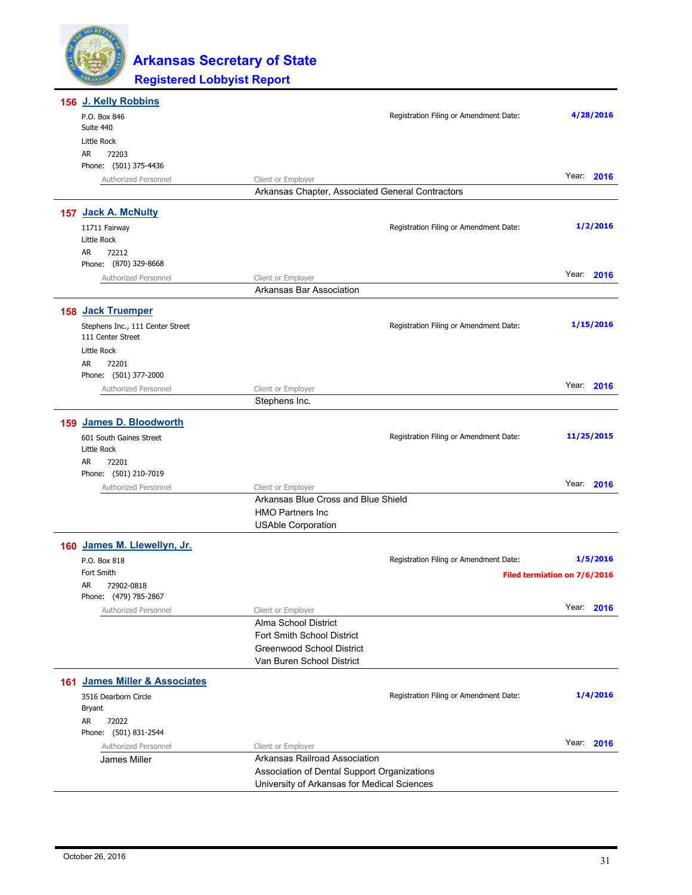

| 156 J. Kelly Robbins                                  |                                                           |                                        |                              |
|-------------------------------------------------------|-----------------------------------------------------------|----------------------------------------|------------------------------|
| P.O. Box 846                                          |                                                           | Registration Filing or Amendment Date: | 4/28/2016                    |
| Suite 440<br>Little Rock                              |                                                           |                                        |                              |
| AR<br>72203                                           |                                                           |                                        |                              |
| Phone: (501) 375-4436                                 |                                                           |                                        |                              |
| Authorized Personnel                                  | Client or Employer                                        |                                        | Year: 2016                   |
|                                                       | Arkansas Chapter, Associated General Contractors          |                                        |                              |
| 157 Jack A. McNulty                                   |                                                           |                                        |                              |
| 11711 Fairway                                         |                                                           | Registration Filing or Amendment Date: | 1/2/2016                     |
| Little Rock                                           |                                                           |                                        |                              |
| AR<br>72212<br>Phone: (870) 329-8668                  |                                                           |                                        |                              |
| Authorized Personnel                                  | Client or Employer                                        |                                        | Year:<br>2016                |
|                                                       | Arkansas Bar Association                                  |                                        |                              |
|                                                       |                                                           |                                        |                              |
| 158 Jack Truemper                                     |                                                           |                                        |                              |
| Stephens Inc., 111 Center Street<br>111 Center Street |                                                           | Registration Filing or Amendment Date: | 1/15/2016                    |
| Little Rock                                           |                                                           |                                        |                              |
| AR<br>72201                                           |                                                           |                                        |                              |
| Phone: (501) 377-2000                                 |                                                           |                                        |                              |
| Authorized Personnel                                  | Client or Employer                                        |                                        | Year: 2016                   |
|                                                       | Stephens Inc.                                             |                                        |                              |
| 159 James D. Bloodworth                               |                                                           |                                        |                              |
| 601 South Gaines Street                               |                                                           | Registration Filing or Amendment Date: | 11/25/2015                   |
| Little Rock                                           |                                                           |                                        |                              |
| AR<br>72201                                           |                                                           |                                        |                              |
| Phone: (501) 210-7019                                 |                                                           |                                        | Year: 2016                   |
| Authorized Personnel                                  | Client or Employer<br>Arkansas Blue Cross and Blue Shield |                                        |                              |
|                                                       | <b>HMO Partners Inc</b>                                   |                                        |                              |
|                                                       | <b>USAble Corporation</b>                                 |                                        |                              |
| 160 James M. Llewellyn, Jr.                           |                                                           |                                        |                              |
| P.O. Box 818                                          |                                                           | Registration Filing or Amendment Date: | 1/5/2016                     |
| Fort Smith                                            |                                                           |                                        | Filed termiation on 7/6/2016 |
| AR<br>72902-0818                                      |                                                           |                                        |                              |
| Phone: (479) 785-2867                                 |                                                           |                                        | Year: 2016                   |
| Authorized Personnel                                  | Client or Employer<br>Alma School District                |                                        |                              |
|                                                       | Fort Smith School District                                |                                        |                              |
|                                                       | <b>Greenwood School District</b>                          |                                        |                              |
|                                                       | Van Buren School District                                 |                                        |                              |
| 161 James Miller & Associates                         |                                                           |                                        |                              |
| 3516 Dearborn Circle                                  |                                                           | Registration Filing or Amendment Date: | 1/4/2016                     |
| Bryant                                                |                                                           |                                        |                              |
| AR<br>72022                                           |                                                           |                                        |                              |
| Phone: (501) 831-2544                                 |                                                           |                                        | Year: 2016                   |
| Authorized Personnel                                  | Client or Employer<br>Arkansas Railroad Association       |                                        |                              |
| James Miller                                          | Association of Dental Support Organizations               |                                        |                              |
|                                                       | University of Arkansas for Medical Sciences               |                                        |                              |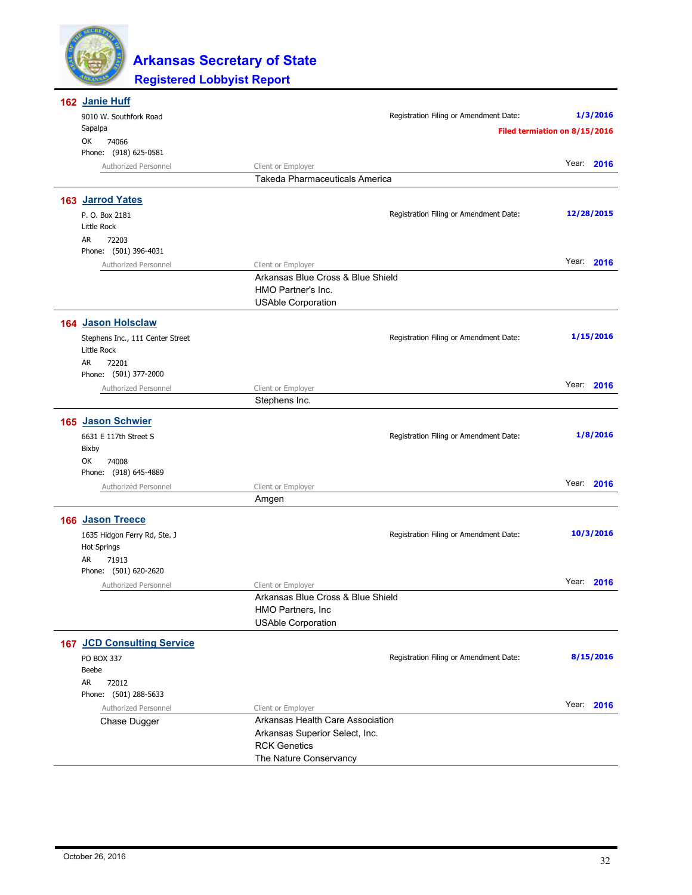

| 162 Janie Huff                                     |                                   |                                        |                               |
|----------------------------------------------------|-----------------------------------|----------------------------------------|-------------------------------|
| 9010 W. Southfork Road                             |                                   | Registration Filing or Amendment Date: | 1/3/2016                      |
| Sapalpa                                            |                                   |                                        | Filed termiation on 8/15/2016 |
| ОК<br>74066                                        |                                   |                                        |                               |
| Phone: (918) 625-0581                              |                                   |                                        | Year: 2016                    |
| Authorized Personnel                               | Client or Employer                |                                        |                               |
|                                                    | Takeda Pharmaceuticals America    |                                        |                               |
| 163 Jarrod Yates                                   |                                   |                                        |                               |
| P. O. Box 2181                                     |                                   | Registration Filing or Amendment Date: | 12/28/2015                    |
| Little Rock                                        |                                   |                                        |                               |
| AR<br>72203                                        |                                   |                                        |                               |
| Phone: (501) 396-4031                              |                                   |                                        |                               |
| Authorized Personnel                               | Client or Employer                |                                        | Year: 2016                    |
|                                                    | Arkansas Blue Cross & Blue Shield |                                        |                               |
|                                                    | HMO Partner's Inc.                |                                        |                               |
|                                                    | <b>USAble Corporation</b>         |                                        |                               |
| <b>164 Jason Holsclaw</b>                          |                                   |                                        |                               |
| Stephens Inc., 111 Center Street                   |                                   | Registration Filing or Amendment Date: | 1/15/2016                     |
| Little Rock                                        |                                   |                                        |                               |
| AR<br>72201                                        |                                   |                                        |                               |
| Phone: (501) 377-2000                              |                                   |                                        |                               |
| Authorized Personnel                               | Client or Employer                |                                        | Year: 2016                    |
|                                                    | Stephens Inc.                     |                                        |                               |
| 165 Jason Schwier                                  |                                   |                                        |                               |
| 6631 E 117th Street S                              |                                   | Registration Filing or Amendment Date: | 1/8/2016                      |
| Bixby                                              |                                   |                                        |                               |
| ОК<br>74008                                        |                                   |                                        |                               |
| Phone: (918) 645-4889                              |                                   |                                        |                               |
| Authorized Personnel                               | Client or Employer                |                                        | Year: 2016                    |
|                                                    | Amgen                             |                                        |                               |
| 166 Jason Treece                                   |                                   |                                        |                               |
|                                                    |                                   | Registration Filing or Amendment Date: | 10/3/2016                     |
| 1635 Hidgon Ferry Rd, Ste. J<br><b>Hot Springs</b> |                                   |                                        |                               |
| AR<br>71913                                        |                                   |                                        |                               |
| Phone: (501) 620-2620                              |                                   |                                        |                               |
| Authorized Personnel                               | Client or Employer                |                                        | Year: 2016                    |
|                                                    | Arkansas Blue Cross & Blue Shield |                                        |                               |
|                                                    | HMO Partners, Inc                 |                                        |                               |
|                                                    | <b>USAble Corporation</b>         |                                        |                               |
| <b>167 JCD Consulting Service</b>                  |                                   |                                        |                               |
| PO BOX 337                                         |                                   | Registration Filing or Amendment Date: | 8/15/2016                     |
| Beebe                                              |                                   |                                        |                               |
| AR<br>72012                                        |                                   |                                        |                               |
| Phone: (501) 288-5633                              |                                   |                                        |                               |
| Authorized Personnel                               | Client or Employer                |                                        | Year: 2016                    |
| Chase Dugger                                       | Arkansas Health Care Association  |                                        |                               |
|                                                    | Arkansas Superior Select, Inc.    |                                        |                               |
|                                                    | <b>RCK Genetics</b>               |                                        |                               |
|                                                    | The Nature Conservancy            |                                        |                               |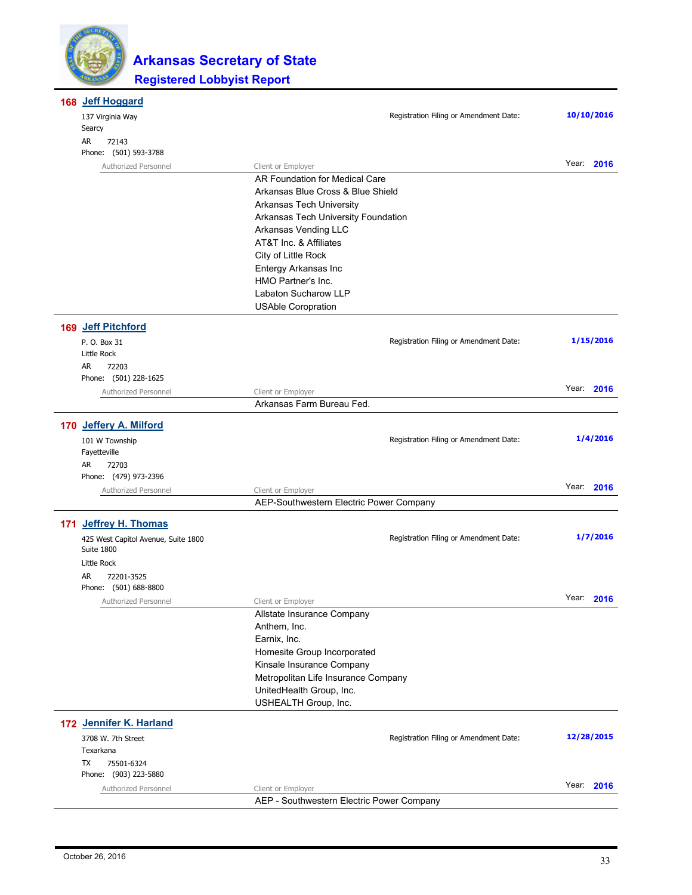

| 168 Jeff Hoggard                                  |                                            |                                        |            |  |
|---------------------------------------------------|--------------------------------------------|----------------------------------------|------------|--|
| 137 Virginia Way<br>Searcy                        |                                            | Registration Filing or Amendment Date: | 10/10/2016 |  |
| AR<br>72143<br>Phone: (501) 593-3788              |                                            |                                        |            |  |
| Authorized Personnel                              | Client or Employer                         |                                        | Year: 2016 |  |
|                                                   | AR Foundation for Medical Care             |                                        |            |  |
|                                                   | Arkansas Blue Cross & Blue Shield          |                                        |            |  |
|                                                   | Arkansas Tech University                   |                                        |            |  |
|                                                   | Arkansas Tech University Foundation        |                                        |            |  |
|                                                   | Arkansas Vending LLC                       |                                        |            |  |
|                                                   | AT&T Inc. & Affiliates                     |                                        |            |  |
|                                                   | City of Little Rock                        |                                        |            |  |
|                                                   | Entergy Arkansas Inc<br>HMO Partner's Inc. |                                        |            |  |
|                                                   | Labaton Sucharow LLP                       |                                        |            |  |
|                                                   | <b>USAble Coropration</b>                  |                                        |            |  |
| 169 Jeff Pitchford                                |                                            |                                        |            |  |
| P. O. Box 31                                      |                                            | Registration Filing or Amendment Date: | 1/15/2016  |  |
| Little Rock                                       |                                            |                                        |            |  |
| AR<br>72203                                       |                                            |                                        |            |  |
| Phone: (501) 228-1625                             |                                            |                                        | Year: 2016 |  |
| Authorized Personnel                              | Client or Employer                         |                                        |            |  |
|                                                   | Arkansas Farm Bureau Fed.                  |                                        |            |  |
| 170 Jeffery A. Milford                            |                                            |                                        |            |  |
| 101 W Township                                    |                                            | Registration Filing or Amendment Date: | 1/4/2016   |  |
| Fayetteville<br>AR<br>72703                       |                                            |                                        |            |  |
| Phone: (479) 973-2396                             |                                            |                                        |            |  |
| Authorized Personnel                              | Client or Employer                         |                                        | Year: 2016 |  |
|                                                   | AEP-Southwestern Electric Power Company    |                                        |            |  |
| 171 Jeffrey H. Thomas                             |                                            |                                        |            |  |
| 425 West Capitol Avenue, Suite 1800<br>Suite 1800 |                                            | Registration Filing or Amendment Date: | 1/7/2016   |  |
| Little Rock                                       |                                            |                                        |            |  |
| AR<br>72201-3525                                  |                                            |                                        |            |  |
| Phone: (501) 688-8800                             |                                            |                                        | Year: 2016 |  |
| Authorized Personnel                              | Client or Employer                         |                                        |            |  |
|                                                   | Allstate Insurance Company                 |                                        |            |  |
|                                                   | Anthem, Inc.<br>Earnix, Inc.               |                                        |            |  |
|                                                   | Homesite Group Incorporated                |                                        |            |  |
|                                                   | Kinsale Insurance Company                  |                                        |            |  |
|                                                   | Metropolitan Life Insurance Company        |                                        |            |  |
|                                                   | UnitedHealth Group, Inc.                   |                                        |            |  |
|                                                   | USHEALTH Group, Inc.                       |                                        |            |  |
| 172 Jennifer K. Harland                           |                                            |                                        |            |  |
| 3708 W. 7th Street<br>Texarkana                   |                                            | Registration Filing or Amendment Date: | 12/28/2015 |  |
| 75501-6324<br>TX<br>Phone: (903) 223-5880         |                                            |                                        |            |  |
| Authorized Personnel                              | Client or Employer                         |                                        | Year: 2016 |  |
|                                                   | AEP - Southwestern Electric Power Company  |                                        |            |  |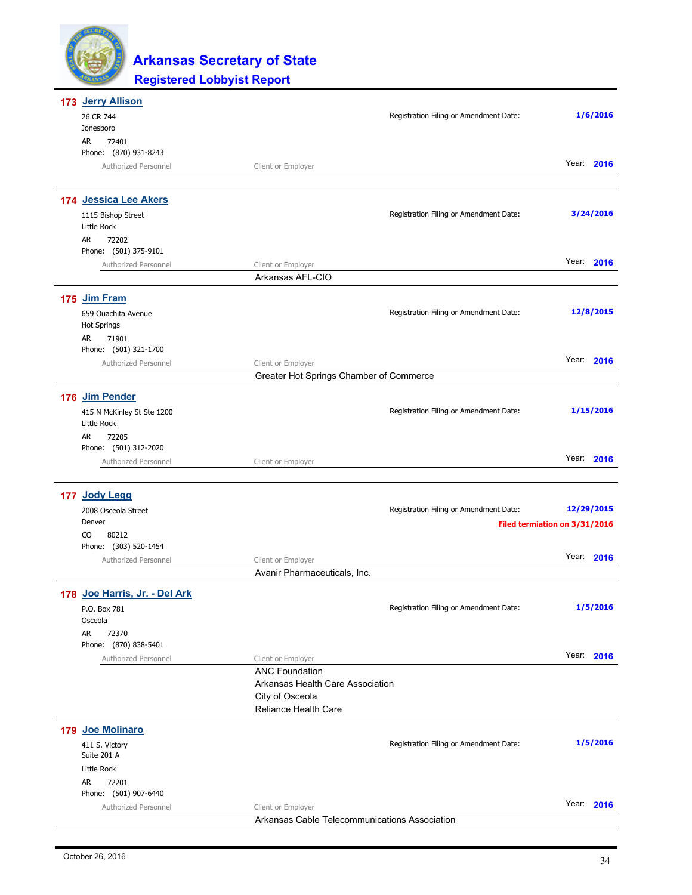| 173 Jerry Allison                         |                                                               |                                        |                               |
|-------------------------------------------|---------------------------------------------------------------|----------------------------------------|-------------------------------|
| 26 CR 744<br>Jonesboro                    |                                                               | Registration Filing or Amendment Date: | 1/6/2016                      |
| 72401<br>AR                               |                                                               |                                        |                               |
| Phone: (870) 931-8243                     |                                                               |                                        |                               |
| Authorized Personnel                      | Client or Employer                                            |                                        | Year: 2016                    |
| 174 Jessica Lee Akers                     |                                                               |                                        |                               |
| 1115 Bishop Street                        |                                                               | Registration Filing or Amendment Date: | 3/24/2016                     |
| Little Rock                               |                                                               |                                        |                               |
| AR<br>72202<br>Phone: (501) 375-9101      |                                                               |                                        |                               |
| Authorized Personnel                      | Client or Employer                                            |                                        | Year: 2016                    |
|                                           | Arkansas AFL-CIO                                              |                                        |                               |
| 175 Jim Fram                              |                                                               |                                        |                               |
| 659 Ouachita Avenue                       |                                                               | Registration Filing or Amendment Date: | 12/8/2015                     |
| <b>Hot Springs</b>                        |                                                               |                                        |                               |
| AR<br>71901                               |                                                               |                                        |                               |
| Phone: (501) 321-1700                     |                                                               |                                        | Year: 2016                    |
| Authorized Personnel                      | Client or Employer<br>Greater Hot Springs Chamber of Commerce |                                        |                               |
|                                           |                                                               |                                        |                               |
| 176 Jim Pender                            |                                                               |                                        |                               |
| 415 N McKinley St Ste 1200<br>Little Rock |                                                               | Registration Filing or Amendment Date: | 1/15/2016                     |
| AR<br>72205                               |                                                               |                                        |                               |
| Phone: (501) 312-2020                     |                                                               |                                        |                               |
| Authorized Personnel                      | Client or Employer                                            |                                        | Year: 2016                    |
| 177 Jody Legg                             |                                                               |                                        |                               |
| 2008 Osceola Street                       |                                                               | Registration Filing or Amendment Date: | 12/29/2015                    |
| Denver                                    |                                                               |                                        | Filed termiation on 3/31/2016 |
| CO<br>80212                               |                                                               |                                        |                               |
| Phone: (303) 520-1454                     |                                                               |                                        |                               |
| Authorized Personnel                      | Client or Employer                                            |                                        | Year: 2016                    |
|                                           | Avanir Pharmaceuticals, Inc.                                  |                                        |                               |
| 178 Joe Harris, Jr. - Del Ark             |                                                               |                                        |                               |
| P.O. Box 781                              |                                                               | Registration Filing or Amendment Date: | 1/5/2016                      |
| Osceola<br>AR<br>72370                    |                                                               |                                        |                               |
| Phone: (870) 838-5401                     |                                                               |                                        |                               |
| Authorized Personnel                      | Client or Employer                                            |                                        | Year: 2016                    |
|                                           | <b>ANC Foundation</b>                                         |                                        |                               |
|                                           | Arkansas Health Care Association                              |                                        |                               |
|                                           | City of Osceola<br>Reliance Health Care                       |                                        |                               |
|                                           |                                                               |                                        |                               |
| 179 Joe Molinaro                          |                                                               |                                        |                               |
| 411 S. Victory<br>Suite 201 A             |                                                               | Registration Filing or Amendment Date: | 1/5/2016                      |
| Little Rock                               |                                                               |                                        |                               |
| AR<br>72201                               |                                                               |                                        |                               |
| Phone: (501) 907-6440                     |                                                               |                                        |                               |
| Authorized Personnel                      | Client or Employer                                            |                                        | Year: 2016                    |
|                                           | Arkansas Cable Telecommunications Association                 |                                        |                               |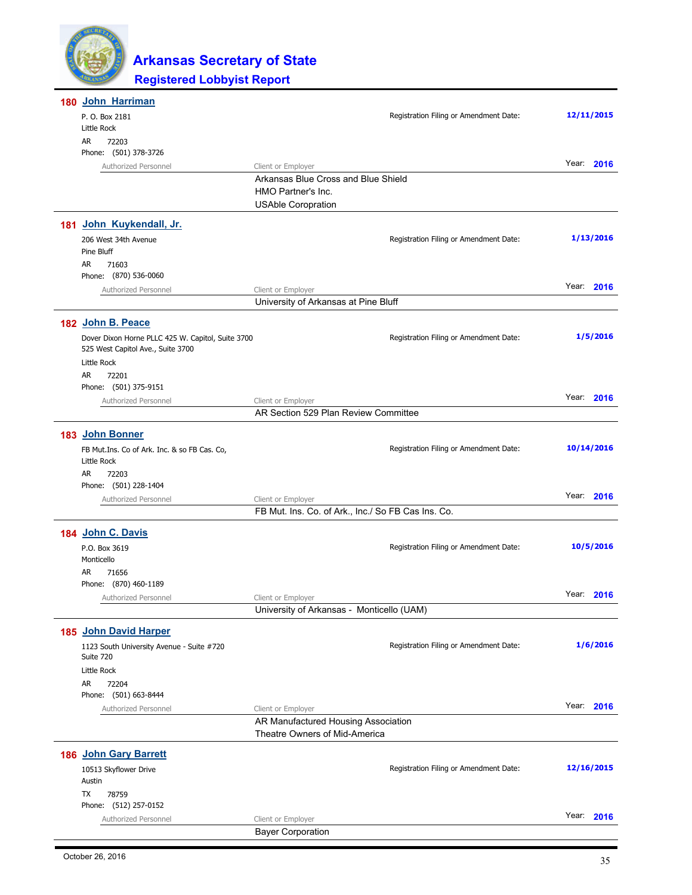

| 180 John Harriman                                            |                                                           |            |
|--------------------------------------------------------------|-----------------------------------------------------------|------------|
| P. O. Box 2181                                               | Registration Filing or Amendment Date:                    | 12/11/2015 |
| Little Rock                                                  |                                                           |            |
| AR<br>72203                                                  |                                                           |            |
| Phone: (501) 378-3726                                        |                                                           | Year: 2016 |
| Authorized Personnel                                         | Client or Employer<br>Arkansas Blue Cross and Blue Shield |            |
|                                                              | HMO Partner's Inc.                                        |            |
|                                                              | <b>USAble Coropration</b>                                 |            |
|                                                              |                                                           |            |
| 181 John Kuykendall, Jr.                                     |                                                           |            |
| 206 West 34th Avenue                                         | Registration Filing or Amendment Date:                    | 1/13/2016  |
| Pine Bluff<br>AR.<br>71603                                   |                                                           |            |
| Phone: (870) 536-0060                                        |                                                           |            |
| Authorized Personnel                                         | Client or Employer                                        | Year: 2016 |
|                                                              | University of Arkansas at Pine Bluff                      |            |
|                                                              |                                                           |            |
| 182 John B. Peace                                            |                                                           |            |
| Dover Dixon Horne PLLC 425 W. Capitol, Suite 3700            | Registration Filing or Amendment Date:                    | 1/5/2016   |
| 525 West Capitol Ave., Suite 3700                            |                                                           |            |
| Little Rock<br>AR<br>72201                                   |                                                           |            |
| Phone: (501) 375-9151                                        |                                                           |            |
| Authorized Personnel                                         | Client or Employer                                        | Year: 2016 |
|                                                              | AR Section 529 Plan Review Committee                      |            |
|                                                              |                                                           |            |
| 183 John Bonner                                              |                                                           |            |
| FB Mut. Ins. Co of Ark. Inc. & so FB Cas. Co,<br>Little Rock | Registration Filing or Amendment Date:                    | 10/14/2016 |
| AR<br>72203                                                  |                                                           |            |
| Phone: (501) 228-1404                                        |                                                           |            |
| Authorized Personnel                                         | Client or Employer                                        | Year: 2016 |
|                                                              | FB Mut. Ins. Co. of Ark., Inc./ So FB Cas Ins. Co.        |            |
| 184 John C. Davis                                            |                                                           |            |
| P.O. Box 3619                                                | Registration Filing or Amendment Date:                    | 10/5/2016  |
| Monticello                                                   |                                                           |            |
| AR<br>71656                                                  |                                                           |            |
| Phone: (870) 460-1189                                        |                                                           |            |
| Authorized Personnel                                         | Client or Employer                                        | Year: 2016 |
|                                                              | University of Arkansas - Monticello (UAM)                 |            |
| 185 John David Harper                                        |                                                           |            |
| 1123 South University Avenue - Suite #720                    | Registration Filing or Amendment Date:                    | 1/6/2016   |
| Suite 720                                                    |                                                           |            |
| Little Rock                                                  |                                                           |            |
| AR<br>72204                                                  |                                                           |            |
| Phone: (501) 663-8444                                        |                                                           |            |
| Authorized Personnel                                         | Year:<br>Client or Employer                               | 2016       |
|                                                              | AR Manufactured Housing Association                       |            |
|                                                              | Theatre Owners of Mid-America                             |            |
| 186 John Gary Barrett                                        |                                                           |            |
| 10513 Skyflower Drive                                        | Registration Filing or Amendment Date:                    | 12/16/2015 |
| Austin                                                       |                                                           |            |
| TX<br>78759                                                  |                                                           |            |
| Phone: (512) 257-0152                                        |                                                           |            |
| Authorized Personnel                                         | Year:<br>Client or Employer                               | 2016       |
|                                                              | <b>Bayer Corporation</b>                                  |            |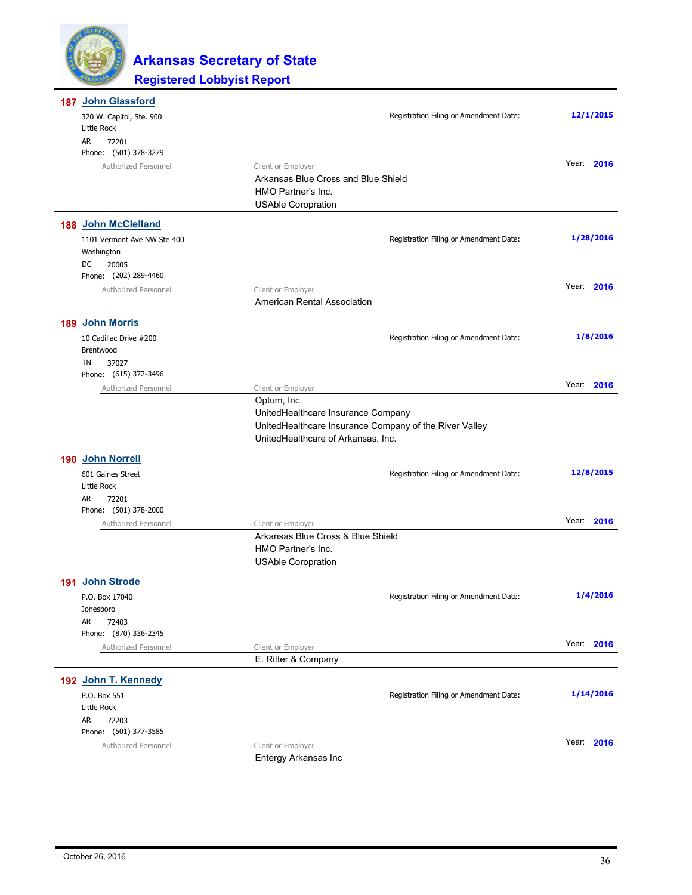

| 187 John Glassford                        |                                                 |                                                        |            |
|-------------------------------------------|-------------------------------------------------|--------------------------------------------------------|------------|
| 320 W. Capitol, Ste. 900                  |                                                 | Registration Filing or Amendment Date:                 | 12/1/2015  |
| Little Rock                               |                                                 |                                                        |            |
| AR<br>72201                               |                                                 |                                                        |            |
| Phone: (501) 378-3279                     |                                                 |                                                        | Year: 2016 |
| Authorized Personnel                      | Client or Employer                              |                                                        |            |
|                                           | Arkansas Blue Cross and Blue Shield             |                                                        |            |
|                                           | HMO Partner's Inc.<br><b>USAble Coropration</b> |                                                        |            |
| 188 John McClelland                       |                                                 |                                                        |            |
|                                           |                                                 | Registration Filing or Amendment Date:                 | 1/28/2016  |
| 1101 Vermont Ave NW Ste 400<br>Washington |                                                 |                                                        |            |
| DC<br>20005                               |                                                 |                                                        |            |
| Phone: (202) 289-4460                     |                                                 |                                                        |            |
| Authorized Personnel                      | Client or Employer                              |                                                        | Year: 2016 |
|                                           | American Rental Association                     |                                                        |            |
| 189 John Morris                           |                                                 |                                                        |            |
| 10 Cadillac Drive #200                    |                                                 | Registration Filing or Amendment Date:                 | 1/8/2016   |
| Brentwood                                 |                                                 |                                                        |            |
| TN<br>37027                               |                                                 |                                                        |            |
| Phone: (615) 372-3496                     |                                                 |                                                        |            |
| Authorized Personnel                      | Client or Employer                              |                                                        | Year: 2016 |
|                                           | Optum, Inc.                                     |                                                        |            |
|                                           | UnitedHealthcare Insurance Company              |                                                        |            |
|                                           |                                                 | UnitedHealthcare Insurance Company of the River Valley |            |
|                                           | UnitedHealthcare of Arkansas, Inc.              |                                                        |            |
| 190 John Norrell                          |                                                 |                                                        |            |
| 601 Gaines Street                         |                                                 | Registration Filing or Amendment Date:                 | 12/8/2015  |
| Little Rock                               |                                                 |                                                        |            |
| AR<br>72201                               |                                                 |                                                        |            |
| Phone: (501) 378-2000                     |                                                 |                                                        |            |
| Authorized Personnel                      | Client or Employer                              |                                                        | Year: 2016 |
|                                           | Arkansas Blue Cross & Blue Shield               |                                                        |            |
|                                           | HMO Partner's Inc.                              |                                                        |            |
|                                           | <b>USAble Coropration</b>                       |                                                        |            |
| 191 John Strode                           |                                                 |                                                        |            |
| P.O. Box 17040                            |                                                 | Registration Filing or Amendment Date:                 | 1/4/2016   |
| Jonesboro                                 |                                                 |                                                        |            |
| AR<br>72403                               |                                                 |                                                        |            |
| Phone: (870) 336-2345                     |                                                 |                                                        | Year: 2016 |
| Authorized Personnel                      | Client or Employer                              |                                                        |            |
|                                           | E. Ritter & Company                             |                                                        |            |
| 192 John T. Kennedy                       |                                                 |                                                        |            |
| P.O. Box 551                              |                                                 | Registration Filing or Amendment Date:                 | 1/14/2016  |
| Little Rock                               |                                                 |                                                        |            |
| AR<br>72203                               |                                                 |                                                        |            |
| Phone: (501) 377-3585                     |                                                 |                                                        | Year: 2016 |
| Authorized Personnel                      | Client or Employer                              |                                                        |            |
|                                           | Entergy Arkansas Inc                            |                                                        |            |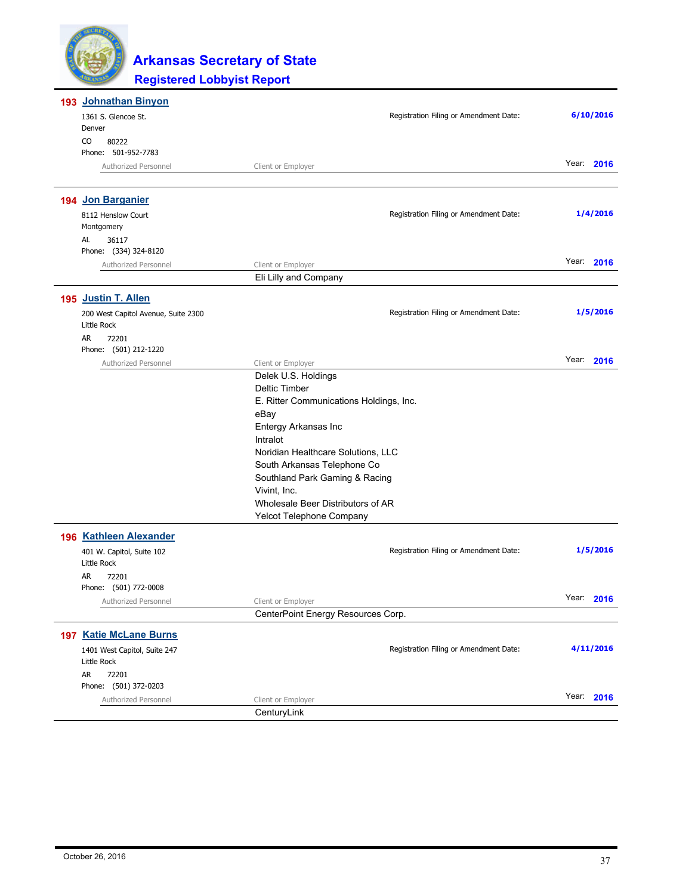| 193 Johnathan Binyon                        |                                         |               |
|---------------------------------------------|-----------------------------------------|---------------|
| 1361 S. Glencoe St.                         | Registration Filing or Amendment Date:  | 6/10/2016     |
| Denver                                      |                                         |               |
| CO<br>80222                                 |                                         |               |
| Phone: 501-952-7783                         |                                         |               |
| Authorized Personnel                        | Client or Employer                      | Year:<br>2016 |
| 194 Jon Barganier                           |                                         |               |
| 8112 Henslow Court                          | Registration Filing or Amendment Date:  | 1/4/2016      |
| Montgomery                                  |                                         |               |
| AL<br>36117                                 |                                         |               |
| Phone: (334) 324-8120                       |                                         |               |
| Authorized Personnel                        | Client or Employer                      | Year:<br>2016 |
|                                             | Eli Lilly and Company                   |               |
| 195 Justin T. Allen                         |                                         |               |
| 200 West Capitol Avenue, Suite 2300         | Registration Filing or Amendment Date:  | 1/5/2016      |
| Little Rock                                 |                                         |               |
| AR<br>72201                                 |                                         |               |
| Phone: (501) 212-1220                       |                                         |               |
| Authorized Personnel                        | Client or Employer                      | Year:<br>2016 |
|                                             | Delek U.S. Holdings                     |               |
|                                             | <b>Deltic Timber</b>                    |               |
|                                             | E. Ritter Communications Holdings, Inc. |               |
|                                             | eBay                                    |               |
|                                             | Entergy Arkansas Inc                    |               |
|                                             | Intralot                                |               |
|                                             | Noridian Healthcare Solutions, LLC      |               |
|                                             | South Arkansas Telephone Co             |               |
|                                             | Southland Park Gaming & Racing          |               |
|                                             | Vivint, Inc.                            |               |
|                                             | Wholesale Beer Distributors of AR       |               |
|                                             | Yelcot Telephone Company                |               |
| 196 Kathleen Alexander                      |                                         |               |
| 401 W. Capitol, Suite 102                   | Registration Filing or Amendment Date:  | 1/5/2016      |
| Little Rock                                 |                                         |               |
| AR<br>72201                                 |                                         |               |
| Phone: (501) 772-0008                       |                                         |               |
| Authorized Personnel                        | Client or Employer                      | Year: 2016    |
|                                             | CenterPoint Energy Resources Corp.      |               |
| <b>197 Katie McLane Burns</b>               |                                         |               |
| 1401 West Capitol, Suite 247<br>Little Rock | Registration Filing or Amendment Date:  | 4/11/2016     |
| AR.<br>72201                                |                                         |               |
| Phone: (501) 372-0203                       |                                         |               |
| Authorized Personnel                        | Client or Employer                      | Year: 2016    |
|                                             | CenturyLink                             |               |
|                                             |                                         |               |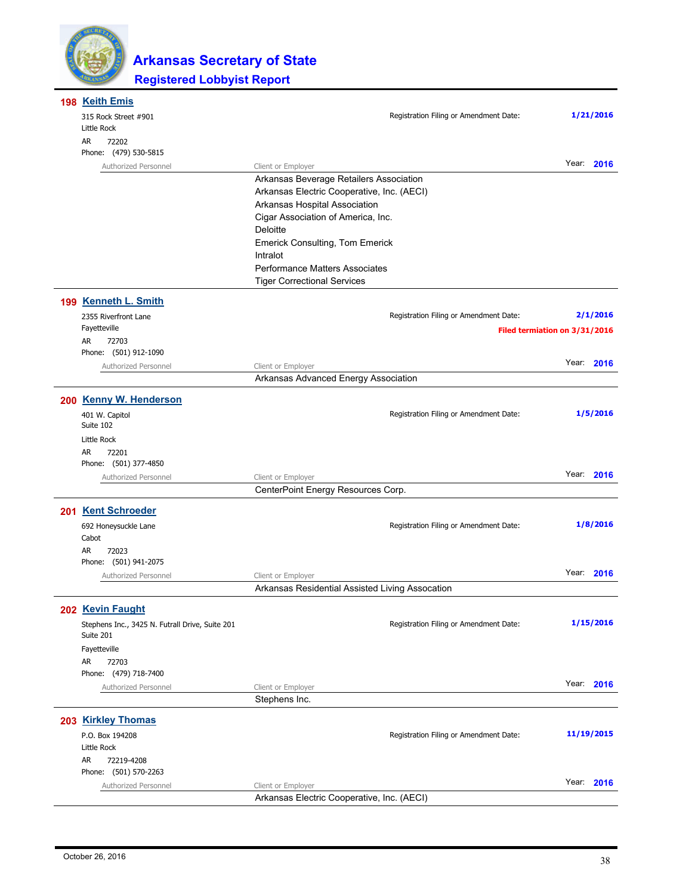

| 198 Keith Emis                                               |                                                    |                               |
|--------------------------------------------------------------|----------------------------------------------------|-------------------------------|
| 315 Rock Street #901<br>Little Rock                          | Registration Filing or Amendment Date:             | 1/21/2016                     |
| AR<br>72202<br>Phone: (479) 530-5815                         |                                                    |                               |
| Authorized Personnel                                         | Client or Employer                                 | Year: 2016                    |
|                                                              | Arkansas Beverage Retailers Association            |                               |
|                                                              | Arkansas Electric Cooperative, Inc. (AECI)         |                               |
|                                                              | Arkansas Hospital Association                      |                               |
|                                                              | Cigar Association of America, Inc.                 |                               |
|                                                              | Deloitte<br><b>Emerick Consulting, Tom Emerick</b> |                               |
|                                                              | Intralot                                           |                               |
|                                                              | <b>Performance Matters Associates</b>              |                               |
|                                                              | <b>Tiger Correctional Services</b>                 |                               |
| 199 Kenneth L. Smith                                         |                                                    |                               |
| 2355 Riverfront Lane                                         | Registration Filing or Amendment Date:             | 2/1/2016                      |
| Fayetteville                                                 |                                                    | Filed termiation on 3/31/2016 |
| AR<br>72703                                                  |                                                    |                               |
| Phone: (501) 912-1090                                        |                                                    |                               |
| Authorized Personnel                                         | Client or Employer                                 | Year: 2016                    |
|                                                              | Arkansas Advanced Energy Association               |                               |
| 200 Kenny W. Henderson                                       |                                                    |                               |
| 401 W. Capitol                                               | Registration Filing or Amendment Date:             | 1/5/2016                      |
| Suite 102                                                    |                                                    |                               |
| Little Rock<br>AR<br>72201                                   |                                                    |                               |
| Phone: (501) 377-4850                                        |                                                    |                               |
| Authorized Personnel                                         | Client or Employer                                 | Year: 2016                    |
|                                                              | CenterPoint Energy Resources Corp.                 |                               |
| 201 Kent Schroeder                                           |                                                    |                               |
| 692 Honeysuckle Lane                                         | Registration Filing or Amendment Date:             | 1/8/2016                      |
| Cabot                                                        |                                                    |                               |
| AR<br>72023                                                  |                                                    |                               |
| Phone: (501) 941-2075                                        |                                                    |                               |
| Authorized Personnel                                         | Client or Employer                                 | Year: 2016                    |
|                                                              | Arkansas Residential Assisted Living Assocation    |                               |
| 202 Kevin Faught                                             |                                                    |                               |
| Stephens Inc., 3425 N. Futrall Drive, Suite 201<br>Suite 201 | Registration Filing or Amendment Date:             | 1/15/2016                     |
| Fayetteville                                                 |                                                    |                               |
| AR<br>72703                                                  |                                                    |                               |
| Phone: (479) 718-7400                                        |                                                    |                               |
| Authorized Personnel                                         | Client or Employer                                 | Year: 2016                    |
|                                                              | Stephens Inc.                                      |                               |
| 203 Kirkley Thomas                                           |                                                    |                               |
| P.O. Box 194208                                              | Registration Filing or Amendment Date:             | 11/19/2015                    |
| Little Rock                                                  |                                                    |                               |
| AR<br>72219-4208<br>Phone: (501) 570-2263                    |                                                    |                               |
| Authorized Personnel                                         | Client or Employer                                 | Year: 2016                    |
|                                                              | Arkansas Electric Cooperative, Inc. (AECI)         |                               |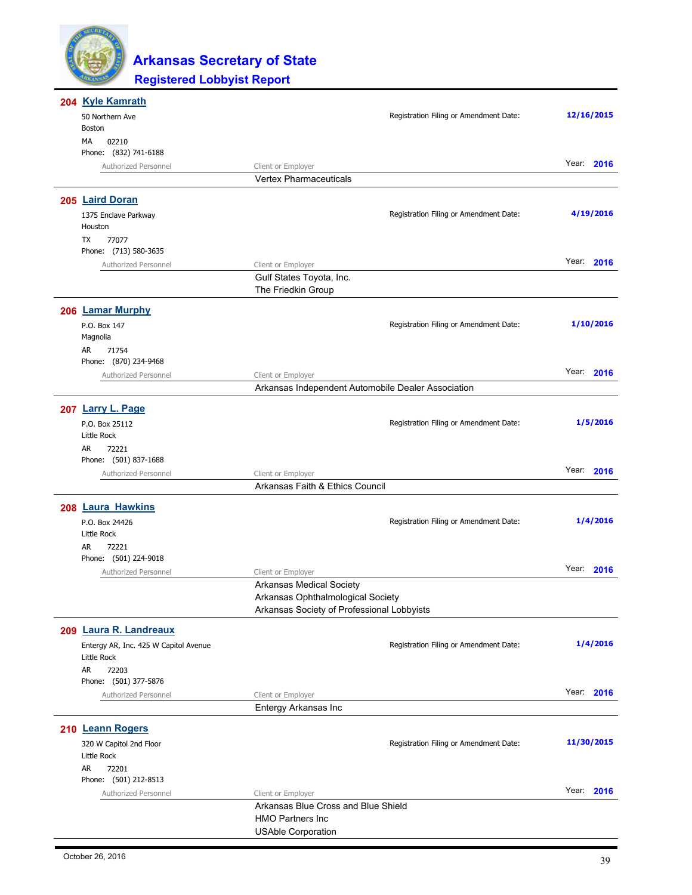

| 204 Kyle Kamrath                      |                                                    |                                        |            |
|---------------------------------------|----------------------------------------------------|----------------------------------------|------------|
| 50 Northern Ave                       |                                                    | Registration Filing or Amendment Date: | 12/16/2015 |
| Boston                                |                                                    |                                        |            |
| МA<br>02210                           |                                                    |                                        |            |
| Phone: (832) 741-6188                 |                                                    |                                        |            |
| Authorized Personnel                  | Client or Employer                                 |                                        | Year: 2016 |
|                                       | <b>Vertex Pharmaceuticals</b>                      |                                        |            |
|                                       |                                                    |                                        |            |
| 205 Laird Doran                       |                                                    |                                        |            |
| 1375 Enclave Parkway                  |                                                    | Registration Filing or Amendment Date: | 4/19/2016  |
| Houston                               |                                                    |                                        |            |
| TX<br>77077                           |                                                    |                                        |            |
| Phone: (713) 580-3635                 |                                                    |                                        |            |
|                                       |                                                    |                                        | Year: 2016 |
| Authorized Personnel                  | Client or Employer                                 |                                        |            |
|                                       | Gulf States Toyota, Inc.                           |                                        |            |
|                                       | The Friedkin Group                                 |                                        |            |
| 206 Lamar Murphy                      |                                                    |                                        |            |
|                                       |                                                    |                                        |            |
| P.O. Box 147                          |                                                    | Registration Filing or Amendment Date: | 1/10/2016  |
| Magnolia                              |                                                    |                                        |            |
| AR<br>71754                           |                                                    |                                        |            |
| Phone: (870) 234-9468                 |                                                    |                                        |            |
| Authorized Personnel                  | Client or Employer                                 |                                        | Year: 2016 |
|                                       | Arkansas Independent Automobile Dealer Association |                                        |            |
|                                       |                                                    |                                        |            |
| 207 Larry L. Page                     |                                                    |                                        |            |
| P.O. Box 25112                        |                                                    | Registration Filing or Amendment Date: | 1/5/2016   |
| Little Rock                           |                                                    |                                        |            |
| AR<br>72221                           |                                                    |                                        |            |
| Phone: (501) 837-1688                 |                                                    |                                        |            |
| Authorized Personnel                  | Client or Employer                                 |                                        | Year: 2016 |
|                                       | Arkansas Faith & Ethics Council                    |                                        |            |
|                                       |                                                    |                                        |            |
| 208 Laura Hawkins                     |                                                    |                                        |            |
| P.O. Box 24426                        |                                                    | Registration Filing or Amendment Date: | 1/4/2016   |
| Little Rock                           |                                                    |                                        |            |
| AR<br>72221                           |                                                    |                                        |            |
| Phone: (501) 224-9018                 |                                                    |                                        |            |
|                                       |                                                    |                                        | Year: 2016 |
| Authorized Personnel                  | Client or Employer                                 |                                        |            |
|                                       | Arkansas Medical Society                           |                                        |            |
|                                       | Arkansas Ophthalmological Society                  |                                        |            |
|                                       | Arkansas Society of Professional Lobbyists         |                                        |            |
| 209 Laura R. Landreaux                |                                                    |                                        |            |
|                                       |                                                    |                                        | 1/4/2016   |
| Entergy AR, Inc. 425 W Capitol Avenue |                                                    | Registration Filing or Amendment Date: |            |
| Little Rock                           |                                                    |                                        |            |
| AR<br>72203                           |                                                    |                                        |            |
| Phone: (501) 377-5876                 |                                                    |                                        |            |
| Authorized Personnel                  | Client or Employer                                 |                                        | Year: 2016 |
|                                       | Entergy Arkansas Inc                               |                                        |            |
|                                       |                                                    |                                        |            |
| 210 Leann Rogers                      |                                                    |                                        |            |
| 320 W Capitol 2nd Floor               |                                                    | Registration Filing or Amendment Date: | 11/30/2015 |
| Little Rock                           |                                                    |                                        |            |
| AR<br>72201                           |                                                    |                                        |            |
| Phone: (501) 212-8513                 |                                                    |                                        |            |
| Authorized Personnel                  | Client or Employer                                 |                                        | Year: 2016 |
|                                       | Arkansas Blue Cross and Blue Shield                |                                        |            |
|                                       | <b>HMO Partners Inc</b>                            |                                        |            |
|                                       | <b>USAble Corporation</b>                          |                                        |            |
|                                       |                                                    |                                        |            |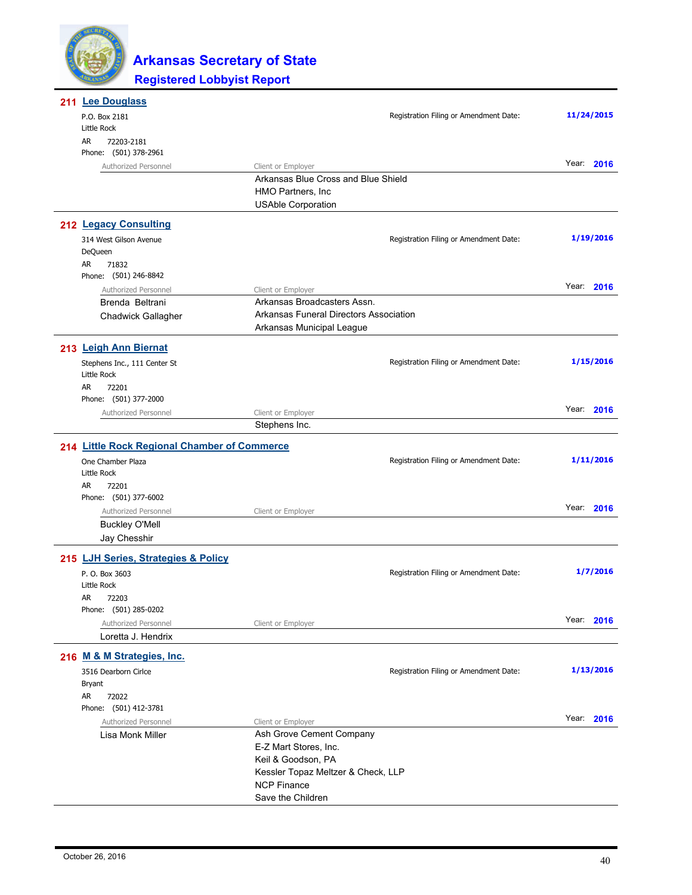

| 211 Lee Douglass                             |                                                          |                                        |            |
|----------------------------------------------|----------------------------------------------------------|----------------------------------------|------------|
| P.O. Box 2181                                |                                                          | Registration Filing or Amendment Date: | 11/24/2015 |
| Little Rock<br>AR<br>72203-2181              |                                                          |                                        |            |
| Phone: (501) 378-2961                        |                                                          |                                        |            |
| Authorized Personnel                         | Client or Employer                                       |                                        | Year: 2016 |
|                                              | Arkansas Blue Cross and Blue Shield                      |                                        |            |
|                                              | HMO Partners, Inc.                                       |                                        |            |
|                                              | <b>USAble Corporation</b>                                |                                        |            |
| 212 Legacy Consulting                        |                                                          |                                        |            |
| 314 West Gilson Avenue                       |                                                          | Registration Filing or Amendment Date: | 1/19/2016  |
| DeQueen                                      |                                                          |                                        |            |
| AR<br>71832                                  |                                                          |                                        |            |
| Phone: (501) 246-8842                        |                                                          |                                        |            |
| Authorized Personnel                         | Client or Employer                                       |                                        | Year: 2016 |
| Brenda Beltrani                              | Arkansas Broadcasters Assn.                              |                                        |            |
| Chadwick Gallagher                           | Arkansas Funeral Directors Association                   |                                        |            |
|                                              | Arkansas Municipal League                                |                                        |            |
| 213 Leigh Ann Biernat                        |                                                          |                                        |            |
| Stephens Inc., 111 Center St                 |                                                          | Registration Filing or Amendment Date: | 1/15/2016  |
| Little Rock                                  |                                                          |                                        |            |
| AR<br>72201                                  |                                                          |                                        |            |
| Phone: (501) 377-2000                        |                                                          |                                        |            |
| Authorized Personnel                         | Client or Employer                                       |                                        | Year: 2016 |
|                                              | Stephens Inc.                                            |                                        |            |
| 214 Little Rock Regional Chamber of Commerce |                                                          |                                        |            |
| One Chamber Plaza                            |                                                          | Registration Filing or Amendment Date: | 1/11/2016  |
| Little Rock                                  |                                                          |                                        |            |
| 72201<br>AR                                  |                                                          |                                        |            |
| Phone: (501) 377-6002                        |                                                          |                                        |            |
| Authorized Personnel                         | Client or Employer                                       |                                        | Year: 2016 |
| <b>Buckley O'Mell</b>                        |                                                          |                                        |            |
| Jay Chesshir                                 |                                                          |                                        |            |
| 215 LJH Series, Strategies & Policy          |                                                          |                                        |            |
| P. O. Box 3603                               |                                                          | Registration Filing or Amendment Date: | 1/7/2016   |
| Little Rock                                  |                                                          |                                        |            |
| AR<br>72203                                  |                                                          |                                        |            |
| Phone: (501) 285-0202                        |                                                          |                                        |            |
| Authorized Personnel                         | Client or Employer                                       |                                        | Year: 2016 |
| Loretta J. Hendrix                           |                                                          |                                        |            |
| 216 M & M Strategies, Inc.                   |                                                          |                                        |            |
| 3516 Dearborn Cirlce                         |                                                          | Registration Filing or Amendment Date: | 1/13/2016  |
| <b>Bryant</b>                                |                                                          |                                        |            |
| AR<br>72022                                  |                                                          |                                        |            |
| Phone: (501) 412-3781                        |                                                          |                                        |            |
| Authorized Personnel                         | Client or Employer                                       |                                        | Year: 2016 |
| Lisa Monk Miller                             | Ash Grove Cement Company                                 |                                        |            |
|                                              | E-Z Mart Stores, Inc.                                    |                                        |            |
|                                              | Keil & Goodson, PA                                       |                                        |            |
|                                              | Kessler Topaz Meltzer & Check, LLP<br><b>NCP Finance</b> |                                        |            |
|                                              | Save the Children                                        |                                        |            |
|                                              |                                                          |                                        |            |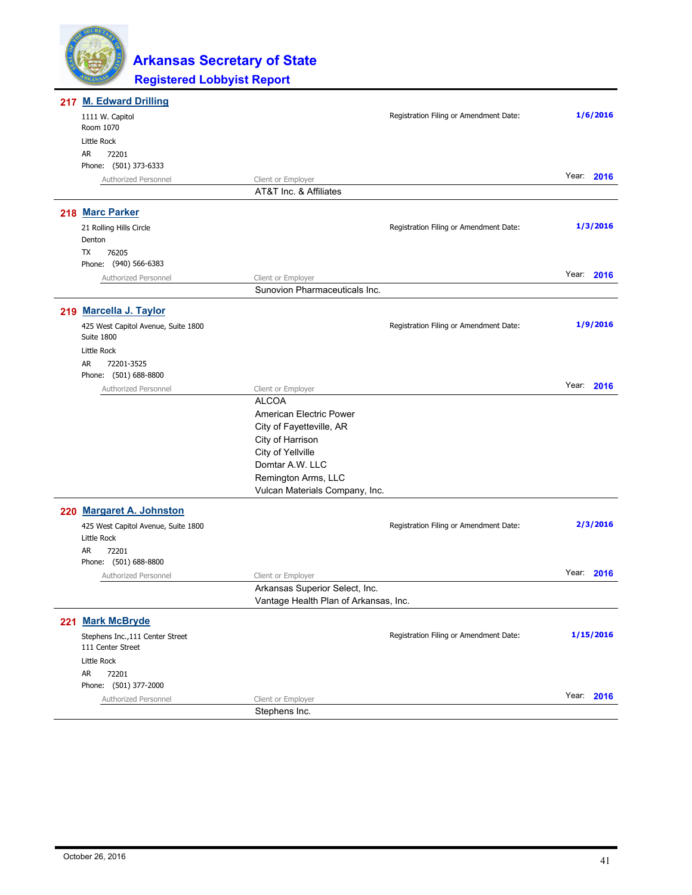

| 217 M. Edward Drilling                                   |                                                     |                                        |            |
|----------------------------------------------------------|-----------------------------------------------------|----------------------------------------|------------|
| 1111 W. Capitol<br>Room 1070                             |                                                     | Registration Filing or Amendment Date: | 1/6/2016   |
| Little Rock                                              |                                                     |                                        |            |
| AR<br>72201                                              |                                                     |                                        |            |
| Phone: (501) 373-6333                                    |                                                     |                                        |            |
| Authorized Personnel                                     | Client or Employer                                  |                                        | Year: 2016 |
|                                                          | AT&T Inc. & Affiliates                              |                                        |            |
| 218 Marc Parker                                          |                                                     |                                        |            |
| 21 Rolling Hills Circle                                  |                                                     | Registration Filing or Amendment Date: | 1/3/2016   |
| Denton                                                   |                                                     |                                        |            |
| TX<br>76205                                              |                                                     |                                        |            |
| Phone: (940) 566-6383                                    |                                                     |                                        | Year: 2016 |
| Authorized Personnel                                     | Client or Employer<br>Sunovion Pharmaceuticals Inc. |                                        |            |
|                                                          |                                                     |                                        |            |
| 219 Marcella J. Taylor                                   |                                                     |                                        |            |
| 425 West Capitol Avenue, Suite 1800<br><b>Suite 1800</b> |                                                     | Registration Filing or Amendment Date: | 1/9/2016   |
| Little Rock                                              |                                                     |                                        |            |
| <b>AR</b><br>72201-3525                                  |                                                     |                                        |            |
| Phone: (501) 688-8800                                    |                                                     |                                        |            |
| Authorized Personnel                                     | Client or Employer                                  |                                        | Year: 2016 |
|                                                          | <b>ALCOA</b>                                        |                                        |            |
|                                                          | American Electric Power                             |                                        |            |
|                                                          | City of Fayetteville, AR                            |                                        |            |
|                                                          | City of Harrison                                    |                                        |            |
|                                                          | City of Yellville<br>Domtar A.W. LLC                |                                        |            |
|                                                          | Remington Arms, LLC                                 |                                        |            |
|                                                          | Vulcan Materials Company, Inc.                      |                                        |            |
|                                                          |                                                     |                                        |            |
| 220 Margaret A. Johnston                                 |                                                     |                                        |            |
| 425 West Capitol Avenue, Suite 1800<br>Little Rock       |                                                     | Registration Filing or Amendment Date: | 2/3/2016   |
| AR<br>72201<br>Phone: (501) 688-8800                     |                                                     |                                        |            |
| Authorized Personnel                                     | Client or Employer                                  |                                        | Year: 2016 |
|                                                          | Arkansas Superior Select, Inc.                      |                                        |            |
|                                                          | Vantage Health Plan of Arkansas, Inc.               |                                        |            |
| 221 Mark McBryde                                         |                                                     |                                        |            |
| Stephens Inc., 111 Center Street<br>111 Center Street    |                                                     | Registration Filing or Amendment Date: | 1/15/2016  |
| Little Rock                                              |                                                     |                                        |            |
| AR<br>72201                                              |                                                     |                                        |            |
| Phone: (501) 377-2000                                    |                                                     |                                        | Year: 2016 |
| Authorized Personnel                                     | Client or Employer                                  |                                        |            |
|                                                          | Stephens Inc.                                       |                                        |            |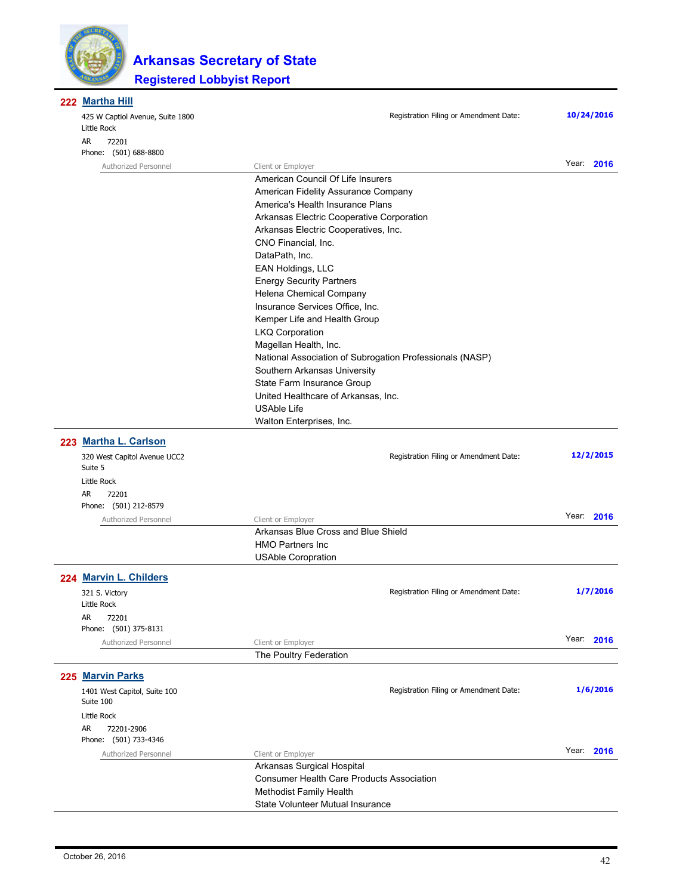

| 222 Martha Hill                                 |                                                          |            |  |
|-------------------------------------------------|----------------------------------------------------------|------------|--|
| 425 W Captiol Avenue, Suite 1800<br>Little Rock | Registration Filing or Amendment Date:                   | 10/24/2016 |  |
| AR.<br>72201<br>Phone: (501) 688-8800           |                                                          |            |  |
| Authorized Personnel                            | Client or Employer                                       | Year: 2016 |  |
|                                                 | American Council Of Life Insurers                        |            |  |
|                                                 | American Fidelity Assurance Company                      |            |  |
|                                                 | America's Health Insurance Plans                         |            |  |
|                                                 | Arkansas Electric Cooperative Corporation                |            |  |
|                                                 | Arkansas Electric Cooperatives, Inc.                     |            |  |
|                                                 | CNO Financial, Inc.                                      |            |  |
|                                                 | DataPath, Inc.                                           |            |  |
|                                                 | EAN Holdings, LLC                                        |            |  |
|                                                 | <b>Energy Security Partners</b>                          |            |  |
| Helena Chemical Company                         |                                                          |            |  |
| Insurance Services Office, Inc.                 |                                                          |            |  |
|                                                 | Kemper Life and Health Group                             |            |  |
|                                                 | <b>LKQ Corporation</b>                                   |            |  |
|                                                 | Magellan Health, Inc.                                    |            |  |
|                                                 | National Association of Subrogation Professionals (NASP) |            |  |
|                                                 | Southern Arkansas University                             |            |  |
|                                                 | State Farm Insurance Group                               |            |  |
|                                                 | United Healthcare of Arkansas, Inc.                      |            |  |
|                                                 | <b>USAble Life</b>                                       |            |  |
|                                                 | Walton Enterprises, Inc.                                 |            |  |
| 223 Martha L. Carlson                           |                                                          |            |  |
| 320 West Capitol Avenue UCC2<br>Suite 5         | Registration Filing or Amendment Date:                   | 12/2/2015  |  |
| Little Rock                                     |                                                          |            |  |
| AR<br>72201                                     |                                                          |            |  |
| Phone: (501) 212-8579                           |                                                          |            |  |
| Authorized Personnel                            | Client or Employer                                       | Year: 2016 |  |
|                                                 | Arkansas Blue Cross and Blue Shield                      |            |  |
|                                                 | <b>HMO Partners Inc</b>                                  |            |  |
|                                                 | <b>USAble Coropration</b>                                |            |  |
| 224 Marvin L. Childers                          |                                                          |            |  |
|                                                 |                                                          | 1/7/2016   |  |
| 321 S. Victory<br>Little Rock                   | Registration Filing or Amendment Date:                   |            |  |
| AR<br>72201                                     |                                                          |            |  |
| Phone: (501) 375-8131                           |                                                          |            |  |
| Authorized Personnel                            | Client or Employer                                       | Year: 2016 |  |
|                                                 | The Poultry Federation                                   |            |  |
|                                                 |                                                          |            |  |
| 225 Marvin Parks                                |                                                          |            |  |
| 1401 West Capitol, Suite 100<br>Suite 100       | Registration Filing or Amendment Date:                   | 1/6/2016   |  |
| Little Rock                                     |                                                          |            |  |
| AR<br>72201-2906                                |                                                          |            |  |
| Phone: (501) 733-4346                           |                                                          |            |  |
| Authorized Personnel                            | Client or Employer                                       | Year: 2016 |  |
|                                                 | Arkansas Surgical Hospital                               |            |  |
|                                                 | <b>Consumer Health Care Products Association</b>         |            |  |
|                                                 | Methodist Family Health                                  |            |  |
|                                                 | State Volunteer Mutual Insurance                         |            |  |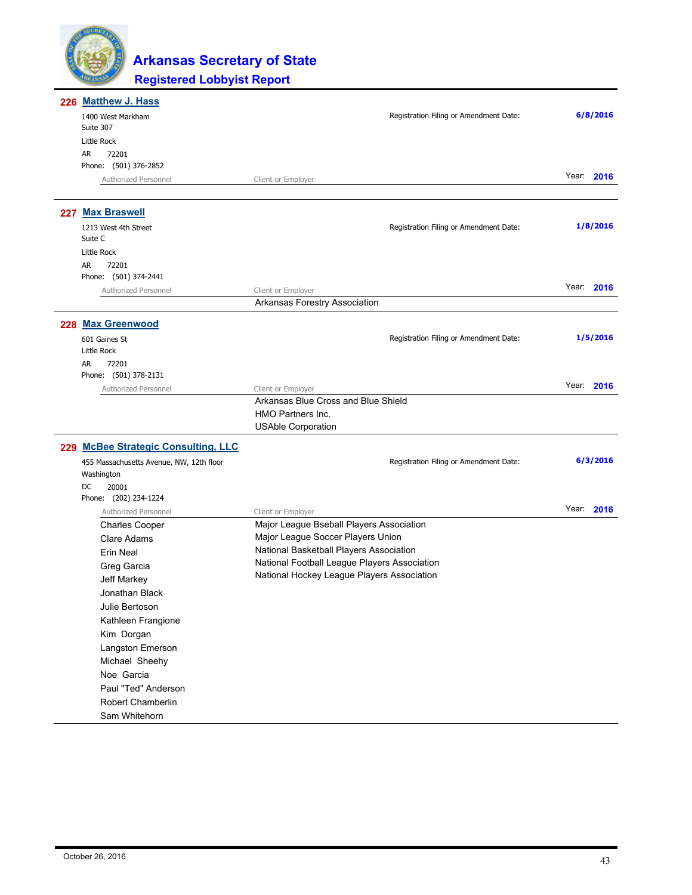

| 226 Matthew J. Hass                      |                                              |            |
|------------------------------------------|----------------------------------------------|------------|
| 1400 West Markham<br>Suite 307           | Registration Filing or Amendment Date:       | 6/8/2016   |
| Little Rock                              |                                              |            |
| AR<br>72201                              |                                              |            |
| Phone: (501) 376-2852                    |                                              |            |
| Authorized Personnel                     | Client or Employer                           | Year: 2016 |
| 227 Max Braswell                         |                                              |            |
| 1213 West 4th Street<br>Suite C          | Registration Filing or Amendment Date:       | 1/8/2016   |
| Little Rock                              |                                              |            |
| AR<br>72201                              |                                              |            |
| Phone: (501) 374-2441                    |                                              |            |
| Authorized Personnel                     | Client or Employer                           | Year: 2016 |
|                                          | Arkansas Forestry Association                |            |
| 228 Max Greenwood                        |                                              |            |
| 601 Gaines St                            | Registration Filing or Amendment Date:       | 1/5/2016   |
| Little Rock                              |                                              |            |
| 72201<br>AR                              |                                              |            |
| Phone: (501) 378-2131                    |                                              | Year: 2016 |
| Authorized Personnel                     | Client or Employer                           |            |
|                                          | Arkansas Blue Cross and Blue Shield          |            |
|                                          | <b>HMO Partners Inc.</b>                     |            |
|                                          | <b>USAble Corporation</b>                    |            |
| 229 McBee Strategic Consulting, LLC      |                                              |            |
| 455 Massachusetts Avenue, NW, 12th floor | Registration Filing or Amendment Date:       | 6/3/2016   |
| Washington                               |                                              |            |
| DC<br>20001                              |                                              |            |
| Phone: (202) 234-1224                    |                                              |            |
| Authorized Personnel                     | Client or Employer                           | Year: 2016 |
| <b>Charles Cooper</b>                    | Major League Bseball Players Association     |            |
| Clare Adams                              | Major League Soccer Players Union            |            |
| <b>Erin Neal</b>                         | National Basketball Players Association      |            |
| Greg Garcia                              | National Football League Players Association |            |
| Jeff Markey                              | National Hockey League Players Association   |            |
| Jonathan Black                           |                                              |            |
| Julie Bertoson                           |                                              |            |
| Kathleen Frangione                       |                                              |            |
| Kim Dorgan                               |                                              |            |
| Langston Emerson                         |                                              |            |
| Michael Sheehy                           |                                              |            |
| Noe Garcia                               |                                              |            |
| Paul "Ted" Anderson                      |                                              |            |
| Robert Chamberlin                        |                                              |            |
| Sam Whitehorn                            |                                              |            |
|                                          |                                              |            |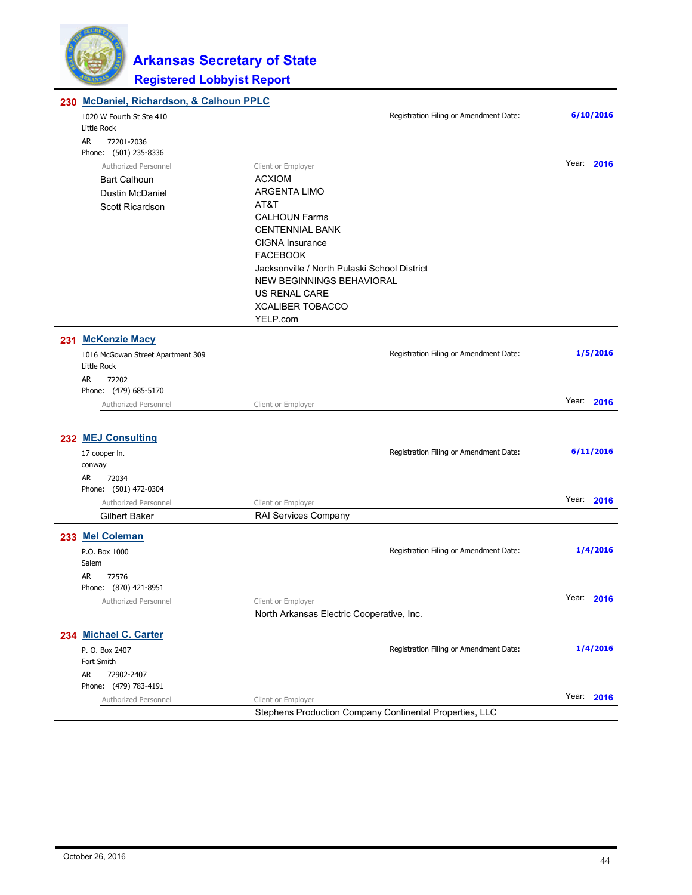

| 230 McDaniel, Richardson, & Calhoun PPLC |                                                         |                                        |               |
|------------------------------------------|---------------------------------------------------------|----------------------------------------|---------------|
| 1020 W Fourth St Ste 410                 |                                                         | Registration Filing or Amendment Date: | 6/10/2016     |
| Little Rock                              |                                                         |                                        |               |
| AR<br>72201-2036                         |                                                         |                                        |               |
| Phone: (501) 235-8336                    |                                                         |                                        | Year: 2016    |
| Authorized Personnel                     | Client or Employer<br><b>ACXIOM</b>                     |                                        |               |
| <b>Bart Calhoun</b>                      | <b>ARGENTA LIMO</b>                                     |                                        |               |
| <b>Dustin McDaniel</b>                   | AT&T                                                    |                                        |               |
| Scott Ricardson                          | <b>CALHOUN Farms</b>                                    |                                        |               |
|                                          | <b>CENTENNIAL BANK</b>                                  |                                        |               |
|                                          | <b>CIGNA</b> Insurance                                  |                                        |               |
|                                          | <b>FACEBOOK</b>                                         |                                        |               |
|                                          | Jacksonville / North Pulaski School District            |                                        |               |
|                                          | NEW BEGINNINGS BEHAVIORAL                               |                                        |               |
|                                          | US RENAL CARE                                           |                                        |               |
|                                          | <b>XCALIBER TOBACCO</b>                                 |                                        |               |
|                                          | YELP.com                                                |                                        |               |
| 231 McKenzie Macy                        |                                                         |                                        |               |
| 1016 McGowan Street Apartment 309        |                                                         | Registration Filing or Amendment Date: | 1/5/2016      |
| Little Rock                              |                                                         |                                        |               |
| AR.<br>72202                             |                                                         |                                        |               |
| Phone: (479) 685-5170                    |                                                         |                                        | Year: 2016    |
| Authorized Personnel                     | Client or Employer                                      |                                        |               |
|                                          |                                                         |                                        |               |
| 232 MEJ Consulting                       |                                                         |                                        |               |
| 17 cooper In.                            |                                                         | Registration Filing or Amendment Date: | 6/11/2016     |
| conway                                   |                                                         |                                        |               |
| 72034<br>AR<br>Phone: (501) 472-0304     |                                                         |                                        |               |
| Authorized Personnel                     | Client or Employer                                      |                                        | Year: 2016    |
| <b>Gilbert Baker</b>                     | RAI Services Company                                    |                                        |               |
| 233 Mel Coleman                          |                                                         |                                        |               |
| P.O. Box 1000                            |                                                         | Registration Filing or Amendment Date: | 1/4/2016      |
| Salem                                    |                                                         |                                        |               |
| AR<br>72576                              |                                                         |                                        |               |
| Phone: (870) 421-8951                    |                                                         |                                        |               |
| Authorized Personnel                     | Client or Employer                                      |                                        | Year:<br>2016 |
|                                          | North Arkansas Electric Cooperative, Inc.               |                                        |               |
| 234 Michael C. Carter                    |                                                         |                                        |               |
| P. O. Box 2407                           |                                                         | Registration Filing or Amendment Date: | 1/4/2016      |
| Fort Smith                               |                                                         |                                        |               |
| AR<br>72902-2407                         |                                                         |                                        |               |
| Phone: (479) 783-4191                    |                                                         |                                        |               |
| Authorized Personnel                     | Client or Employer                                      |                                        | Year: 2016    |
|                                          | Stephens Production Company Continental Properties, LLC |                                        |               |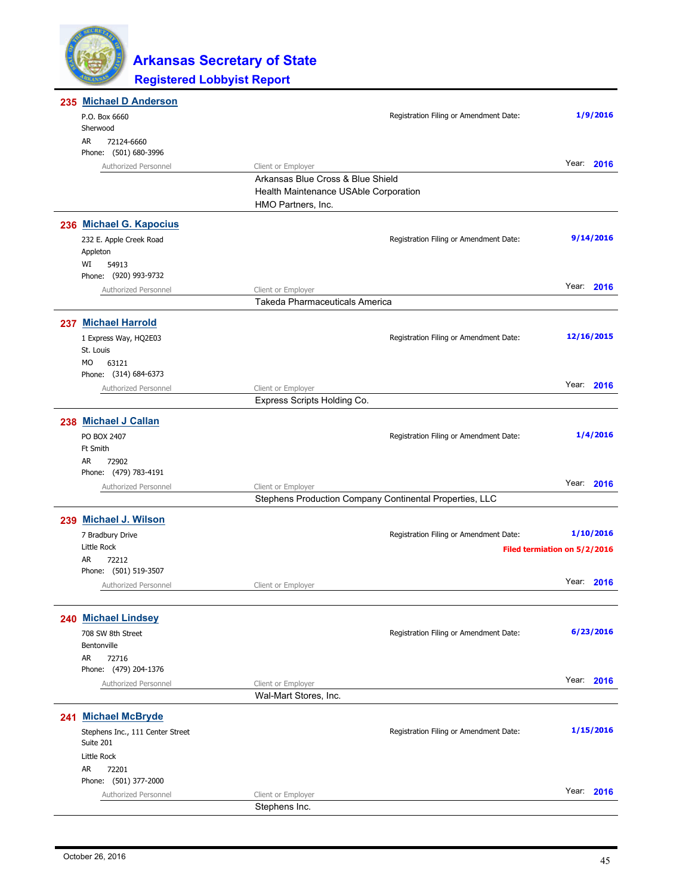

|  | 235 Michael D Anderson                        |                                                         |                                        |                              |
|--|-----------------------------------------------|---------------------------------------------------------|----------------------------------------|------------------------------|
|  | P.O. Box 6660<br>Sherwood                     |                                                         | Registration Filing or Amendment Date: | 1/9/2016                     |
|  | 72124-6660<br>AR<br>Phone: (501) 680-3996     |                                                         |                                        |                              |
|  | Authorized Personnel                          | Client or Employer                                      |                                        | Year: 2016                   |
|  |                                               | Arkansas Blue Cross & Blue Shield                       |                                        |                              |
|  |                                               | Health Maintenance USAble Corporation                   |                                        |                              |
|  |                                               | HMO Partners, Inc.                                      |                                        |                              |
|  | 236 Michael G. Kapocius                       |                                                         |                                        |                              |
|  | 232 E. Apple Creek Road                       |                                                         | Registration Filing or Amendment Date: | 9/14/2016                    |
|  | Appleton                                      |                                                         |                                        |                              |
|  | WI<br>54913                                   |                                                         |                                        |                              |
|  | Phone: (920) 993-9732<br>Authorized Personnel | Client or Employer                                      |                                        | Year: 2016                   |
|  |                                               | Takeda Pharmaceuticals America                          |                                        |                              |
|  | 237 Michael Harrold                           |                                                         |                                        |                              |
|  | 1 Express Way, HQ2E03                         |                                                         | Registration Filing or Amendment Date: | 12/16/2015                   |
|  | St. Louis                                     |                                                         |                                        |                              |
|  | 63121<br>MO.                                  |                                                         |                                        |                              |
|  | Phone: (314) 684-6373                         |                                                         |                                        |                              |
|  | Authorized Personnel                          | Client or Employer                                      |                                        | Year: 2016                   |
|  |                                               | Express Scripts Holding Co.                             |                                        |                              |
|  | 238 Michael J Callan                          |                                                         |                                        |                              |
|  | PO BOX 2407                                   |                                                         | Registration Filing or Amendment Date: | 1/4/2016                     |
|  | <b>Ft Smith</b>                               |                                                         |                                        |                              |
|  | AR<br>72902<br>Phone: (479) 783-4191          |                                                         |                                        |                              |
|  | Authorized Personnel                          | Client or Employer                                      |                                        | Year: 2016                   |
|  |                                               | Stephens Production Company Continental Properties, LLC |                                        |                              |
|  |                                               |                                                         |                                        |                              |
|  | 239 Michael J. Wilson                         |                                                         |                                        | 1/10/2016                    |
|  | 7 Bradbury Drive<br>Little Rock               |                                                         | Registration Filing or Amendment Date: |                              |
|  | AR<br>72212                                   |                                                         |                                        | Filed termiation on 5/2/2016 |
|  | Phone: (501) 519-3507                         |                                                         |                                        |                              |
|  | Authorized Personnel                          | Client or Employer                                      |                                        | Year: 2016                   |
|  |                                               |                                                         |                                        |                              |
|  | 240 Michael Lindsey                           |                                                         |                                        |                              |
|  | 708 SW 8th Street                             |                                                         | Registration Filing or Amendment Date: | 6/23/2016                    |
|  | Bentonville                                   |                                                         |                                        |                              |
|  | AR<br>72716<br>Phone: (479) 204-1376          |                                                         |                                        |                              |
|  | Authorized Personnel                          | Client or Employer                                      |                                        | Year: 2016                   |
|  |                                               | Wal-Mart Stores, Inc.                                   |                                        |                              |
|  | 241 Michael McBryde                           |                                                         |                                        |                              |
|  | Stephens Inc., 111 Center Street              |                                                         | Registration Filing or Amendment Date: | 1/15/2016                    |
|  | Suite 201<br>Little Rock                      |                                                         |                                        |                              |
|  | AR<br>72201                                   |                                                         |                                        |                              |
|  | Phone: (501) 377-2000                         |                                                         |                                        |                              |
|  | Authorized Personnel                          | Client or Employer                                      |                                        | Year: 2016                   |
|  |                                               | Stephens Inc.                                           |                                        |                              |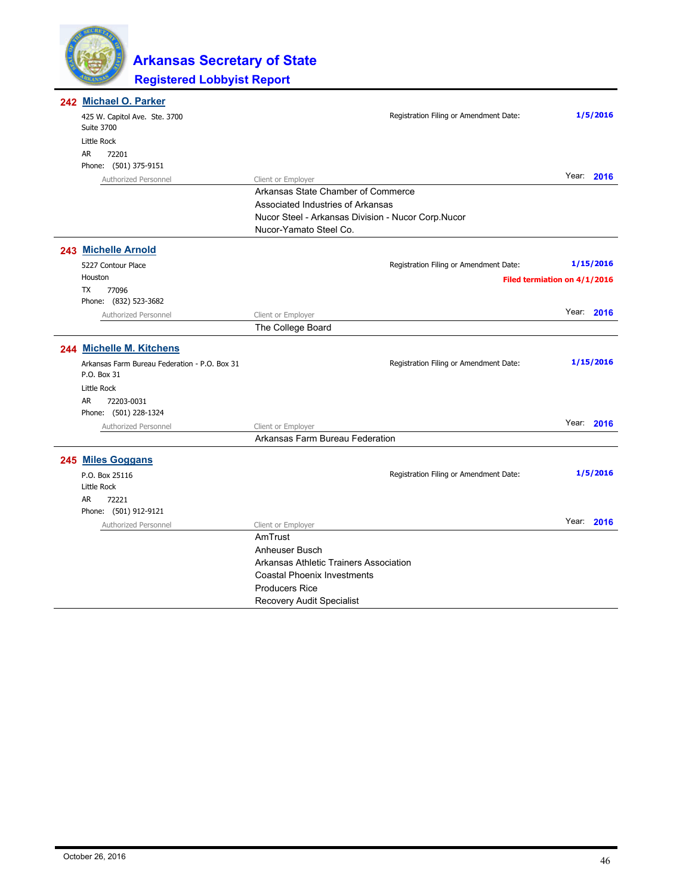

| <b>AR</b> | 242 Michael O. Parker<br>425 W. Capitol Ave. Ste. 3700<br><b>Suite 3700</b><br>Little Rock<br>72201 |                                                    | Registration Filing or Amendment Date: | 1/5/2016                     |
|-----------|-----------------------------------------------------------------------------------------------------|----------------------------------------------------|----------------------------------------|------------------------------|
|           | Phone: (501) 375-9151                                                                               |                                                    |                                        |                              |
|           | Authorized Personnel                                                                                | Client or Employer                                 |                                        | Year: 2016                   |
|           |                                                                                                     | Arkansas State Chamber of Commerce                 |                                        |                              |
|           |                                                                                                     | Associated Industries of Arkansas                  |                                        |                              |
|           |                                                                                                     | Nucor Steel - Arkansas Division - Nucor Corp.Nucor |                                        |                              |
|           |                                                                                                     | Nucor-Yamato Steel Co.                             |                                        |                              |
|           | 243 Michelle Arnold                                                                                 |                                                    |                                        |                              |
|           | 5227 Contour Place                                                                                  |                                                    | Registration Filing or Amendment Date: | 1/15/2016                    |
|           | Houston                                                                                             |                                                    |                                        | Filed termiation on 4/1/2016 |
| TX        | 77096                                                                                               |                                                    |                                        |                              |
|           | Phone: (832) 523-3682                                                                               |                                                    |                                        |                              |
|           | Authorized Personnel                                                                                | Client or Employer                                 |                                        | Year: 2016                   |
|           |                                                                                                     | The College Board                                  |                                        |                              |
|           | 244 Michelle M. Kitchens                                                                            |                                                    |                                        |                              |
|           | Arkansas Farm Bureau Federation - P.O. Box 31<br>P.O. Box 31                                        |                                                    | Registration Filing or Amendment Date: | 1/15/2016                    |
|           | Little Rock                                                                                         |                                                    |                                        |                              |
| <b>AR</b> | 72203-0031                                                                                          |                                                    |                                        |                              |
|           | Phone: (501) 228-1324                                                                               |                                                    |                                        |                              |
|           | Authorized Personnel                                                                                | Client or Employer                                 |                                        | Year: 2016                   |
|           |                                                                                                     | Arkansas Farm Bureau Federation                    |                                        |                              |
|           | 245 Miles Goggans                                                                                   |                                                    |                                        |                              |
|           |                                                                                                     |                                                    |                                        | 1/5/2016                     |
|           | P.O. Box 25116<br>Little Rock                                                                       |                                                    | Registration Filing or Amendment Date: |                              |
| AR        | 72221                                                                                               |                                                    |                                        |                              |
|           | Phone: (501) 912-9121                                                                               |                                                    |                                        |                              |
|           | Authorized Personnel                                                                                | Client or Employer                                 |                                        | Year: 2016                   |
|           |                                                                                                     | AmTrust                                            |                                        |                              |
|           |                                                                                                     | Anheuser Busch                                     |                                        |                              |
|           |                                                                                                     | Arkansas Athletic Trainers Association             |                                        |                              |
|           |                                                                                                     | <b>Coastal Phoenix Investments</b>                 |                                        |                              |
|           |                                                                                                     | <b>Producers Rice</b>                              |                                        |                              |
|           |                                                                                                     | Recovery Audit Specialist                          |                                        |                              |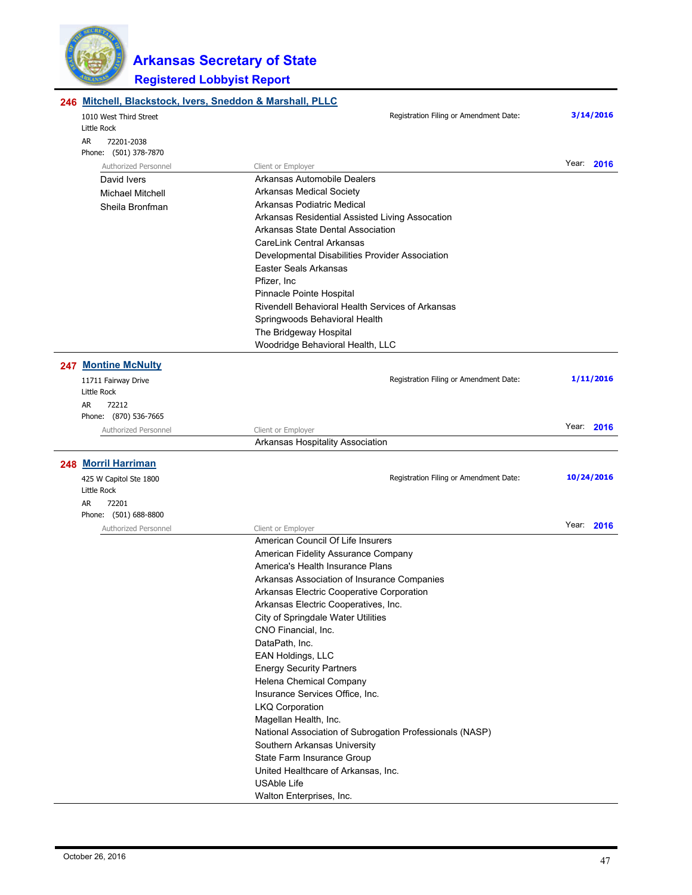

| 246 Mitchell, Blackstock, Ivers, Sneddon & Marshall, PLLC |                                                            |            |  |  |
|-----------------------------------------------------------|------------------------------------------------------------|------------|--|--|
| 1010 West Third Street<br>Little Rock                     | Registration Filing or Amendment Date:                     | 3/14/2016  |  |  |
| AR<br>72201-2038                                          |                                                            |            |  |  |
| Phone: (501) 378-7870                                     |                                                            |            |  |  |
| Authorized Personnel                                      | Client or Employer                                         | Year: 2016 |  |  |
| David Ivers                                               | Arkansas Automobile Dealers                                |            |  |  |
| <b>Michael Mitchell</b>                                   | Arkansas Medical Society                                   |            |  |  |
| Sheila Bronfman                                           | Arkansas Podiatric Medical                                 |            |  |  |
|                                                           | Arkansas Residential Assisted Living Assocation            |            |  |  |
|                                                           | Arkansas State Dental Association                          |            |  |  |
|                                                           | CareLink Central Arkansas                                  |            |  |  |
|                                                           | Developmental Disabilities Provider Association            |            |  |  |
|                                                           | Easter Seals Arkansas                                      |            |  |  |
|                                                           | Pfizer, Inc.                                               |            |  |  |
|                                                           | Pinnacle Pointe Hospital                                   |            |  |  |
|                                                           | Rivendell Behavioral Health Services of Arkansas           |            |  |  |
|                                                           | Springwoods Behavioral Health                              |            |  |  |
|                                                           | The Bridgeway Hospital                                     |            |  |  |
|                                                           | Woodridge Behavioral Health, LLC                           |            |  |  |
| 247 Montine McNulty                                       |                                                            |            |  |  |
| 11711 Fairway Drive                                       | Registration Filing or Amendment Date:                     | 1/11/2016  |  |  |
| Little Rock                                               |                                                            |            |  |  |
| AR<br>72212                                               |                                                            |            |  |  |
| Phone: (870) 536-7665                                     |                                                            |            |  |  |
| Authorized Personnel                                      | Client or Employer                                         | Year: 2016 |  |  |
|                                                           | Arkansas Hospitality Association                           |            |  |  |
| 248 Morril Harriman                                       |                                                            |            |  |  |
|                                                           | Registration Filing or Amendment Date:                     | 10/24/2016 |  |  |
| 425 W Capitol Ste 1800<br>Little Rock                     |                                                            |            |  |  |
| AR<br>72201                                               |                                                            |            |  |  |
| Phone: (501) 688-8800                                     |                                                            |            |  |  |
| Authorized Personnel                                      | Client or Employer                                         | Year: 2016 |  |  |
|                                                           | American Council Of Life Insurers                          |            |  |  |
|                                                           | American Fidelity Assurance Company                        |            |  |  |
|                                                           | America's Health Insurance Plans                           |            |  |  |
|                                                           | Arkansas Association of Insurance Companies                |            |  |  |
|                                                           | Arkansas Electric Cooperative Corporation                  |            |  |  |
|                                                           | Arkansas Electric Cooperatives, Inc.                       |            |  |  |
|                                                           | City of Springdale Water Utilities                         |            |  |  |
|                                                           | CNO Financial, Inc.                                        |            |  |  |
|                                                           | DataPath, Inc.                                             |            |  |  |
|                                                           | EAN Holdings, LLC                                          |            |  |  |
|                                                           | <b>Energy Security Partners</b>                            |            |  |  |
|                                                           | Helena Chemical Company                                    |            |  |  |
|                                                           | Insurance Services Office, Inc.                            |            |  |  |
|                                                           | <b>LKQ Corporation</b>                                     |            |  |  |
|                                                           | Magellan Health, Inc.                                      |            |  |  |
|                                                           | National Association of Subrogation Professionals (NASP)   |            |  |  |
|                                                           | Southern Arkansas University<br>State Farm Insurance Group |            |  |  |
|                                                           | United Healthcare of Arkansas, Inc.                        |            |  |  |
|                                                           | <b>USAble Life</b>                                         |            |  |  |
|                                                           | Walton Enterprises, Inc.                                   |            |  |  |
|                                                           |                                                            |            |  |  |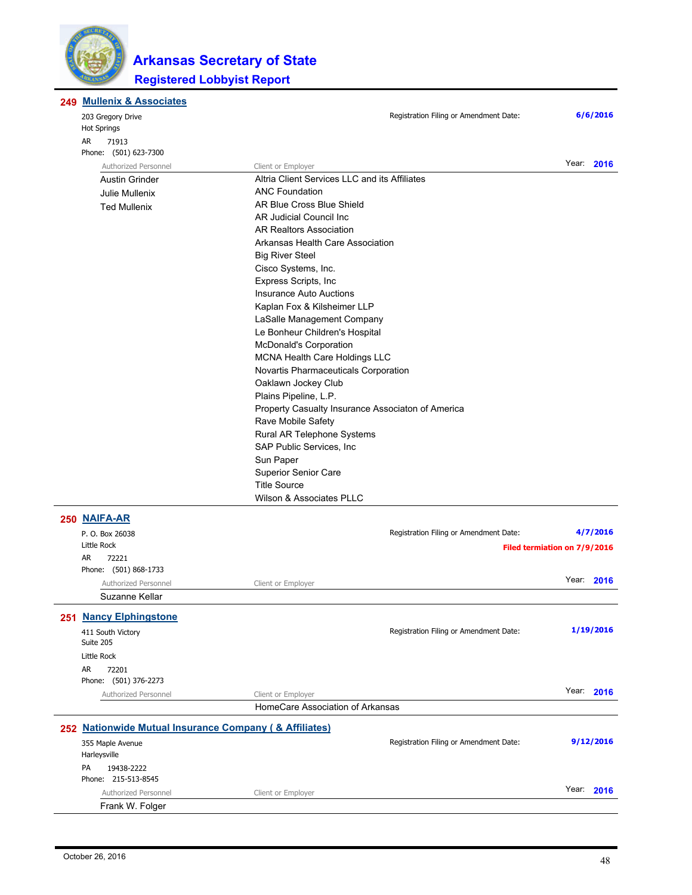

#### **Mullenix & Associates 249**

| 203 Gregory Drive     | Registration Filing or Amendment Date:            |                              | 6/6/2016 |
|-----------------------|---------------------------------------------------|------------------------------|----------|
| <b>Hot Springs</b>    |                                                   |                              |          |
| AR.<br>71913          |                                                   |                              |          |
| Phone: (501) 623-7300 |                                                   |                              |          |
| Authorized Personnel  | Client or Employer                                | Year: 2016                   |          |
| <b>Austin Grinder</b> | Altria Client Services LLC and its Affiliates     |                              |          |
| Julie Mullenix        | <b>ANC Foundation</b>                             |                              |          |
| <b>Ted Mullenix</b>   | AR Blue Cross Blue Shield                         |                              |          |
|                       | AR Judicial Council Inc.                          |                              |          |
|                       | <b>AR Realtors Association</b>                    |                              |          |
|                       | Arkansas Health Care Association                  |                              |          |
|                       | <b>Big River Steel</b>                            |                              |          |
|                       | Cisco Systems, Inc.                               |                              |          |
|                       | Express Scripts, Inc                              |                              |          |
|                       | <b>Insurance Auto Auctions</b>                    |                              |          |
|                       | Kaplan Fox & Kilsheimer LLP                       |                              |          |
|                       | LaSalle Management Company                        |                              |          |
|                       | Le Bonheur Children's Hospital                    |                              |          |
|                       | <b>McDonald's Corporation</b>                     |                              |          |
|                       | <b>MCNA Health Care Holdings LLC</b>              |                              |          |
|                       | Novartis Pharmaceuticals Corporation              |                              |          |
|                       | Oaklawn Jockey Club                               |                              |          |
|                       | Plains Pipeline, L.P.                             |                              |          |
|                       | Property Casualty Insurance Associaton of America |                              |          |
|                       | Rave Mobile Safety                                |                              |          |
|                       | Rural AR Telephone Systems                        |                              |          |
|                       | SAP Public Services, Inc.                         |                              |          |
|                       | Sun Paper                                         |                              |          |
|                       | <b>Superior Senior Care</b>                       |                              |          |
|                       | <b>Title Source</b>                               |                              |          |
|                       | Wilson & Associates PLLC                          |                              |          |
| 250 NAIFA-AR          |                                                   |                              |          |
| P. O. Box 26038       | Registration Filing or Amendment Date:            |                              | 4/7/2016 |
| Little Rock           |                                                   | Filed termistion on 7/0/2016 |          |

| P. U. BOX 20038                                        |                                  | Registration Filling or American lent Date. | 7/72010                      |
|--------------------------------------------------------|----------------------------------|---------------------------------------------|------------------------------|
| Little Rock                                            |                                  |                                             | Filed termiation on 7/9/2016 |
| <b>AR</b><br>72221                                     |                                  |                                             |                              |
| Phone: (501) 868-1733                                  |                                  |                                             |                              |
| Authorized Personnel                                   | Client or Employer               |                                             | Year: 2016                   |
| Suzanne Kellar                                         |                                  |                                             |                              |
| 251 Nancy Elphingstone                                 |                                  |                                             |                              |
| 411 South Victory                                      |                                  | Registration Filing or Amendment Date:      | 1/19/2016                    |
| Suite 205                                              |                                  |                                             |                              |
| Little Rock                                            |                                  |                                             |                              |
| <b>AR</b><br>72201                                     |                                  |                                             |                              |
| Phone: (501) 376-2273                                  |                                  |                                             |                              |
| Authorized Personnel                                   | Client or Employer               |                                             | Year: 2016                   |
|                                                        | HomeCare Association of Arkansas |                                             |                              |
| 252 Nationwide Mutual Insurance Company (& Affiliates) |                                  |                                             |                              |
| 355 Maple Avenue                                       |                                  | Registration Filing or Amendment Date:      | 9/12/2016                    |
| Harleysville                                           |                                  |                                             |                              |
| 19438-2222<br>PA                                       |                                  |                                             |                              |
| Phone: 215-513-8545                                    |                                  |                                             |                              |
| Authorized Personnel                                   | Client or Employer               |                                             | Year: 2016                   |
| Frank W. Folger                                        |                                  |                                             |                              |
|                                                        |                                  |                                             |                              |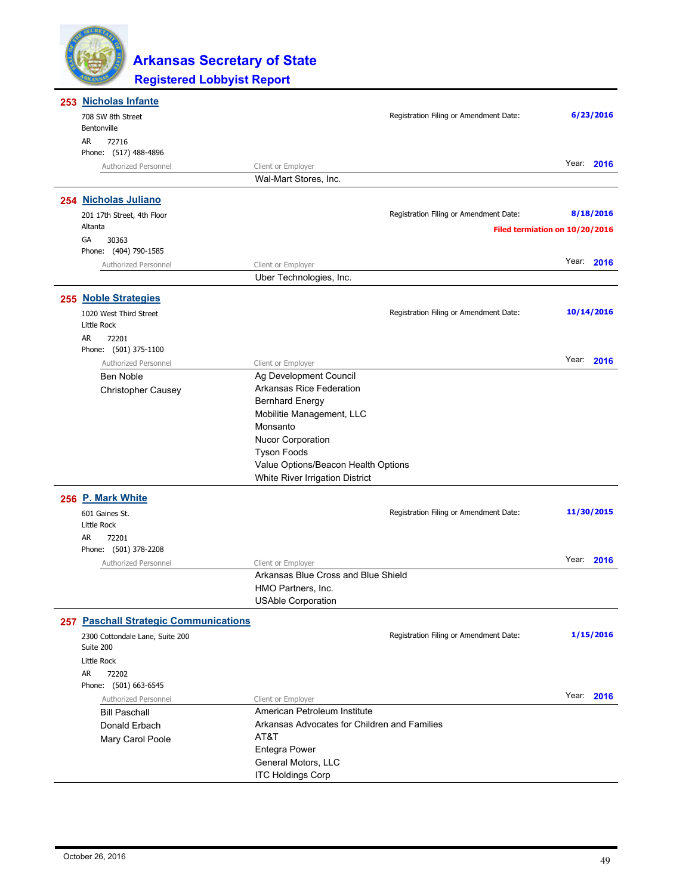

| 253 Nicholas Infante                         |                                              |                                        |       |            |
|----------------------------------------------|----------------------------------------------|----------------------------------------|-------|------------|
| 708 SW 8th Street                            |                                              | Registration Filing or Amendment Date: |       | 6/23/2016  |
| Bentonville                                  |                                              |                                        |       |            |
| AR<br>72716                                  |                                              |                                        |       |            |
| Phone: (517) 488-4896                        |                                              |                                        |       |            |
| Authorized Personnel                         | Client or Employer                           |                                        |       | Year: 2016 |
|                                              | Wal-Mart Stores, Inc.                        |                                        |       |            |
| 254 Nicholas Juliano                         |                                              |                                        |       |            |
| 201 17th Street, 4th Floor                   |                                              | Registration Filing or Amendment Date: |       | 8/18/2016  |
| Altanta                                      |                                              |                                        |       |            |
| GA<br>30363                                  |                                              | Filed termiation on 10/20/2016         |       |            |
| Phone: (404) 790-1585                        |                                              |                                        |       |            |
| Authorized Personnel                         | Client or Employer                           |                                        |       | Year: 2016 |
|                                              | Uber Technologies, Inc.                      |                                        |       |            |
| 255 Noble Strategies                         |                                              |                                        |       |            |
|                                              |                                              |                                        |       |            |
| 1020 West Third Street<br>Little Rock        |                                              | Registration Filing or Amendment Date: |       | 10/14/2016 |
| AR<br>72201                                  |                                              |                                        |       |            |
| Phone: (501) 375-1100                        |                                              |                                        |       |            |
| Authorized Personnel                         | Client or Employer                           |                                        |       | Year: 2016 |
| Ben Noble                                    | Ag Development Council                       |                                        |       |            |
| Christopher Causey                           | <b>Arkansas Rice Federation</b>              |                                        |       |            |
|                                              | <b>Bernhard Energy</b>                       |                                        |       |            |
|                                              | Mobilitie Management, LLC                    |                                        |       |            |
|                                              | Monsanto                                     |                                        |       |            |
|                                              | <b>Nucor Corporation</b>                     |                                        |       |            |
|                                              | <b>Tyson Foods</b>                           |                                        |       |            |
|                                              | Value Options/Beacon Health Options          |                                        |       |            |
|                                              | White River Irrigation District              |                                        |       |            |
| 256 P. Mark White                            |                                              |                                        |       |            |
| 601 Gaines St.                               |                                              | Registration Filing or Amendment Date: |       | 11/30/2015 |
| Little Rock                                  |                                              |                                        |       |            |
| AR<br>72201                                  |                                              |                                        |       |            |
| Phone: (501) 378-2208                        |                                              |                                        |       |            |
| Authorized Personnel                         | Client or Employer                           |                                        |       | Year: 2016 |
|                                              | Arkansas Blue Cross and Blue Shield          |                                        |       |            |
|                                              | HMO Partners, Inc.                           |                                        |       |            |
|                                              | <b>USAble Corporation</b>                    |                                        |       |            |
| <b>257 Paschall Strategic Communications</b> |                                              |                                        |       |            |
| 2300 Cottondale Lane, Suite 200              |                                              | Registration Filing or Amendment Date: |       | 1/15/2016  |
| Suite 200                                    |                                              |                                        |       |            |
| Little Rock                                  |                                              |                                        |       |            |
| AR<br>72202                                  |                                              |                                        |       |            |
| Phone: (501) 663-6545                        |                                              |                                        |       |            |
| Authorized Personnel                         | Client or Employer                           |                                        | Year: | 2016       |
| <b>Bill Paschall</b>                         | American Petroleum Institute                 |                                        |       |            |
| Donald Erbach                                | Arkansas Advocates for Children and Families |                                        |       |            |
| Mary Carol Poole                             | AT&T                                         |                                        |       |            |
|                                              | <b>Entegra Power</b>                         |                                        |       |            |
|                                              | General Motors, LLC                          |                                        |       |            |
|                                              | <b>ITC Holdings Corp</b>                     |                                        |       |            |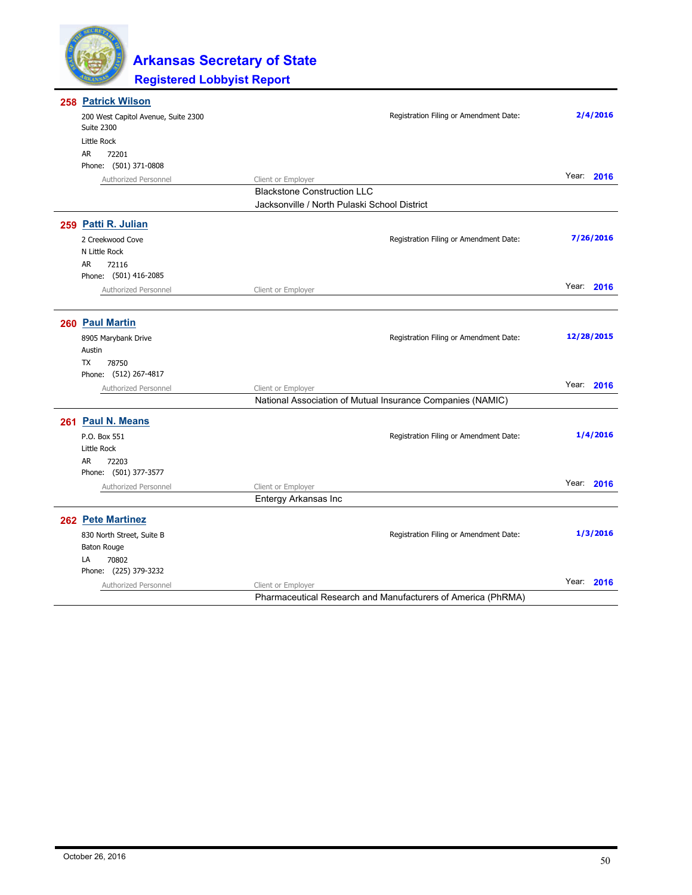

| 258 Patrick Wilson                                       |                                                              |            |
|----------------------------------------------------------|--------------------------------------------------------------|------------|
| 200 West Capitol Avenue, Suite 2300<br><b>Suite 2300</b> | Registration Filing or Amendment Date:                       | 2/4/2016   |
| Little Rock                                              |                                                              |            |
| AR<br>72201                                              |                                                              |            |
| Phone: (501) 371-0808                                    |                                                              |            |
| Authorized Personnel                                     | Client or Employer                                           | Year: 2016 |
|                                                          | <b>Blackstone Construction LLC</b>                           |            |
|                                                          | Jacksonville / North Pulaski School District                 |            |
| 259 Patti R. Julian                                      |                                                              |            |
| 2 Creekwood Cove                                         | Registration Filing or Amendment Date:                       | 7/26/2016  |
| N Little Rock                                            |                                                              |            |
| 72116<br>AR                                              |                                                              |            |
| Phone: (501) 416-2085                                    |                                                              |            |
| Authorized Personnel                                     | Client or Employer                                           | Year: 2016 |
|                                                          |                                                              |            |
| 260 Paul Martin                                          |                                                              |            |
| 8905 Marybank Drive                                      | Registration Filing or Amendment Date:                       | 12/28/2015 |
| Austin                                                   |                                                              |            |
| <b>TX</b><br>78750                                       |                                                              |            |
| Phone: (512) 267-4817                                    |                                                              |            |
| Authorized Personnel                                     | Client or Employer                                           | Year: 2016 |
|                                                          | National Association of Mutual Insurance Companies (NAMIC)   |            |
| 261 Paul N. Means                                        |                                                              |            |
| P.O. Box 551                                             | Registration Filing or Amendment Date:                       | 1/4/2016   |
| Little Rock                                              |                                                              |            |
| <b>AR</b><br>72203                                       |                                                              |            |
| Phone: (501) 377-3577                                    |                                                              |            |
| Authorized Personnel                                     | Client or Employer                                           | Year: 2016 |
|                                                          | Entergy Arkansas Inc                                         |            |
| 262 Pete Martinez                                        |                                                              |            |
| 830 North Street, Suite B                                | Registration Filing or Amendment Date:                       | 1/3/2016   |
| <b>Baton Rouge</b>                                       |                                                              |            |
| LA<br>70802                                              |                                                              |            |
| Phone: (225) 379-3232                                    |                                                              |            |
| Authorized Personnel                                     | Client or Employer                                           | Year: 2016 |
|                                                          | Pharmaceutical Research and Manufacturers of America (PhRMA) |            |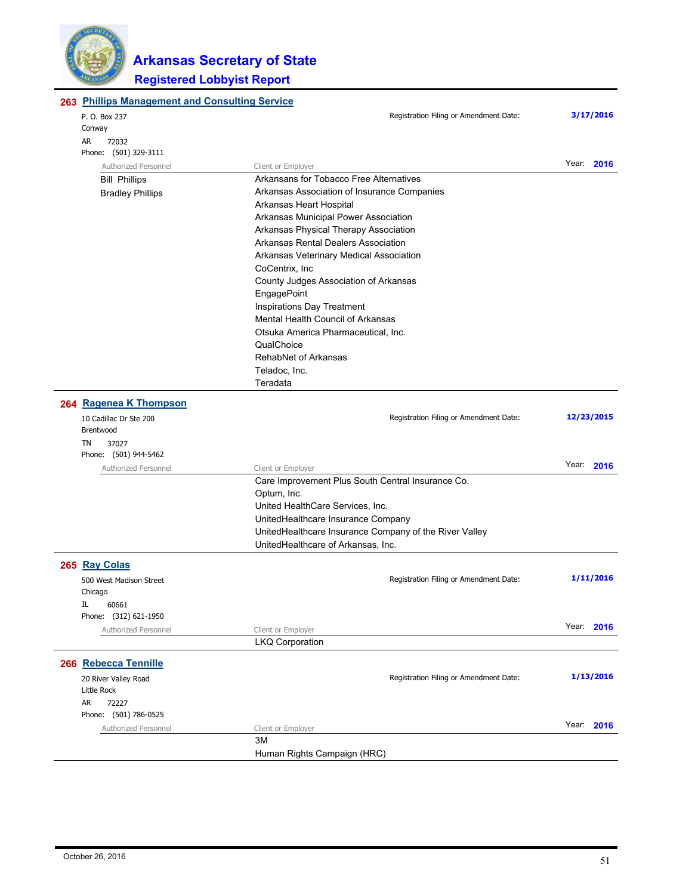

| 263 Phillips Management and Consulting Service |                                                                               |               |  |
|------------------------------------------------|-------------------------------------------------------------------------------|---------------|--|
| P. O. Box 237                                  | Registration Filing or Amendment Date:                                        | 3/17/2016     |  |
| Conway                                         |                                                                               |               |  |
| AR<br>72032                                    |                                                                               |               |  |
| Phone: (501) 329-3111                          |                                                                               | Year: 2016    |  |
| Authorized Personnel                           | Client or Employer                                                            |               |  |
| <b>Bill Phillips</b>                           | Arkansans for Tobacco Free Alternatives                                       |               |  |
| <b>Bradley Phillips</b>                        | Arkansas Association of Insurance Companies                                   |               |  |
|                                                | Arkansas Heart Hospital                                                       |               |  |
|                                                | Arkansas Municipal Power Association<br>Arkansas Physical Therapy Association |               |  |
|                                                | Arkansas Rental Dealers Association                                           |               |  |
|                                                |                                                                               |               |  |
|                                                | Arkansas Veterinary Medical Association                                       |               |  |
|                                                | CoCentrix, Inc.                                                               |               |  |
|                                                | County Judges Association of Arkansas                                         |               |  |
|                                                | EngagePoint                                                                   |               |  |
|                                                | Inspirations Day Treatment                                                    |               |  |
|                                                | Mental Health Council of Arkansas                                             |               |  |
|                                                | Otsuka America Pharmaceutical, Inc.                                           |               |  |
|                                                | QualChoice                                                                    |               |  |
|                                                | RehabNet of Arkansas                                                          |               |  |
|                                                | Teladoc, Inc.                                                                 |               |  |
|                                                | Teradata                                                                      |               |  |
| 264 Ragenea K Thompson                         |                                                                               |               |  |
| 10 Cadillac Dr Ste 200                         | Registration Filing or Amendment Date:                                        | 12/23/2015    |  |
| Brentwood                                      |                                                                               |               |  |
| TN<br>37027                                    |                                                                               |               |  |
| Phone: (501) 944-5462<br>Authorized Personnel  |                                                                               | Year: 2016    |  |
|                                                | Client or Employer<br>Care Improvement Plus South Central Insurance Co.       |               |  |
|                                                | Optum, Inc.                                                                   |               |  |
|                                                | United HealthCare Services, Inc.                                              |               |  |
|                                                |                                                                               |               |  |
|                                                | UnitedHealthcare Insurance Company                                            |               |  |
|                                                | UnitedHealthcare Insurance Company of the River Valley                        |               |  |
|                                                | UnitedHealthcare of Arkansas, Inc.                                            |               |  |
| 265 Ray Colas                                  |                                                                               |               |  |
| 500 West Madison Street                        | Registration Filing or Amendment Date:                                        | 1/11/2016     |  |
| Chicago                                        |                                                                               |               |  |
| IL<br>60661                                    |                                                                               |               |  |
| Phone: (312) 621-1950                          |                                                                               |               |  |
| Authorized Personnel                           | Client or Employer                                                            | Year:<br>2016 |  |
|                                                | <b>LKQ Corporation</b>                                                        |               |  |
| 266 Rebecca Tennille                           |                                                                               |               |  |
| 20 River Valley Road                           | Registration Filing or Amendment Date:                                        | 1/13/2016     |  |
| Little Rock                                    |                                                                               |               |  |
| AR<br>72227                                    |                                                                               |               |  |
| Phone: (501) 786-0525                          |                                                                               |               |  |
| Authorized Personnel                           | Client or Employer                                                            | Year: 2016    |  |
|                                                | ЗM                                                                            |               |  |
|                                                | Human Rights Campaign (HRC)                                                   |               |  |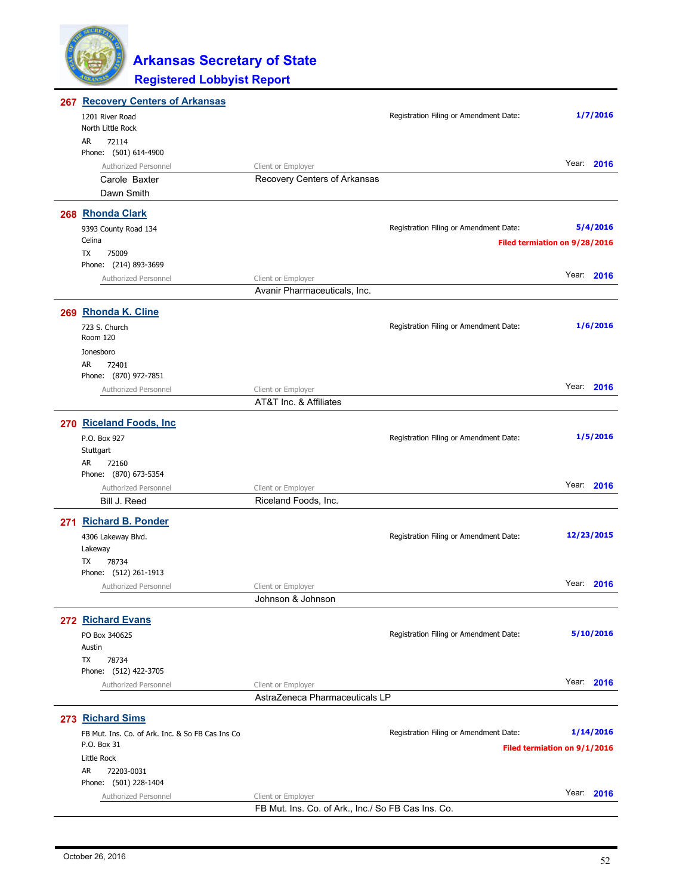

| <b>267 Recovery Centers of Arkansas</b>          |                                                    |                                        |                               |
|--------------------------------------------------|----------------------------------------------------|----------------------------------------|-------------------------------|
| 1201 River Road                                  |                                                    | Registration Filing or Amendment Date: | 1/7/2016                      |
| North Little Rock                                |                                                    |                                        |                               |
| AR<br>72114                                      |                                                    |                                        |                               |
| Phone: (501) 614-4900                            |                                                    |                                        |                               |
| Authorized Personnel                             | Client or Employer                                 |                                        | Year: 2016                    |
| Carole Baxter                                    | Recovery Centers of Arkansas                       |                                        |                               |
| Dawn Smith                                       |                                                    |                                        |                               |
| 268 Rhonda Clark                                 |                                                    |                                        |                               |
|                                                  |                                                    | Registration Filing or Amendment Date: | 5/4/2016                      |
| 9393 County Road 134<br>Celina                   |                                                    |                                        |                               |
| TX<br>75009                                      |                                                    |                                        | Filed termiation on 9/28/2016 |
| Phone: (214) 893-3699                            |                                                    |                                        |                               |
| Authorized Personnel                             | Client or Employer                                 |                                        | Year: 2016                    |
|                                                  | Avanir Pharmaceuticals, Inc.                       |                                        |                               |
|                                                  |                                                    |                                        |                               |
| 269 Rhonda K. Cline                              |                                                    |                                        |                               |
| 723 S. Church                                    |                                                    | Registration Filing or Amendment Date: | 1/6/2016                      |
| Room 120                                         |                                                    |                                        |                               |
| Jonesboro                                        |                                                    |                                        |                               |
| AR<br>72401<br>Phone: (870) 972-7851             |                                                    |                                        |                               |
|                                                  |                                                    |                                        | Year: 2016                    |
| Authorized Personnel                             | Client or Employer<br>AT&T Inc. & Affiliates       |                                        |                               |
|                                                  |                                                    |                                        |                               |
| 270 Riceland Foods, Inc.                         |                                                    |                                        |                               |
| P.O. Box 927                                     |                                                    | Registration Filing or Amendment Date: | 1/5/2016                      |
| Stuttgart                                        |                                                    |                                        |                               |
| AR<br>72160                                      |                                                    |                                        |                               |
| Phone: (870) 673-5354                            |                                                    |                                        |                               |
| Authorized Personnel                             | Client or Employer                                 |                                        | Year: 2016                    |
| Bill J. Reed                                     | Riceland Foods, Inc.                               |                                        |                               |
| 271 Richard B. Ponder                            |                                                    |                                        |                               |
| 4306 Lakeway Blvd.                               |                                                    | Registration Filing or Amendment Date: | 12/23/2015                    |
| Lakeway                                          |                                                    |                                        |                               |
| TX<br>78734                                      |                                                    |                                        |                               |
| Phone: (512) 261-1913                            |                                                    |                                        |                               |
| Authorized Personnel                             | Client or Employer                                 |                                        | Year:<br>2016                 |
|                                                  | Johnson & Johnson                                  |                                        |                               |
| 272 Richard Evans                                |                                                    |                                        |                               |
| PO Box 340625                                    |                                                    | Registration Filing or Amendment Date: | 5/10/2016                     |
| Austin                                           |                                                    |                                        |                               |
| TX<br>78734                                      |                                                    |                                        |                               |
| Phone: (512) 422-3705                            |                                                    |                                        |                               |
| Authorized Personnel                             | Client or Employer                                 |                                        | Year: 2016                    |
|                                                  | AstraZeneca Pharmaceuticals LP                     |                                        |                               |
|                                                  |                                                    |                                        |                               |
| 273 Richard Sims                                 |                                                    |                                        |                               |
| FB Mut. Ins. Co. of Ark. Inc. & So FB Cas Ins Co |                                                    | Registration Filing or Amendment Date: | 1/14/2016                     |
| P.O. Box 31                                      |                                                    |                                        | Filed termiation on 9/1/2016  |
| Little Rock                                      |                                                    |                                        |                               |
| AR<br>72203-0031<br>Phone: (501) 228-1404        |                                                    |                                        |                               |
| Authorized Personnel                             | Client or Employer                                 |                                        | Year: 2016                    |
|                                                  | FB Mut. Ins. Co. of Ark., Inc./ So FB Cas Ins. Co. |                                        |                               |
|                                                  |                                                    |                                        |                               |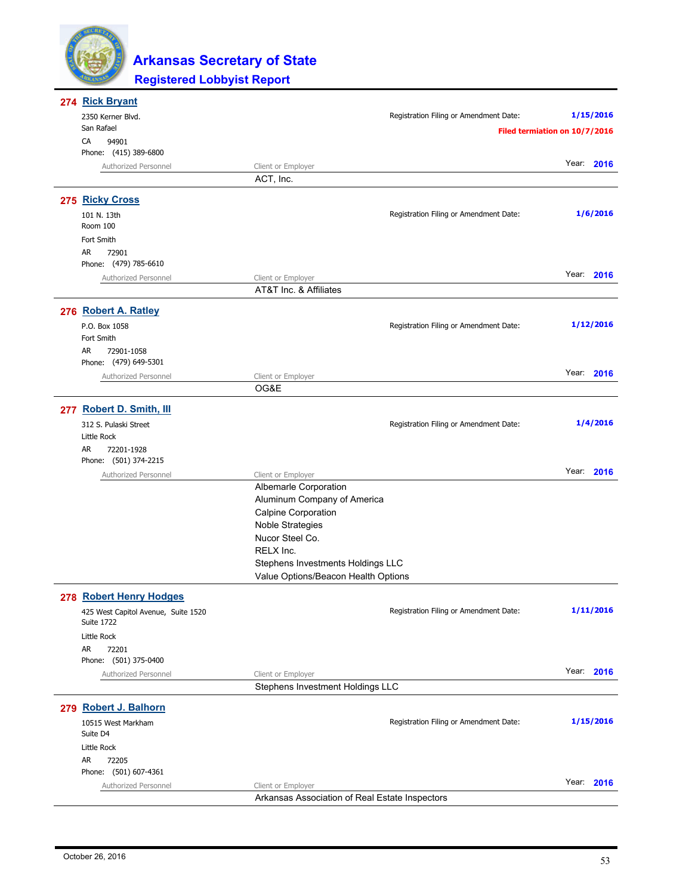

| 274 Rick Bryant                                          |                                                |                                        |                               |
|----------------------------------------------------------|------------------------------------------------|----------------------------------------|-------------------------------|
| 2350 Kerner Blvd.                                        |                                                | Registration Filing or Amendment Date: | 1/15/2016                     |
| San Rafael                                               |                                                |                                        | Filed termiation on 10/7/2016 |
| CA<br>94901                                              |                                                |                                        |                               |
| Phone: (415) 389-6800                                    |                                                |                                        |                               |
| Authorized Personnel                                     | Client or Employer                             |                                        | Year: 2016                    |
|                                                          | ACT, Inc.                                      |                                        |                               |
| 275 Ricky Cross                                          |                                                |                                        |                               |
| 101 N. 13th                                              |                                                | Registration Filing or Amendment Date: | 1/6/2016                      |
| Room 100                                                 |                                                |                                        |                               |
| Fort Smith                                               |                                                |                                        |                               |
| <b>AR</b><br>72901                                       |                                                |                                        |                               |
| Phone: (479) 785-6610                                    |                                                |                                        |                               |
| Authorized Personnel                                     | Client or Employer                             |                                        | Year: 2016                    |
|                                                          | AT&T Inc. & Affiliates                         |                                        |                               |
| 276 Robert A. Ratley                                     |                                                |                                        |                               |
|                                                          |                                                |                                        | 1/12/2016                     |
| P.O. Box 1058<br>Fort Smith                              |                                                | Registration Filing or Amendment Date: |                               |
| AR.<br>72901-1058                                        |                                                |                                        |                               |
| Phone: (479) 649-5301                                    |                                                |                                        |                               |
| Authorized Personnel                                     | Client or Employer                             |                                        | Year: 2016                    |
|                                                          | OG&E                                           |                                        |                               |
|                                                          |                                                |                                        |                               |
| 277 Robert D. Smith, III                                 |                                                |                                        |                               |
| 312 S. Pulaski Street                                    |                                                | Registration Filing or Amendment Date: | 1/4/2016                      |
| Little Rock                                              |                                                |                                        |                               |
| AR<br>72201-1928                                         |                                                |                                        |                               |
| Phone: (501) 374-2215                                    |                                                |                                        | Year: 2016                    |
| Authorized Personnel                                     | Client or Employer<br>Albemarle Corporation    |                                        |                               |
|                                                          | Aluminum Company of America                    |                                        |                               |
|                                                          | <b>Calpine Corporation</b>                     |                                        |                               |
|                                                          | <b>Noble Strategies</b>                        |                                        |                               |
|                                                          | Nucor Steel Co.                                |                                        |                               |
|                                                          | RELX Inc.                                      |                                        |                               |
|                                                          | Stephens Investments Holdings LLC              |                                        |                               |
|                                                          | Value Options/Beacon Health Options            |                                        |                               |
|                                                          |                                                |                                        |                               |
| 278 Robert Henry Hodges                                  |                                                |                                        |                               |
| 425 West Capitol Avenue, Suite 1520<br><b>Suite 1722</b> |                                                | Registration Filing or Amendment Date: | 1/11/2016                     |
| Little Rock                                              |                                                |                                        |                               |
| AR<br>72201                                              |                                                |                                        |                               |
| Phone: (501) 375-0400                                    |                                                |                                        |                               |
| Authorized Personnel                                     | Client or Employer                             |                                        | Year: 2016                    |
|                                                          | Stephens Investment Holdings LLC               |                                        |                               |
|                                                          |                                                |                                        |                               |
| 279 Robert J. Balhorn                                    |                                                |                                        |                               |
| 10515 West Markham                                       |                                                | Registration Filing or Amendment Date: | 1/15/2016                     |
| Suite D4                                                 |                                                |                                        |                               |
| Little Rock                                              |                                                |                                        |                               |
| AR<br>72205<br>Phone: (501) 607-4361                     |                                                |                                        |                               |
| Authorized Personnel                                     | Client or Employer                             |                                        | Year: 2016                    |
|                                                          | Arkansas Association of Real Estate Inspectors |                                        |                               |
|                                                          |                                                |                                        |                               |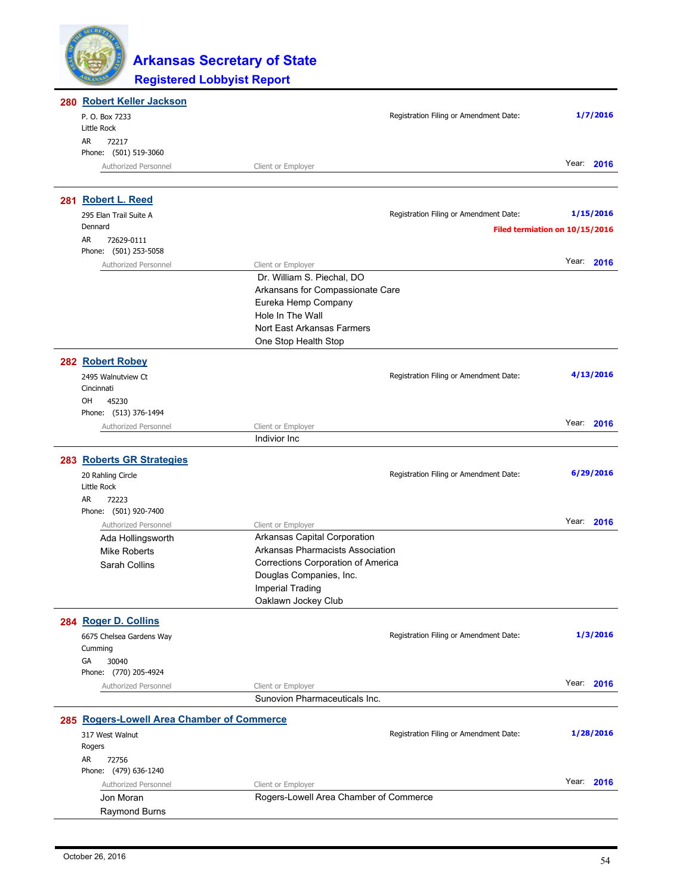| 280 Robert Keller Jackson                  |                                        |                                        |                                |
|--------------------------------------------|----------------------------------------|----------------------------------------|--------------------------------|
| P. O. Box 7233                             |                                        | Registration Filing or Amendment Date: | 1/7/2016                       |
| Little Rock                                |                                        |                                        |                                |
| AR<br>72217                                |                                        |                                        |                                |
| Phone: (501) 519-3060                      |                                        |                                        |                                |
| Authorized Personnel                       | Client or Employer                     |                                        | Year: 2016                     |
|                                            |                                        |                                        |                                |
| 281 Robert L. Reed                         |                                        |                                        |                                |
| 295 Elan Trail Suite A                     |                                        | Registration Filing or Amendment Date: | 1/15/2016                      |
| Dennard                                    |                                        |                                        |                                |
| AR<br>72629-0111                           |                                        |                                        | Filed termiation on 10/15/2016 |
| Phone: (501) 253-5058                      |                                        |                                        |                                |
| Authorized Personnel                       | Client or Employer                     |                                        | Year: 2016                     |
|                                            | Dr. William S. Piechal, DO             |                                        |                                |
|                                            | Arkansans for Compassionate Care       |                                        |                                |
|                                            | Eureka Hemp Company                    |                                        |                                |
|                                            | Hole In The Wall                       |                                        |                                |
|                                            |                                        |                                        |                                |
|                                            | Nort East Arkansas Farmers             |                                        |                                |
|                                            | One Stop Health Stop                   |                                        |                                |
| 282 Robert Robey                           |                                        |                                        |                                |
| 2495 Walnutview Ct                         |                                        | Registration Filing or Amendment Date: | 4/13/2016                      |
| Cincinnati                                 |                                        |                                        |                                |
| OH<br>45230                                |                                        |                                        |                                |
| Phone: (513) 376-1494                      |                                        |                                        |                                |
| Authorized Personnel                       | Client or Employer                     |                                        | Year: 2016                     |
|                                            | Indivior Inc                           |                                        |                                |
|                                            |                                        |                                        |                                |
| 283 Roberts GR Strategies                  |                                        |                                        |                                |
| 20 Rahling Circle                          |                                        | Registration Filing or Amendment Date: | 6/29/2016                      |
| Little Rock                                |                                        |                                        |                                |
| AR<br>72223                                |                                        |                                        |                                |
| Phone: (501) 920-7400                      |                                        |                                        |                                |
| Authorized Personnel                       | Client or Employer                     |                                        | Year: 2016                     |
| Ada Hollingsworth                          | Arkansas Capital Corporation           |                                        |                                |
| <b>Mike Roberts</b>                        | Arkansas Pharmacists Association       |                                        |                                |
| Sarah Collins                              | Corrections Corporation of America     |                                        |                                |
|                                            | Douglas Companies, Inc.                |                                        |                                |
|                                            | <b>Imperial Trading</b>                |                                        |                                |
|                                            | Oaklawn Jockey Club                    |                                        |                                |
| 284 Roger D. Collins                       |                                        |                                        |                                |
|                                            |                                        | Registration Filing or Amendment Date: | 1/3/2016                       |
| 6675 Chelsea Gardens Way<br>Cumming        |                                        |                                        |                                |
| GA<br>30040                                |                                        |                                        |                                |
| Phone: (770) 205-4924                      |                                        |                                        |                                |
| Authorized Personnel                       | Client or Employer                     |                                        | Year: 2016                     |
|                                            | Sunovion Pharmaceuticals Inc.          |                                        |                                |
|                                            |                                        |                                        |                                |
| 285 Rogers-Lowell Area Chamber of Commerce |                                        |                                        |                                |
| 317 West Walnut                            |                                        | Registration Filing or Amendment Date: | 1/28/2016                      |
| Rogers                                     |                                        |                                        |                                |
| AR<br>72756                                |                                        |                                        |                                |
| Phone: (479) 636-1240                      |                                        |                                        |                                |
| Authorized Personnel                       | Client or Employer                     |                                        | Year: 2016                     |
| Jon Moran                                  | Rogers-Lowell Area Chamber of Commerce |                                        |                                |
| <b>Raymond Burns</b>                       |                                        |                                        |                                |
|                                            |                                        |                                        |                                |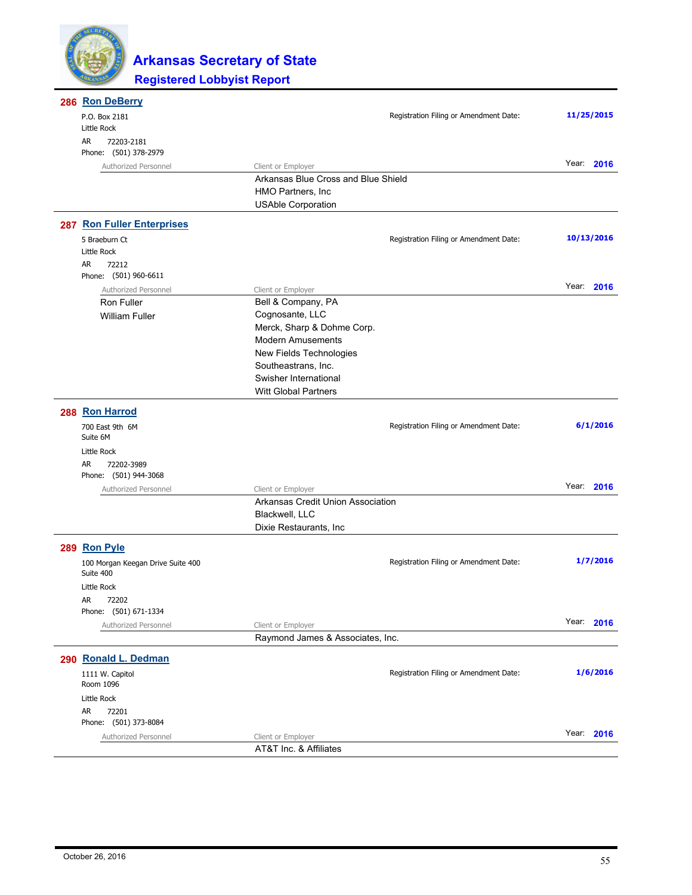

| 286 Ron DeBerry                   |                                     |                                        |            |
|-----------------------------------|-------------------------------------|----------------------------------------|------------|
| P.O. Box 2181                     |                                     | Registration Filing or Amendment Date: | 11/25/2015 |
| Little Rock                       |                                     |                                        |            |
| AR<br>72203-2181                  |                                     |                                        |            |
| Phone: (501) 378-2979             |                                     |                                        | Year: 2016 |
| Authorized Personnel              | Client or Employer                  |                                        |            |
|                                   | Arkansas Blue Cross and Blue Shield |                                        |            |
|                                   | HMO Partners, Inc.                  |                                        |            |
|                                   | <b>USAble Corporation</b>           |                                        |            |
| <b>287 Ron Fuller Enterprises</b> |                                     |                                        |            |
| 5 Braeburn Ct                     |                                     | Registration Filing or Amendment Date: | 10/13/2016 |
| Little Rock                       |                                     |                                        |            |
| AR<br>72212                       |                                     |                                        |            |
| Phone: (501) 960-6611             |                                     |                                        |            |
| Authorized Personnel              | Client or Employer                  |                                        | Year: 2016 |
| Ron Fuller                        | Bell & Company, PA                  |                                        |            |
| <b>William Fuller</b>             | Cognosante, LLC                     |                                        |            |
|                                   | Merck, Sharp & Dohme Corp.          |                                        |            |
|                                   | <b>Modern Amusements</b>            |                                        |            |
|                                   | New Fields Technologies             |                                        |            |
|                                   | Southeastrans, Inc.                 |                                        |            |
|                                   | Swisher International               |                                        |            |
|                                   | <b>Witt Global Partners</b>         |                                        |            |
| 288 Ron Harrod                    |                                     |                                        |            |
| 700 East 9th 6M                   |                                     | Registration Filing or Amendment Date: | 6/1/2016   |
| Suite 6M                          |                                     |                                        |            |
| Little Rock                       |                                     |                                        |            |
| AR<br>72202-3989                  |                                     |                                        |            |
| Phone: (501) 944-3068             |                                     |                                        |            |
| Authorized Personnel              | Client or Employer                  |                                        | Year: 2016 |
|                                   | Arkansas Credit Union Association   |                                        |            |
|                                   | Blackwell, LLC                      |                                        |            |
|                                   | Dixie Restaurants, Inc              |                                        |            |
| 289 Ron Pyle                      |                                     |                                        |            |
| 100 Morgan Keegan Drive Suite 400 |                                     | Registration Filing or Amendment Date: | 1/7/2016   |
| Suite 400                         |                                     |                                        |            |
| Little Rock                       |                                     |                                        |            |
| AR<br>72202                       |                                     |                                        |            |
| Phone: (501) 671-1334             |                                     |                                        |            |
| Authorized Personnel              | Client or Employer                  |                                        | Year: 2016 |
|                                   | Raymond James & Associates, Inc.    |                                        |            |
| 290 Ronald L. Dedman              |                                     |                                        |            |
| 1111 W. Capitol                   |                                     | Registration Filing or Amendment Date: | 1/6/2016   |
| Room 1096                         |                                     |                                        |            |
| Little Rock                       |                                     |                                        |            |
| AR<br>72201                       |                                     |                                        |            |
| Phone: (501) 373-8084             |                                     |                                        |            |
| Authorized Personnel              | Client or Employer                  |                                        | Year: 2016 |
|                                   | AT&T Inc. & Affiliates              |                                        |            |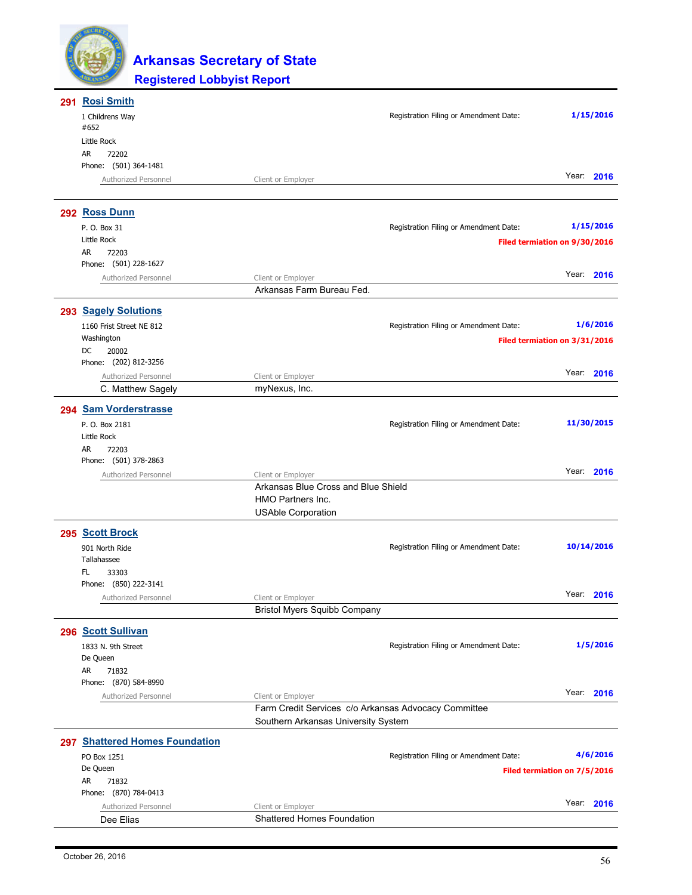

| 291 Rosi Smith                                |                                                         |                                        |                               |
|-----------------------------------------------|---------------------------------------------------------|----------------------------------------|-------------------------------|
| 1 Childrens Way                               |                                                         | Registration Filing or Amendment Date: | 1/15/2016                     |
| #652                                          |                                                         |                                        |                               |
| Little Rock<br>AR<br>72202                    |                                                         |                                        |                               |
| Phone: (501) 364-1481                         |                                                         |                                        |                               |
| Authorized Personnel                          | Client or Employer                                      |                                        | Year: 2016                    |
|                                               |                                                         |                                        |                               |
| 292 Ross Dunn                                 |                                                         |                                        |                               |
| P. O. Box 31                                  |                                                         | Registration Filing or Amendment Date: | 1/15/2016                     |
| Little Rock                                   |                                                         |                                        | Filed termiation on 9/30/2016 |
| 72203<br>AR<br>Phone: (501) 228-1627          |                                                         |                                        |                               |
| Authorized Personnel                          | Client or Employer                                      |                                        | Year: 2016                    |
|                                               | Arkansas Farm Bureau Fed.                               |                                        |                               |
| 293 Sagely Solutions                          |                                                         |                                        |                               |
| 1160 Frist Street NE 812                      |                                                         | Registration Filing or Amendment Date: | 1/6/2016                      |
| Washington                                    |                                                         |                                        | Filed termiation on 3/31/2016 |
| DC<br>20002                                   |                                                         |                                        |                               |
| Phone: (202) 812-3256                         |                                                         |                                        |                               |
| Authorized Personnel                          | Client or Employer                                      |                                        | Year: 2016                    |
| C. Matthew Sagely                             | myNexus, Inc.                                           |                                        |                               |
| 294 Sam Vorderstrasse                         |                                                         |                                        |                               |
| P. O. Box 2181                                |                                                         | Registration Filing or Amendment Date: | 11/30/2015                    |
| Little Rock<br>72203<br>AR                    |                                                         |                                        |                               |
| Phone: (501) 378-2863                         |                                                         |                                        |                               |
| Authorized Personnel                          | Client or Employer                                      |                                        | Year: 2016                    |
|                                               | Arkansas Blue Cross and Blue Shield                     |                                        |                               |
|                                               | <b>HMO Partners Inc.</b>                                |                                        |                               |
|                                               | <b>USAble Corporation</b>                               |                                        |                               |
| 295 Scott Brock                               |                                                         |                                        |                               |
| 901 North Ride                                |                                                         | Registration Filing or Amendment Date: | 10/14/2016                    |
| Tallahassee                                   |                                                         |                                        |                               |
| FL<br>33303<br>Phone: (850) 222-3141          |                                                         |                                        |                               |
| Authorized Personnel                          | Client or Employer                                      |                                        | Year: 2016                    |
|                                               | <b>Bristol Myers Squibb Company</b>                     |                                        |                               |
| 296 Scott Sullivan                            |                                                         |                                        |                               |
| 1833 N. 9th Street                            |                                                         | Registration Filing or Amendment Date: | 1/5/2016                      |
| De Queen                                      |                                                         |                                        |                               |
| AR<br>71832                                   |                                                         |                                        |                               |
| Phone: (870) 584-8990<br>Authorized Personnel | Client or Employer                                      |                                        | Year: 2016                    |
|                                               | Farm Credit Services c/o Arkansas Advocacy Committee    |                                        |                               |
|                                               | Southern Arkansas University System                     |                                        |                               |
| 297 Shattered Homes Foundation                |                                                         |                                        |                               |
| PO Box 1251                                   |                                                         | Registration Filing or Amendment Date: | 4/6/2016                      |
| De Queen                                      |                                                         |                                        | Filed termiation on 7/5/2016  |
| AR<br>71832                                   |                                                         |                                        |                               |
| Phone: (870) 784-0413                         |                                                         |                                        | Year: 2016                    |
| Authorized Personnel                          | Client or Employer<br><b>Shattered Homes Foundation</b> |                                        |                               |
| Dee Elias                                     |                                                         |                                        |                               |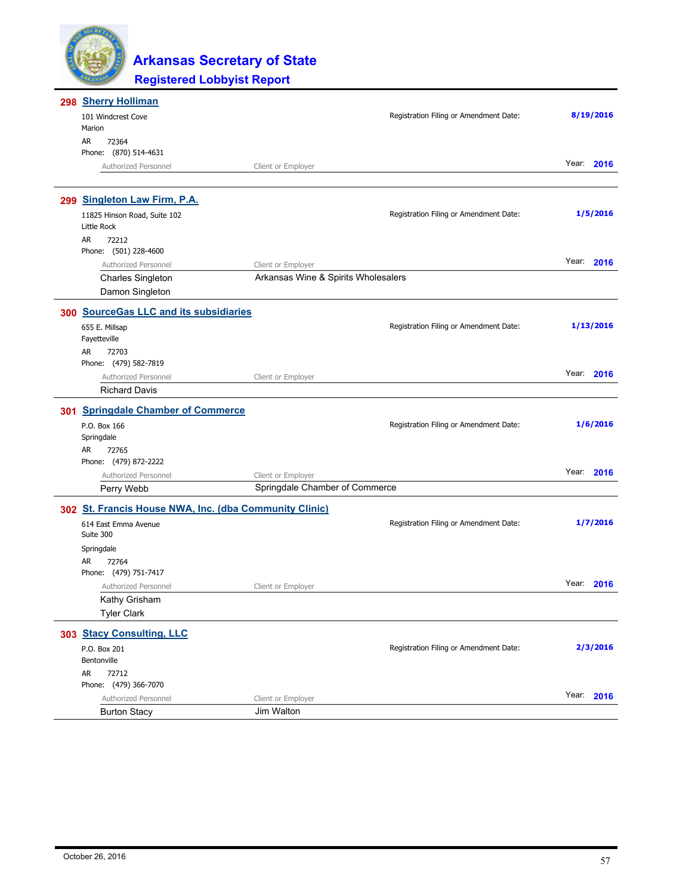

| 298 Sherry Holliman                                    |                                     |                                        |               |
|--------------------------------------------------------|-------------------------------------|----------------------------------------|---------------|
| 101 Windcrest Cove                                     |                                     | Registration Filing or Amendment Date: | 8/19/2016     |
| Marion                                                 |                                     |                                        |               |
| AR<br>72364                                            |                                     |                                        |               |
| Phone: (870) 514-4631                                  |                                     |                                        |               |
| Authorized Personnel                                   | Client or Employer                  |                                        | Year:<br>2016 |
| 299 Singleton Law Firm, P.A.                           |                                     |                                        |               |
| 11825 Hinson Road, Suite 102<br>Little Rock            |                                     | Registration Filing or Amendment Date: | 1/5/2016      |
| AR<br>72212                                            |                                     |                                        |               |
| Phone: (501) 228-4600                                  |                                     |                                        |               |
| Authorized Personnel                                   | Client or Employer                  |                                        | Year:<br>2016 |
| <b>Charles Singleton</b>                               | Arkansas Wine & Spirits Wholesalers |                                        |               |
| Damon Singleton                                        |                                     |                                        |               |
| 300 SourceGas LLC and its subsidiaries                 |                                     |                                        |               |
| 655 E. Millsap                                         |                                     | Registration Filing or Amendment Date: | 1/13/2016     |
| Fayetteville                                           |                                     |                                        |               |
| AR<br>72703                                            |                                     |                                        |               |
| Phone: (479) 582-7819                                  |                                     |                                        |               |
| Authorized Personnel                                   | Client or Employer                  |                                        | Year:<br>2016 |
| <b>Richard Davis</b>                                   |                                     |                                        |               |
| 301 Springdale Chamber of Commerce                     |                                     |                                        |               |
| P.O. Box 166                                           |                                     | Registration Filing or Amendment Date: | 1/6/2016      |
| Springdale                                             |                                     |                                        |               |
| AR<br>72765                                            |                                     |                                        |               |
| Phone: (479) 872-2222                                  |                                     |                                        |               |
| Authorized Personnel                                   | Client or Employer                  |                                        | Year: 2016    |
| Perry Webb                                             | Springdale Chamber of Commerce      |                                        |               |
| 302 St. Francis House NWA, Inc. (dba Community Clinic) |                                     |                                        |               |
| 614 East Emma Avenue<br>Suite 300                      |                                     | Registration Filing or Amendment Date: | 1/7/2016      |
| Springdale                                             |                                     |                                        |               |
| AR<br>72764                                            |                                     |                                        |               |
| Phone: (479) 751-7417                                  |                                     |                                        |               |
| Authorized Personnel                                   | Client or Employer                  |                                        | Year:<br>2016 |
| Kathy Grisham                                          |                                     |                                        |               |
| <b>Tyler Clark</b>                                     |                                     |                                        |               |
| 303 Stacy Consulting, LLC                              |                                     |                                        |               |
| P.O. Box 201                                           |                                     | Registration Filing or Amendment Date: | 2/3/2016      |
| Bentonville                                            |                                     |                                        |               |
| AR<br>72712                                            |                                     |                                        |               |
| Phone: (479) 366-7070                                  |                                     |                                        |               |
| Authorized Personnel                                   | Client or Employer                  |                                        | Year: 2016    |
| <b>Burton Stacy</b>                                    | Jim Walton                          |                                        |               |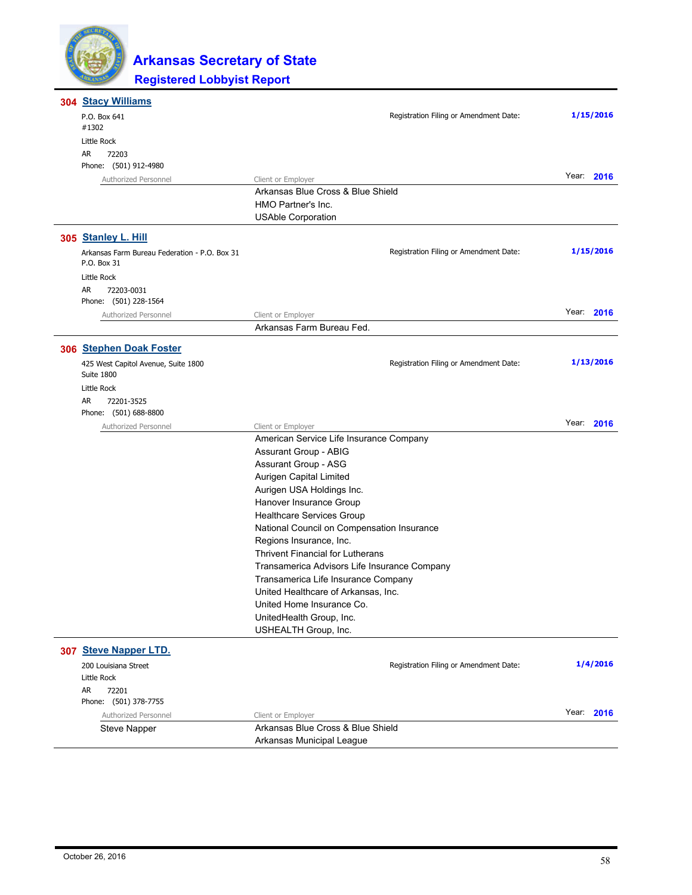

| 304 Stacy Williams                                       |                                                      |            |
|----------------------------------------------------------|------------------------------------------------------|------------|
| P.O. Box 641                                             | Registration Filing or Amendment Date:               | 1/15/2016  |
| #1302                                                    |                                                      |            |
| Little Rock<br>AR<br>72203                               |                                                      |            |
| Phone: (501) 912-4980                                    |                                                      |            |
| Authorized Personnel                                     | Client or Employer                                   | Year: 2016 |
|                                                          | Arkansas Blue Cross & Blue Shield                    |            |
|                                                          | HMO Partner's Inc.                                   |            |
|                                                          | <b>USAble Corporation</b>                            |            |
| 305 Stanley L. Hill                                      |                                                      |            |
| Arkansas Farm Bureau Federation - P.O. Box 31            | Registration Filing or Amendment Date:               | 1/15/2016  |
| P.O. Box 31                                              |                                                      |            |
| Little Rock                                              |                                                      |            |
| AR<br>72203-0031                                         |                                                      |            |
| Phone: (501) 228-1564                                    |                                                      |            |
| Authorized Personnel                                     | Client or Employer                                   | Year: 2016 |
|                                                          | Arkansas Farm Bureau Fed.                            |            |
| 306 Stephen Doak Foster                                  |                                                      |            |
| 425 West Capitol Avenue, Suite 1800<br><b>Suite 1800</b> | Registration Filing or Amendment Date:               | 1/13/2016  |
| Little Rock                                              |                                                      |            |
| AR<br>72201-3525                                         |                                                      |            |
| Phone: (501) 688-8800                                    |                                                      |            |
| Authorized Personnel                                     | Client or Employer                                   | Year: 2016 |
|                                                          | American Service Life Insurance Company              |            |
|                                                          | Assurant Group - ABIG                                |            |
|                                                          | Assurant Group - ASG                                 |            |
|                                                          | Aurigen Capital Limited                              |            |
|                                                          | Aurigen USA Holdings Inc.                            |            |
|                                                          | Hanover Insurance Group<br>Healthcare Services Group |            |
|                                                          | National Council on Compensation Insurance           |            |
|                                                          | Regions Insurance, Inc.                              |            |
|                                                          | Thrivent Financial for Lutherans                     |            |
|                                                          | Transamerica Advisors Life Insurance Company         |            |
|                                                          | Transamerica Life Insurance Company                  |            |
|                                                          | United Healthcare of Arkansas, Inc.                  |            |
|                                                          | United Home Insurance Co.                            |            |
|                                                          | UnitedHealth Group, Inc.                             |            |
|                                                          | USHEALTH Group, Inc.                                 |            |
| 307 Steve Napper LTD.                                    |                                                      |            |
| 200 Louisiana Street                                     | Registration Filing or Amendment Date:               | 1/4/2016   |
| Little Rock                                              |                                                      |            |
| AR<br>72201                                              |                                                      |            |
| Phone: (501) 378-7755                                    |                                                      |            |
| Authorized Personnel                                     | Client or Employer                                   | Year: 2016 |
| <b>Steve Napper</b>                                      | Arkansas Blue Cross & Blue Shield                    |            |
|                                                          | Arkansas Municipal League                            |            |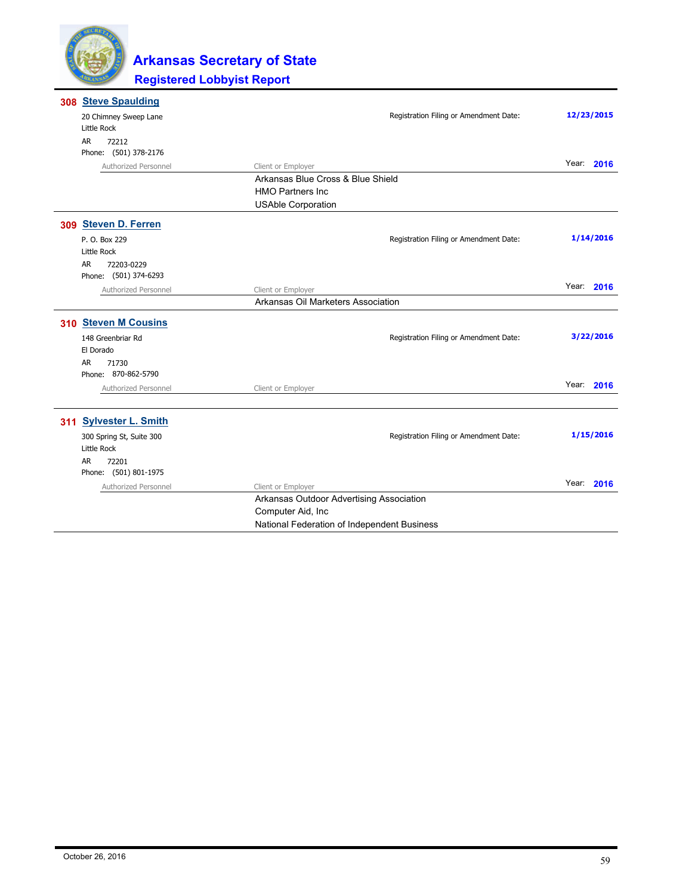

| 308 Steve Spaulding                     |                                                                |                                        |            |
|-----------------------------------------|----------------------------------------------------------------|----------------------------------------|------------|
| 20 Chimney Sweep Lane                   |                                                                | Registration Filing or Amendment Date: | 12/23/2015 |
| Little Rock                             |                                                                |                                        |            |
| AR.<br>72212<br>Phone: (501) 378-2176   |                                                                |                                        |            |
| Authorized Personnel                    |                                                                |                                        | Year: 2016 |
|                                         | Client or Employer<br>Arkansas Blue Cross & Blue Shield        |                                        |            |
|                                         | <b>HMO Partners Inc</b>                                        |                                        |            |
|                                         | <b>USAble Corporation</b>                                      |                                        |            |
|                                         |                                                                |                                        |            |
| 309 Steven D. Ferren                    |                                                                |                                        |            |
| P. O. Box 229                           |                                                                | Registration Filing or Amendment Date: | 1/14/2016  |
| Little Rock                             |                                                                |                                        |            |
| AR.<br>72203-0229                       |                                                                |                                        |            |
| Phone: (501) 374-6293                   |                                                                |                                        |            |
| Authorized Personnel                    | Client or Employer                                             |                                        | Year: 2016 |
|                                         | Arkansas Oil Marketers Association                             |                                        |            |
| 310 Steven M Cousins                    |                                                                |                                        |            |
| 148 Greenbriar Rd                       |                                                                | Registration Filing or Amendment Date: | 3/22/2016  |
| El Dorado                               |                                                                |                                        |            |
| AR<br>71730                             |                                                                |                                        |            |
| Phone: 870-862-5790                     |                                                                |                                        |            |
| Authorized Personnel                    | Client or Employer                                             |                                        | Year: 2016 |
|                                         |                                                                |                                        |            |
|                                         |                                                                |                                        |            |
|                                         |                                                                |                                        |            |
| 311 Sylvester L. Smith                  |                                                                |                                        | 1/15/2016  |
| 300 Spring St, Suite 300<br>Little Rock |                                                                | Registration Filing or Amendment Date: |            |
| <b>AR</b>                               |                                                                |                                        |            |
| 72201<br>Phone: (501) 801-1975          |                                                                |                                        |            |
| Authorized Personnel                    | Client or Employer                                             |                                        | Year: 2016 |
|                                         |                                                                |                                        |            |
|                                         | Arkansas Outdoor Advertising Association<br>Computer Aid, Inc. |                                        |            |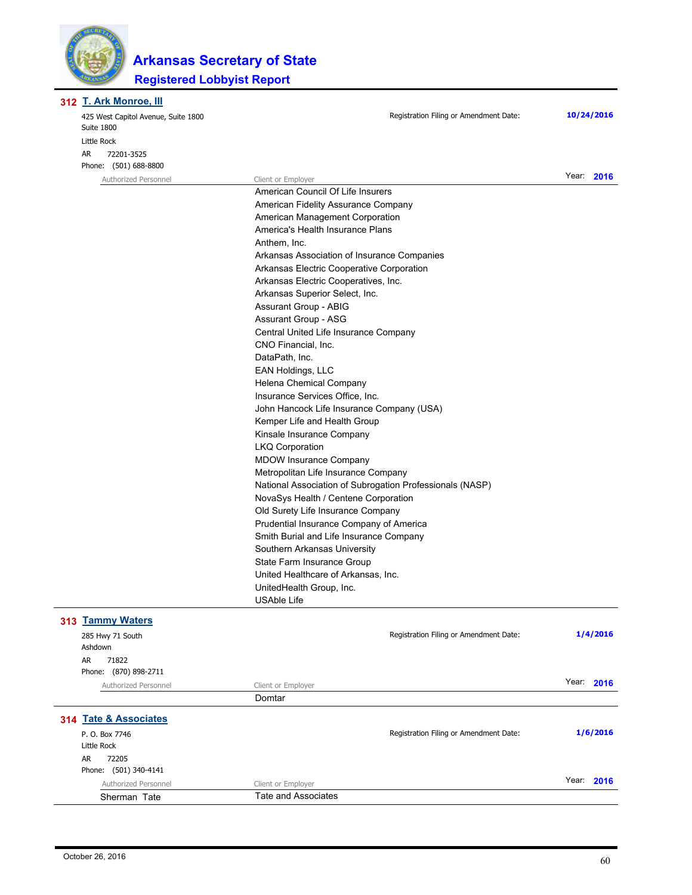

**T. Ark Monroe, III 312**

|  | 425 West Capitol Avenue, Suite 1800<br>Suite 1800                                               | Registration Filing or Amendment Date:                  | 10/24/2016 |  |  |
|--|-------------------------------------------------------------------------------------------------|---------------------------------------------------------|------------|--|--|
|  | Little Rock                                                                                     |                                                         |            |  |  |
|  | AR<br>72201-3525                                                                                |                                                         |            |  |  |
|  | Phone: (501) 688-8800                                                                           |                                                         |            |  |  |
|  | Authorized Personnel                                                                            | Client or Employer                                      | Year: 2016 |  |  |
|  |                                                                                                 | American Council Of Life Insurers                       |            |  |  |
|  |                                                                                                 | American Fidelity Assurance Company                     |            |  |  |
|  |                                                                                                 | American Management Corporation                         |            |  |  |
|  |                                                                                                 | America's Health Insurance Plans                        |            |  |  |
|  |                                                                                                 | Anthem, Inc.                                            |            |  |  |
|  |                                                                                                 | Arkansas Association of Insurance Companies             |            |  |  |
|  |                                                                                                 | Arkansas Electric Cooperative Corporation               |            |  |  |
|  |                                                                                                 | Arkansas Electric Cooperatives, Inc.                    |            |  |  |
|  |                                                                                                 | Arkansas Superior Select, Inc.                          |            |  |  |
|  |                                                                                                 | Assurant Group - ABIG                                   |            |  |  |
|  |                                                                                                 | Assurant Group - ASG                                    |            |  |  |
|  |                                                                                                 | Central United Life Insurance Company                   |            |  |  |
|  |                                                                                                 | CNO Financial, Inc.                                     |            |  |  |
|  |                                                                                                 | DataPath, Inc.                                          |            |  |  |
|  |                                                                                                 | <b>EAN Holdings, LLC</b>                                |            |  |  |
|  |                                                                                                 | Helena Chemical Company                                 |            |  |  |
|  |                                                                                                 | Insurance Services Office, Inc.                         |            |  |  |
|  |                                                                                                 | John Hancock Life Insurance Company (USA)               |            |  |  |
|  |                                                                                                 |                                                         |            |  |  |
|  |                                                                                                 | Kemper Life and Health Group                            |            |  |  |
|  |                                                                                                 | Kinsale Insurance Company                               |            |  |  |
|  |                                                                                                 | <b>LKQ Corporation</b><br><b>MDOW Insurance Company</b> |            |  |  |
|  |                                                                                                 |                                                         |            |  |  |
|  | Metropolitan Life Insurance Company<br>National Association of Subrogation Professionals (NASP) |                                                         |            |  |  |
|  |                                                                                                 |                                                         |            |  |  |
|  |                                                                                                 | NovaSys Health / Centene Corporation                    |            |  |  |
|  |                                                                                                 | Old Surety Life Insurance Company                       |            |  |  |
|  |                                                                                                 | Prudential Insurance Company of America                 |            |  |  |
|  |                                                                                                 | Smith Burial and Life Insurance Company                 |            |  |  |
|  |                                                                                                 | Southern Arkansas University                            |            |  |  |
|  |                                                                                                 | State Farm Insurance Group                              |            |  |  |
|  |                                                                                                 | United Healthcare of Arkansas, Inc.                     |            |  |  |
|  |                                                                                                 | UnitedHealth Group, Inc.                                |            |  |  |
|  |                                                                                                 | <b>USAble Life</b>                                      |            |  |  |
|  | 313 Tammy Waters                                                                                |                                                         |            |  |  |
|  | 285 Hwy 71 South                                                                                | Registration Filing or Amendment Date:                  | 1/4/2016   |  |  |
|  | Ashdown                                                                                         |                                                         |            |  |  |
|  | AR.<br>71822                                                                                    |                                                         |            |  |  |
|  | Phone: (870) 898-2711                                                                           |                                                         |            |  |  |
|  |                                                                                                 |                                                         | Year: 2016 |  |  |
|  | Authorized Personnel                                                                            | Client or Employer<br>Domtar                            |            |  |  |
|  |                                                                                                 |                                                         |            |  |  |
|  | 314 Tate & Associates                                                                           |                                                         |            |  |  |
|  | P. O. Box 7746                                                                                  | Registration Filing or Amendment Date:                  | 1/6/2016   |  |  |
|  | Little Rock                                                                                     |                                                         |            |  |  |
|  | 72205<br>AR                                                                                     |                                                         |            |  |  |
|  | Phone: (501) 340-4141                                                                           |                                                         |            |  |  |
|  | Authorized Personnel                                                                            | Client or Employer                                      | Year: 2016 |  |  |
|  | Sherman Tate                                                                                    | <b>Tate and Associates</b>                              |            |  |  |
|  |                                                                                                 |                                                         |            |  |  |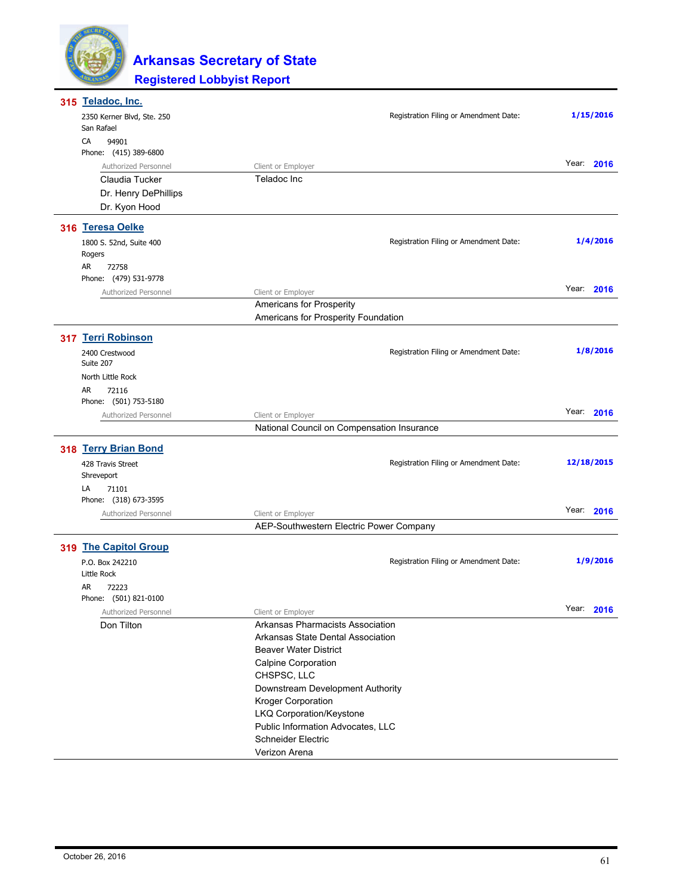

| Registration Filing or Amendment Date:<br>2350 Kerner Blvd, Ste. 250<br>San Rafael | 1/15/2016     |
|------------------------------------------------------------------------------------|---------------|
|                                                                                    |               |
|                                                                                    |               |
| CA<br>94901                                                                        |               |
| Phone: (415) 389-6800                                                              |               |
| Authorized Personnel<br>Client or Employer                                         | Year:<br>2016 |
| Teladoc Inc<br>Claudia Tucker                                                      |               |
| Dr. Henry DePhillips                                                               |               |
| Dr. Kyon Hood                                                                      |               |
| 316 Teresa Oelke                                                                   |               |
| Registration Filing or Amendment Date:<br>1800 S. 52nd, Suite 400                  | 1/4/2016      |
| Rogers                                                                             |               |
| AR<br>72758                                                                        |               |
| Phone: (479) 531-9778                                                              |               |
| Authorized Personnel<br>Client or Employer                                         | Year:<br>2016 |
| Americans for Prosperity                                                           |               |
| Americans for Prosperity Foundation                                                |               |
| 317 Terri Robinson                                                                 |               |
| Registration Filing or Amendment Date:<br>2400 Crestwood                           | 1/8/2016      |
| Suite 207                                                                          |               |
| North Little Rock                                                                  |               |
| AR<br>72116                                                                        |               |
| Phone: (501) 753-5180                                                              |               |
| Client or Employer<br>Authorized Personnel                                         | Year: 2016    |
| National Council on Compensation Insurance                                         |               |
| 318 Terry Brian Bond                                                               |               |
|                                                                                    | 12/18/2015    |
| Registration Filing or Amendment Date:<br>428 Travis Street                        |               |
| Shreveport<br>LA<br>71101                                                          |               |
| Phone: (318) 673-3595                                                              |               |
| Authorized Personnel                                                               | Year: 2016    |
| Client or Employer<br>AEP-Southwestern Electric Power Company                      |               |
|                                                                                    |               |
| 319 The Capitol Group                                                              |               |
| Registration Filing or Amendment Date:<br>P.O. Box 242210                          | 1/9/2016      |
| Little Rock                                                                        |               |
| AR<br>72223                                                                        |               |
| Phone: (501) 821-0100                                                              |               |
| Authorized Personnel<br>Client or Employer                                         | Year: 2016    |
| Arkansas Pharmacists Association<br>Don Tilton                                     |               |
| Arkansas State Dental Association                                                  |               |
| <b>Beaver Water District</b>                                                       |               |
| Calpine Corporation                                                                |               |
| CHSPSC, LLC                                                                        |               |
| Downstream Development Authority                                                   |               |
| Kroger Corporation                                                                 |               |
| LKQ Corporation/Keystone                                                           |               |
| Public Information Advocates, LLC                                                  |               |
| <b>Schneider Electric</b>                                                          |               |
| Verizon Arena                                                                      |               |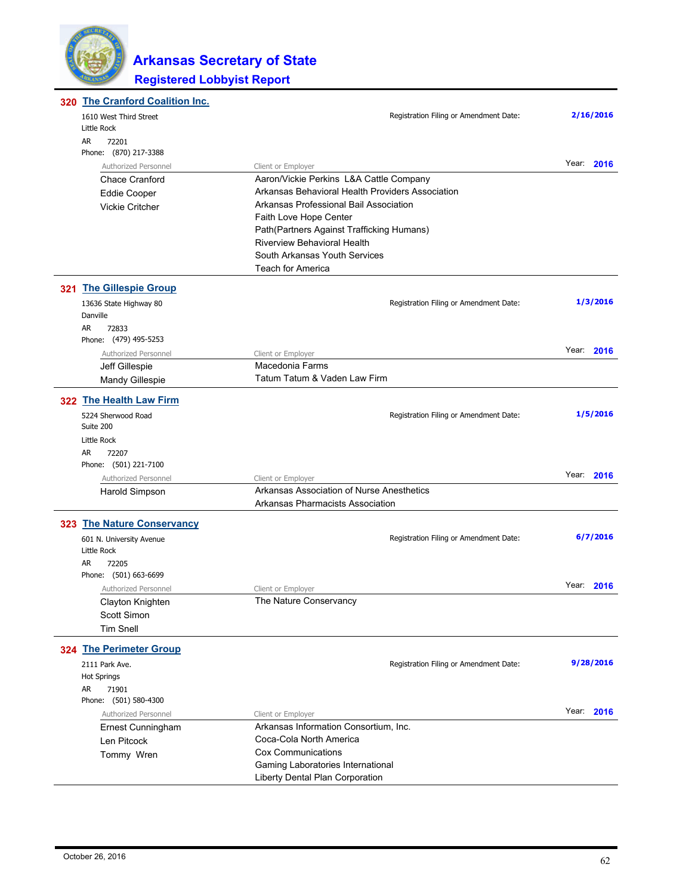

| 320 The Cranford Coalition Inc.         |                                                                     |            |
|-----------------------------------------|---------------------------------------------------------------------|------------|
| 1610 West Third Street                  | Registration Filing or Amendment Date:                              | 2/16/2016  |
| Little Rock                             |                                                                     |            |
| AR<br>72201                             |                                                                     |            |
| Phone: (870) 217-3388                   |                                                                     |            |
| Authorized Personnel                    | Client or Employer                                                  | Year: 2016 |
| Chace Cranford                          | Aaron/Vickie Perkins L&A Cattle Company                             |            |
| <b>Eddie Cooper</b>                     | Arkansas Behavioral Health Providers Association                    |            |
| Vickie Critcher                         | Arkansas Professional Bail Association                              |            |
|                                         | Faith Love Hope Center                                              |            |
|                                         | Path(Partners Against Trafficking Humans)                           |            |
|                                         | <b>Riverview Behavioral Health</b><br>South Arkansas Youth Services |            |
|                                         | <b>Teach for America</b>                                            |            |
| 321 The Gillespie Group                 |                                                                     |            |
| 13636 State Highway 80                  | Registration Filing or Amendment Date:                              | 1/3/2016   |
| Danville                                |                                                                     |            |
| AR.<br>72833                            |                                                                     |            |
| Phone: (479) 495-5253                   |                                                                     |            |
| Authorized Personnel                    | Client or Employer                                                  | Year: 2016 |
| Jeff Gillespie                          | Macedonia Farms                                                     |            |
| Mandy Gillespie                         | Tatum Tatum & Vaden Law Firm                                        |            |
| 322 The Health Law Firm                 |                                                                     |            |
| 5224 Sherwood Road                      | Registration Filing or Amendment Date:                              | 1/5/2016   |
| Suite 200                               |                                                                     |            |
| Little Rock                             |                                                                     |            |
| AR<br>72207                             |                                                                     |            |
| Phone: (501) 221-7100                   |                                                                     | Year: 2016 |
| Authorized Personnel                    | Client or Employer                                                  |            |
| Harold Simpson                          | Arkansas Association of Nurse Anesthetics                           |            |
|                                         | Arkansas Pharmacists Association                                    |            |
| 323 The Nature Conservancy              | Registration Filing or Amendment Date:                              | 6/7/2016   |
| 601 N. University Avenue<br>Little Rock |                                                                     |            |
| AR<br>72205                             |                                                                     |            |
| Phone: (501) 663-6699                   |                                                                     |            |
| Authorized Personnel                    | Client or Employer                                                  | Year: 2016 |
| Clayton Knighten                        | The Nature Conservancy                                              |            |
| Scott Simon                             |                                                                     |            |
| <b>Tim Snell</b>                        |                                                                     |            |
| 324 The Perimeter Group                 |                                                                     |            |
| 2111 Park Ave.                          | Registration Filing or Amendment Date:                              | 9/28/2016  |
| <b>Hot Springs</b>                      |                                                                     |            |
| AR<br>71901                             |                                                                     |            |
| Phone: (501) 580-4300                   |                                                                     |            |
| Authorized Personnel                    | Client or Employer                                                  | Year: 2016 |
| Ernest Cunningham                       | Arkansas Information Consortium, Inc.                               |            |
| Len Pitcock                             | Coca-Cola North America                                             |            |
| Tommy Wren                              | <b>Cox Communications</b>                                           |            |
|                                         | Gaming Laboratories International                                   |            |
|                                         | Liberty Dental Plan Corporation                                     |            |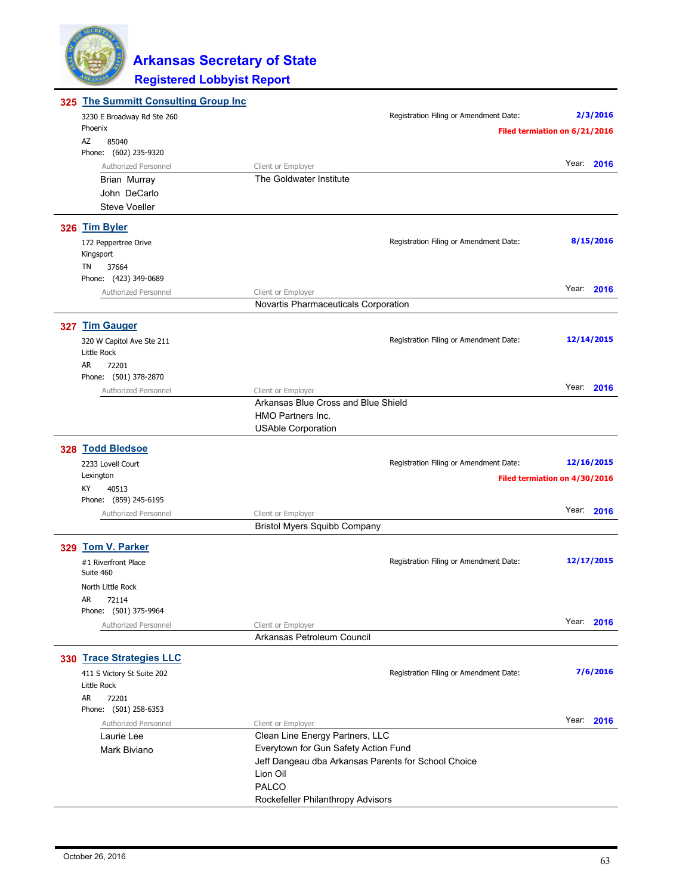

| 325 The Summitt Consulting Group Inc |                                                     |                                        |                               |
|--------------------------------------|-----------------------------------------------------|----------------------------------------|-------------------------------|
| 3230 E Broadway Rd Ste 260           |                                                     | Registration Filing or Amendment Date: | 2/3/2016                      |
| Phoenix                              |                                                     |                                        | Filed termiation on 6/21/2016 |
| AZ<br>85040                          |                                                     |                                        |                               |
| Phone: (602) 235-9320                |                                                     |                                        |                               |
| Authorized Personnel                 | Client or Employer                                  |                                        | Year: 2016                    |
| <b>Brian Murray</b>                  | The Goldwater Institute                             |                                        |                               |
| John DeCarlo                         |                                                     |                                        |                               |
| <b>Steve Voeller</b>                 |                                                     |                                        |                               |
| 326 Tim Byler                        |                                                     |                                        |                               |
|                                      |                                                     | Registration Filing or Amendment Date: | 8/15/2016                     |
| 172 Peppertree Drive<br>Kingsport    |                                                     |                                        |                               |
| TN<br>37664                          |                                                     |                                        |                               |
| Phone: (423) 349-0689                |                                                     |                                        |                               |
| Authorized Personnel                 | Client or Employer                                  |                                        | Year: 2016                    |
|                                      | Novartis Pharmaceuticals Corporation                |                                        |                               |
|                                      |                                                     |                                        |                               |
| 327 Tim Gauger                       |                                                     |                                        |                               |
| 320 W Capitol Ave Ste 211            |                                                     | Registration Filing or Amendment Date: | 12/14/2015                    |
| Little Rock                          |                                                     |                                        |                               |
| AR<br>72201                          |                                                     |                                        |                               |
| Phone: (501) 378-2870                |                                                     |                                        |                               |
| Authorized Personnel                 | Client or Employer                                  |                                        | Year: 2016                    |
|                                      | Arkansas Blue Cross and Blue Shield                 |                                        |                               |
|                                      | HMO Partners Inc.                                   |                                        |                               |
|                                      | <b>USAble Corporation</b>                           |                                        |                               |
| 328 Todd Bledsoe                     |                                                     |                                        |                               |
| 2233 Lovell Court                    |                                                     | Registration Filing or Amendment Date: | 12/16/2015                    |
| Lexington                            |                                                     |                                        | Filed termiation on 4/30/2016 |
| КY<br>40513                          |                                                     |                                        |                               |
| Phone: (859) 245-6195                |                                                     |                                        |                               |
| Authorized Personnel                 | Client or Employer                                  |                                        | Year: 2016                    |
|                                      | <b>Bristol Myers Squibb Company</b>                 |                                        |                               |
| 329 Tom V. Parker                    |                                                     |                                        |                               |
|                                      |                                                     |                                        |                               |
| #1 Riverfront Place<br>Suite 460     |                                                     | Registration Filing or Amendment Date: | 12/17/2015                    |
|                                      |                                                     |                                        |                               |
| North Little Rock<br>AR              |                                                     |                                        |                               |
| 72114<br>Phone: (501) 375-9964       |                                                     |                                        |                               |
| Authorized Personnel                 | Client or Employer                                  |                                        | Year: 2016                    |
|                                      | Arkansas Petroleum Council                          |                                        |                               |
|                                      |                                                     |                                        |                               |
| 330 Trace Strategies LLC             |                                                     |                                        |                               |
| 411 S Victory St Suite 202           |                                                     | Registration Filing or Amendment Date: | 7/6/2016                      |
| Little Rock                          |                                                     |                                        |                               |
| AR<br>72201                          |                                                     |                                        |                               |
| Phone: (501) 258-6353                |                                                     |                                        |                               |
| Authorized Personnel                 | Client or Employer                                  |                                        | Year: 2016                    |
| Laurie Lee                           | Clean Line Energy Partners, LLC                     |                                        |                               |
| Mark Biviano                         | Everytown for Gun Safety Action Fund                |                                        |                               |
|                                      | Jeff Dangeau dba Arkansas Parents for School Choice |                                        |                               |
|                                      | Lion Oil                                            |                                        |                               |
|                                      | PALCO                                               |                                        |                               |
|                                      | Rockefeller Philanthropy Advisors                   |                                        |                               |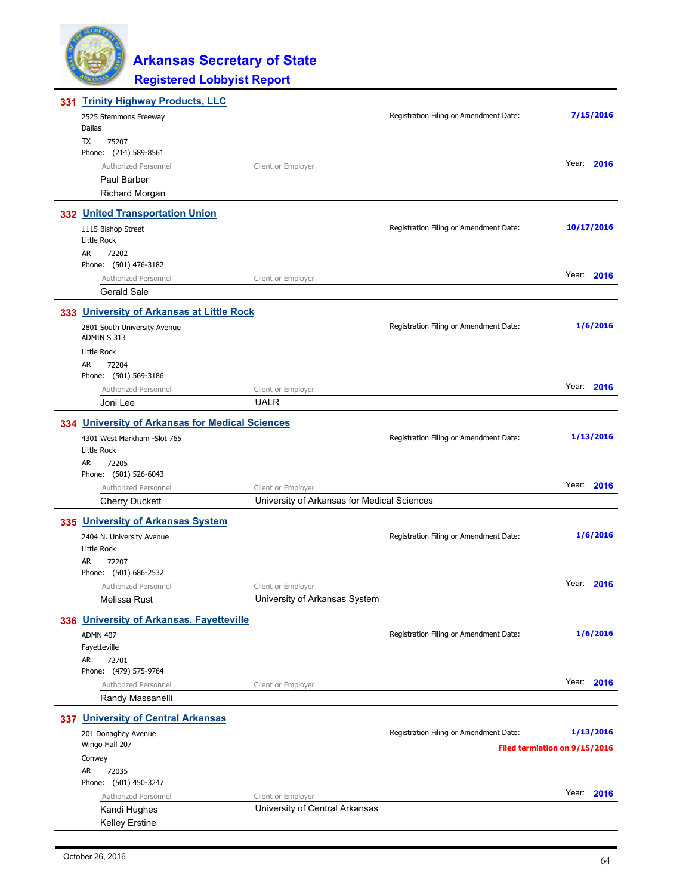

| 331 Trinity Highway Products, LLC               |                                             |                                        |                               |
|-------------------------------------------------|---------------------------------------------|----------------------------------------|-------------------------------|
| 2525 Stemmons Freeway                           |                                             | Registration Filing or Amendment Date: | 7/15/2016                     |
| Dallas                                          |                                             |                                        |                               |
| TX<br>75207                                     |                                             |                                        |                               |
| Phone: (214) 589-8561                           |                                             |                                        | Year: 2016                    |
| Authorized Personnel                            | Client or Employer                          |                                        |                               |
| Paul Barber                                     |                                             |                                        |                               |
| <b>Richard Morgan</b>                           |                                             |                                        |                               |
| 332 United Transportation Union                 |                                             |                                        |                               |
| 1115 Bishop Street                              |                                             | Registration Filing or Amendment Date: | 10/17/2016                    |
| Little Rock                                     |                                             |                                        |                               |
| AR<br>72202                                     |                                             |                                        |                               |
| Phone: (501) 476-3182                           |                                             |                                        |                               |
| Authorized Personnel                            | Client or Employer                          |                                        | Year: 2016                    |
| <b>Gerald Sale</b>                              |                                             |                                        |                               |
| 333 University of Arkansas at Little Rock       |                                             |                                        |                               |
| 2801 South University Avenue                    |                                             | Registration Filing or Amendment Date: | 1/6/2016                      |
| ADMIN S 313                                     |                                             |                                        |                               |
| Little Rock                                     |                                             |                                        |                               |
| AR.<br>72204                                    |                                             |                                        |                               |
| Phone: (501) 569-3186                           |                                             |                                        |                               |
| Authorized Personnel                            | Client or Employer                          |                                        | Year: 2016                    |
| Joni Lee                                        | <b>UALR</b>                                 |                                        |                               |
| 334 University of Arkansas for Medical Sciences |                                             |                                        |                               |
| 4301 West Markham -Slot 765                     |                                             | Registration Filing or Amendment Date: | 1/13/2016                     |
| Little Rock                                     |                                             |                                        |                               |
| AR.<br>72205                                    |                                             |                                        |                               |
| Phone: (501) 526-6043                           |                                             |                                        |                               |
| Authorized Personnel                            | Client or Employer                          |                                        | Year: 2016                    |
| <b>Cherry Duckett</b>                           | University of Arkansas for Medical Sciences |                                        |                               |
| 335 University of Arkansas System               |                                             |                                        |                               |
| 2404 N. University Avenue                       |                                             | Registration Filing or Amendment Date: | 1/6/2016                      |
| Little Rock                                     |                                             |                                        |                               |
| AR.<br>72207                                    |                                             |                                        |                               |
| Phone: (501) 686-2532                           |                                             |                                        |                               |
| Authorized Personnel                            | Client or Employer                          |                                        | Year: 2016                    |
| Melissa Rust                                    | University of Arkansas System               |                                        |                               |
| 336 University of Arkansas, Fayetteville        |                                             |                                        |                               |
| <b>ADMN 407</b>                                 |                                             | Registration Filing or Amendment Date: | 1/6/2016                      |
| Fayetteville                                    |                                             |                                        |                               |
| AR<br>72701                                     |                                             |                                        |                               |
| Phone: (479) 575-9764                           |                                             |                                        |                               |
| Authorized Personnel                            | Client or Employer                          |                                        | Year: 2016                    |
| Randy Massanelli                                |                                             |                                        |                               |
| 337 University of Central Arkansas              |                                             |                                        |                               |
| 201 Donaghey Avenue                             |                                             | Registration Filing or Amendment Date: | 1/13/2016                     |
| Wingo Hall 207                                  |                                             |                                        | Filed termiation on 9/15/2016 |
| Conway                                          |                                             |                                        |                               |
| AR<br>72035                                     |                                             |                                        |                               |
| Phone: (501) 450-3247                           |                                             |                                        |                               |
| Authorized Personnel                            | Client or Employer                          |                                        | Year: 2016                    |
| Kandi Hughes                                    | University of Central Arkansas              |                                        |                               |
| <b>Kelley Erstine</b>                           |                                             |                                        |                               |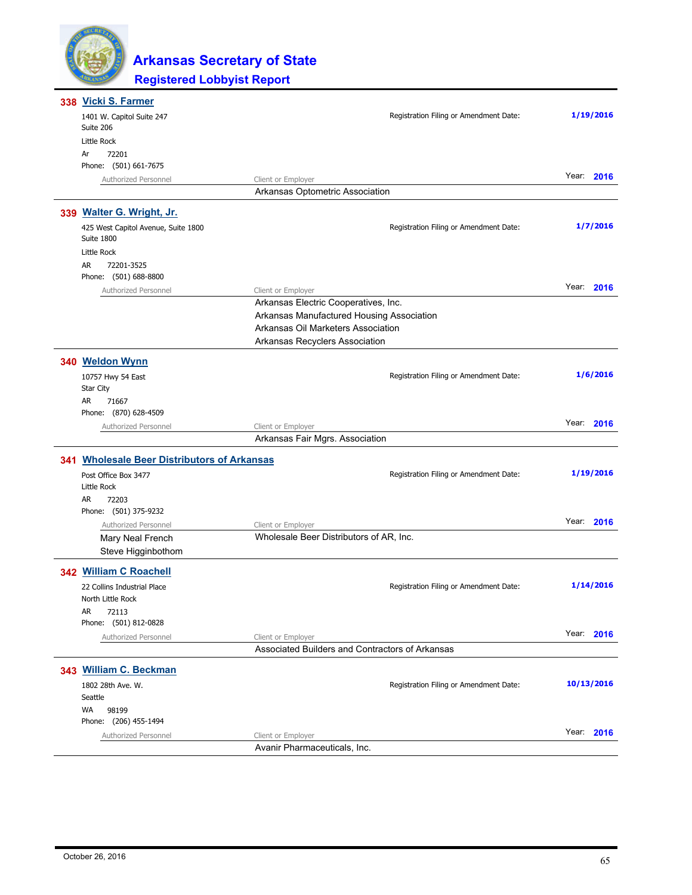

| 338 Vicki S. Farmer                               |                                                 |                                        |            |
|---------------------------------------------------|-------------------------------------------------|----------------------------------------|------------|
| 1401 W. Capitol Suite 247<br>Suite 206            |                                                 | Registration Filing or Amendment Date: | 1/19/2016  |
| Little Rock                                       |                                                 |                                        |            |
| 72201<br>Ar                                       |                                                 |                                        |            |
| Phone: (501) 661-7675                             |                                                 |                                        |            |
| Authorized Personnel                              | Client or Employer                              |                                        | Year: 2016 |
|                                                   | Arkansas Optometric Association                 |                                        |            |
| 339 Walter G. Wright, Jr.                         |                                                 |                                        |            |
| 425 West Capitol Avenue, Suite 1800<br>Suite 1800 |                                                 | Registration Filing or Amendment Date: | 1/7/2016   |
| Little Rock                                       |                                                 |                                        |            |
| AR<br>72201-3525                                  |                                                 |                                        |            |
| Phone: (501) 688-8800                             |                                                 |                                        |            |
| Authorized Personnel                              | Client or Employer                              |                                        | Year: 2016 |
|                                                   | Arkansas Electric Cooperatives, Inc.            |                                        |            |
|                                                   | Arkansas Manufactured Housing Association       |                                        |            |
|                                                   | Arkansas Oil Marketers Association              |                                        |            |
|                                                   | Arkansas Recyclers Association                  |                                        |            |
| 340 Weldon Wynn                                   |                                                 |                                        |            |
| 10757 Hwy 54 East                                 |                                                 | Registration Filing or Amendment Date: | 1/6/2016   |
| Star City                                         |                                                 |                                        |            |
| AR<br>71667                                       |                                                 |                                        |            |
| Phone: (870) 628-4509                             |                                                 |                                        | Year: 2016 |
| Authorized Personnel                              | Client or Employer                              |                                        |            |
|                                                   | Arkansas Fair Mgrs. Association                 |                                        |            |
| 341 Wholesale Beer Distributors of Arkansas       |                                                 |                                        |            |
| Post Office Box 3477                              |                                                 | Registration Filing or Amendment Date: | 1/19/2016  |
| Little Rock                                       |                                                 |                                        |            |
| AR.<br>72203                                      |                                                 |                                        |            |
| Phone: (501) 375-9232                             |                                                 |                                        |            |
| Authorized Personnel                              | Client or Employer                              |                                        | Year: 2016 |
| Mary Neal French                                  | Wholesale Beer Distributors of AR, Inc.         |                                        |            |
| Steve Higginbothom                                |                                                 |                                        |            |
| 342 William C Roachell                            |                                                 |                                        |            |
| 22 Collins Industrial Place                       |                                                 | Registration Filing or Amendment Date: | 1/14/2016  |
| North Little Rock                                 |                                                 |                                        |            |
| AR<br>72113                                       |                                                 |                                        |            |
| Phone: (501) 812-0828                             |                                                 |                                        |            |
| Authorized Personnel                              | Client or Employer                              |                                        | Year: 2016 |
|                                                   | Associated Builders and Contractors of Arkansas |                                        |            |
| 343 William C. Beckman                            |                                                 |                                        |            |
| 1802 28th Ave. W.                                 |                                                 | Registration Filing or Amendment Date: | 10/13/2016 |
| Seattle                                           |                                                 |                                        |            |
| <b>WA</b><br>98199                                |                                                 |                                        |            |
| Phone: (206) 455-1494                             |                                                 |                                        |            |
| Authorized Personnel                              | Client or Employer                              |                                        | Year: 2016 |
|                                                   | Avanir Pharmaceuticals, Inc.                    |                                        |            |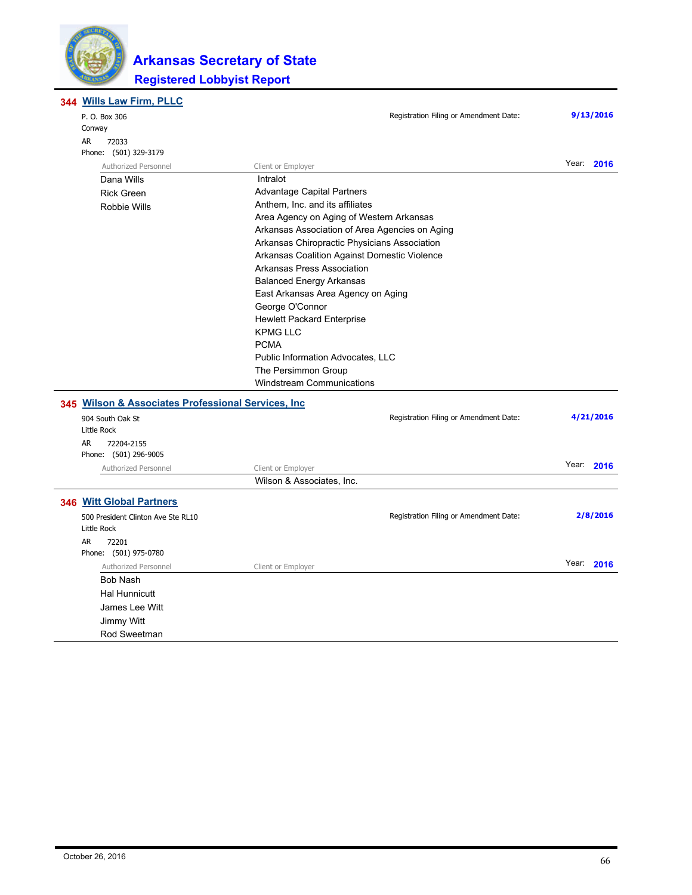

#### **Registered Lobbyist Report Arkansas Secretary of State**

**Wills Law Firm, PLLC 344**

|  | P. O. Box 306<br>Conway                             | Registration Filing or Amendment Date:         | 9/13/2016  |
|--|-----------------------------------------------------|------------------------------------------------|------------|
|  | AR<br>72033                                         |                                                |            |
|  | Phone: (501) 329-3179                               |                                                | Year: 2016 |
|  | Authorized Personnel                                | Client or Employer                             |            |
|  | Dana Wills                                          | Intralot                                       |            |
|  | <b>Rick Green</b>                                   | Advantage Capital Partners                     |            |
|  | <b>Robbie Wills</b>                                 | Anthem, Inc. and its affiliates                |            |
|  |                                                     | Area Agency on Aging of Western Arkansas       |            |
|  |                                                     | Arkansas Association of Area Agencies on Aging |            |
|  |                                                     | Arkansas Chiropractic Physicians Association   |            |
|  |                                                     | Arkansas Coalition Against Domestic Violence   |            |
|  |                                                     | Arkansas Press Association                     |            |
|  |                                                     | <b>Balanced Energy Arkansas</b>                |            |
|  |                                                     | East Arkansas Area Agency on Aging             |            |
|  |                                                     | George O'Connor                                |            |
|  |                                                     | <b>Hewlett Packard Enterprise</b>              |            |
|  |                                                     | <b>KPMG LLC</b>                                |            |
|  |                                                     | <b>PCMA</b>                                    |            |
|  | Public Information Advocates, LLC                   |                                                |            |
|  |                                                     | The Persimmon Group                            |            |
|  |                                                     | <b>Windstream Communications</b>               |            |
|  | 345 Wilson & Associates Professional Services, Inc. |                                                |            |
|  | 904 South Oak St                                    | Registration Filing or Amendment Date:         | 4/21/2016  |
|  | Little Rock                                         |                                                |            |
|  | AR<br>72204-2155                                    |                                                |            |
|  | Phone: (501) 296-9005                               |                                                |            |
|  | Authorized Personnel                                | Client or Employer                             | Year: 2016 |
|  |                                                     | Wilson & Associates, Inc.                      |            |
|  | 346 Witt Global Partners                            |                                                |            |
|  | 500 President Clinton Ave Ste RL10                  | Registration Filing or Amendment Date:         | 2/8/2016   |
|  | Little Rock                                         |                                                |            |
|  | AR.<br>72201                                        |                                                |            |
|  | Phone: (501) 975-0780                               |                                                |            |
|  | Authorized Personnel                                | Client or Employer                             | Year: 2016 |
|  | <b>Bob Nash</b>                                     |                                                |            |
|  | <b>Hal Hunnicutt</b>                                |                                                |            |
|  | James Lee Witt                                      |                                                |            |
|  | Jimmy Witt                                          |                                                |            |
|  | Rod Sweetman                                        |                                                |            |
|  |                                                     |                                                |            |